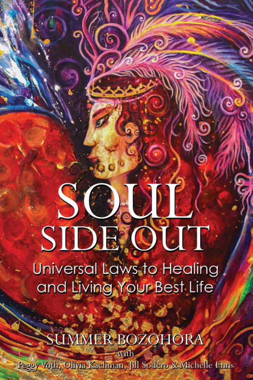# SO.OI SIDE OUT

**Universal Laws to Healing** and Living Your Best Life

**JUMMER BOZOHORA** with

Peggy Voth, Olivia Kachman, fill Sodero & Michelle Erms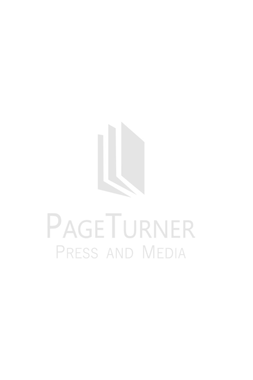

# PAGETURNER PRESS AND MEDIA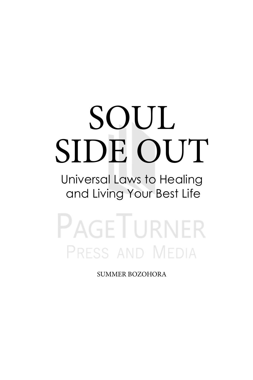# SOUL SIDE OUT

Universal Laws to Healing and Living Your Best Life

**PAGETURNER** PRESS AND MEDIA

SUMMER BOZOHORA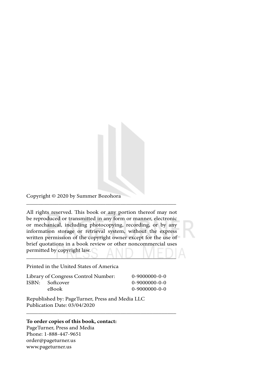Copyright © 2020 by Summer Bozohora

All rights reserved. This book or any portion thereof may not be reproduced or transmitted in any form or manner, electronic or mechanical, including photocopying, recording, or by any information storage or retrieval system, without the express written permission of the copyright owner except for the use of brief quotations in a book review or other noncommercial uses permitted by copyright law. \_\_\_\_\_\_\_\_\_\_\_\_\_\_\_\_\_\_\_\_\_\_\_\_\_\_\_\_\_\_\_\_\_\_\_\_\_\_\_\_\_\_\_\_\_\_\_\_\_\_\_

\_\_\_\_\_\_\_\_\_\_\_\_\_\_\_\_\_\_\_\_\_\_\_\_\_\_\_\_\_\_\_\_\_\_\_\_\_\_\_\_\_\_\_\_\_\_\_\_\_\_\_

#### Printed in the United States of America

| Library of Congress Control Number: |                 | $0-9000000-0-0$ |
|-------------------------------------|-----------------|-----------------|
|                                     | ISBN: Softcover | $0-9000000-0-0$ |
|                                     | eBook           | 0-9000000-0-0   |

\_\_\_\_\_\_\_\_\_\_\_\_\_\_\_\_\_\_\_\_\_\_\_\_\_\_\_\_\_\_\_\_\_\_\_\_\_\_\_\_\_\_\_\_\_\_\_\_\_\_\_

Republished by: PageTurner, Press and Media LLC Publication Date: 03/04/2020

#### **To order copies of this book, contact:**

PageTurner, Press and Media Phone: 1-888-447-9651 order@pageturner.us www.pageturner.us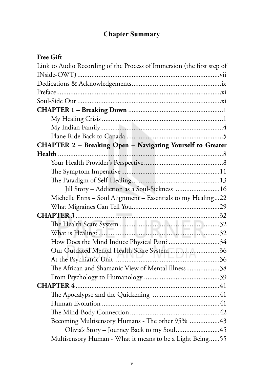#### **Chapter Summary**

#### **Free Gift**

| Link to Audio Recording of the Process of Immersion (the first step of |  |  |
|------------------------------------------------------------------------|--|--|
|                                                                        |  |  |
|                                                                        |  |  |
|                                                                        |  |  |
|                                                                        |  |  |
|                                                                        |  |  |
|                                                                        |  |  |
|                                                                        |  |  |
|                                                                        |  |  |
| CHAPTER 2 - Breaking Open - Navigating Yourself to Greater             |  |  |
| Health                                                                 |  |  |
|                                                                        |  |  |
|                                                                        |  |  |
|                                                                        |  |  |
| Jill Story - Addiction as a Soul-Sickness  16                          |  |  |
| Michelle Enns - Soul Alignment - Essentials to my Healing22            |  |  |
|                                                                        |  |  |
|                                                                        |  |  |
|                                                                        |  |  |
|                                                                        |  |  |
| How Does the Mind Induce Physical Pain? 34                             |  |  |
| Our Outdated Mental Health Scare System 36                             |  |  |
|                                                                        |  |  |
| The African and Shamanic View of Mental Illness38                      |  |  |
|                                                                        |  |  |
|                                                                        |  |  |
|                                                                        |  |  |
|                                                                        |  |  |
|                                                                        |  |  |
| Becoming Multisensory Humans - The other 95% 43                        |  |  |
|                                                                        |  |  |
| Multisensory Human - What it means to be a Light Being55               |  |  |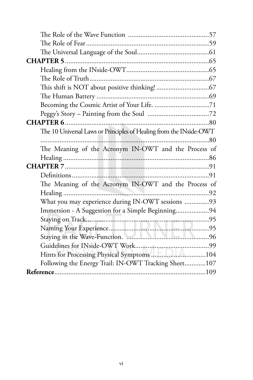| The 10 Universal Laws or Principles of Healing from the INside-OWT |
|--------------------------------------------------------------------|
|                                                                    |
| The Meaning of the Acronym IN-OWT and the Process of               |
|                                                                    |
|                                                                    |
|                                                                    |
| The Meaning of the Acronym IN-OWT and the Process of               |
|                                                                    |
| What you may experience during IN-OWT sessions 93                  |
| Immersion - A Suggestion for a Simple Beginning94                  |
|                                                                    |
|                                                                    |
|                                                                    |
|                                                                    |
| Hints for Processing Physical Symptoms 104                         |
| Following the Energy Trail: IN-OWT Tracking Sheet107               |
|                                                                    |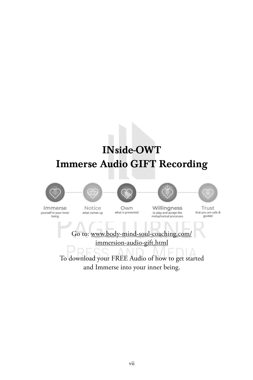## INside-OWT Immerse Audio GIFT Recording











Immerse yourself in your inner being

Notice what comes up

Own what is presented

Willingness to play and accept the metaphorical processes

Trust that you are safe & guided

Go to: www.body-mind-soul-coaching.com/ immersion-audio-gift.html

To download your FREE Audio of how to get started and Immerse into your inner being.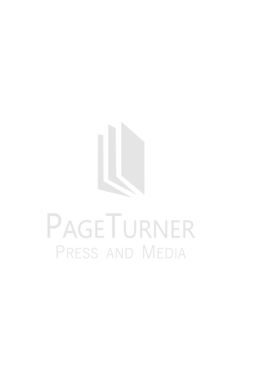

# PAGETURNER PRESS AND MEDIA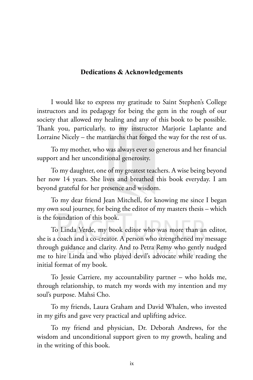#### **Dedications & Acknowledgements**

I would like to express my gratitude to Saint Stephen's College instructors and its pedagogy for being the gem in the rough of our society that allowed my healing and any of this book to be possible. Thank you, particularly, to my instructor Marjorie Laplante and Lorraine Nicely – the matriarchs that forged the way for the rest of us.

To my mother, who was always ever so generous and her financial support and her unconditional generosity.

To my daughter, one of my greatest teachers. A wise being beyond her now 14 years. She lives and breathed this book everyday. I am beyond grateful for her presence and wisdom.

To my dear friend Jean Mitchell, for knowing me since I began my own soul journey, for being the editor of my masters thesis – which is the foundation of this book.

To Linda Verde, my book editor who was more than an editor, she is a coach and a co-creator. A person who strengthened my message through guidance and clarity. And to Petra Remy who gently nudged me to hire Linda and who played devil's advocate while reading the initial format of my book.

To Jessie Carriere, my accountability partner – who holds me, through relationship, to match my words with my intention and my soul's purpose. Mahsi Cho.

To my friends, Laura Graham and David Whalen, who invested in my gifts and gave very practical and uplifting advice.

To my friend and physician, Dr. Deborah Andrews, for the wisdom and unconditional support given to my growth, healing and in the writing of this book.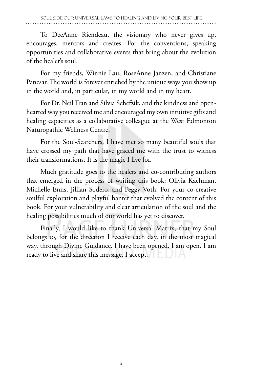To DeeAnne Riendeau, the visionary who never gives up, encourages, mentors and creates. For the conventions, speaking opportunities and collaborative events that bring about the evolution of the healer's soul.

For my friends, Winnie Lau, RoseAnne Janzen, and Christiane Panesar. The world is forever enriched by the unique ways you show up in the world and, in particular, in my world and in my heart.

For Dr. Neil Tran and Silvia Schefzik, and the kindness and openhearted way you received me and encouraged my own intuitive gifts and healing capacities as a collaborative colleague at the West Edmonton Naturopathic Wellness Centre.

For the Soul-Searchers, I have met so many beautiful souls that have crossed my path that have graced me with the trust to witness their transformations. It is the magic I live for.

Much gratitude goes to the healers and co-contributing authors that emerged in the process of writing this book: Olivia Kachman, Michelle Enns, Jillian Sodero, and Peggy Voth. For your co-creative soulful exploration and playful banter that evolved the content of this book. For your vulnerability and clear articulation of the soul and the healing possibilities much of our world has yet to discover.

Finally, I would like to thank Universal Matrix, that my Soul belongs to, for the direction I receive each day, in the most magical way, through Divine Guidance. I have been opened. I am open. I am ready to live and share this message. I accept.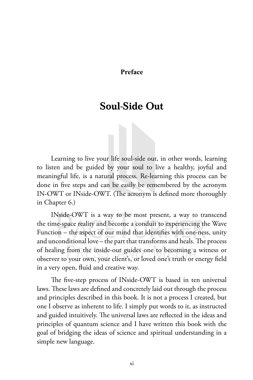#### **Preface**

### Soul-Side Out

Learning to live your life soul-side out, in other words, learning to listen and be guided by your soul to live a healthy, joyful and meaningful life, is a natural process. Re-learning this process can be done in five steps and can be easily be remembered by the acronym IN-OWT or INside-OWT. (The acronym is defined more thoroughly in Chapter 6.)

INside-OWT is a way to be most present, a way to transcend the time-space reality and become a conduit to experiencing the Wave Function – the aspect of our mind that identifies with one-ness, unity and unconditional love – the part that transforms and heals. The process of healing from the inside-out guides one to becoming a witness or observer to your own, your client's, or loved one's truth or energy field in a very open, fluid and creative way.

The five-step process of INside-OWT is based in ten universal laws. These laws are defined and concretely laid out through the process and principles described in this book. It is not a process I created, but one I observe as inherent to life. I simply put words to it, as instructed and guided intuitively. The universal laws are reflected in the ideas and principles of quantum science and I have written this book with the goal of bridging the ideas of science and spiritual understanding in a simple new language.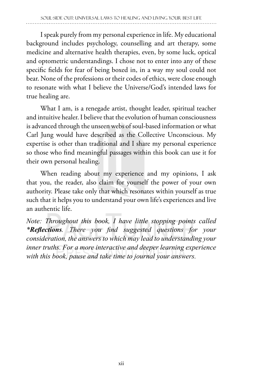I speak purely from my personal experience in life. My educational background includes psychology, counselling and art therapy, some medicine and alternative health therapies, even, by some luck, optical and optometric understandings. I chose not to enter into any of these specific fields for fear of being boxed in, in a way my soul could not bear. None of the professions or their codes of ethics, were close enough to resonate with what I believe the Universe/God's intended laws for true healing are.

What I am, is a renegade artist, thought leader, spiritual teacher and intuitive healer. I believe that the evolution of human consciousness is advanced through the unseen webs of soul-based information or what Carl Jung would have described as the Collective Unconscious. My expertise is other than traditional and I share my personal experience so those who find meaningful passages within this book can use it for their own personal healing.

When reading about my experience and my opinions, I ask that you, the reader, also claim for yourself the power of your own authority. Please take only that which resonates within yourself as true such that it helps you to understand your own life's experiences and live an authentic life.

*Note: Throughout this book, I have little stopping points called \*Reflections. There you find suggested questions for your consideration, the answers to which may lead to understanding your inner truths. For a more interactive and deeper learning experience with this book, pause and take time to journal your answers.*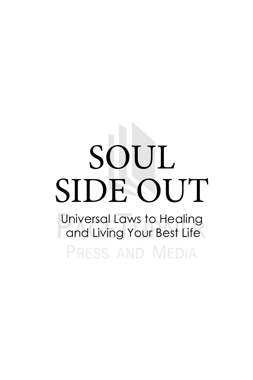# SOUL SIDE OUT

Universal Laws to Healing and Living Your Best Life

PRESS AND MEDIA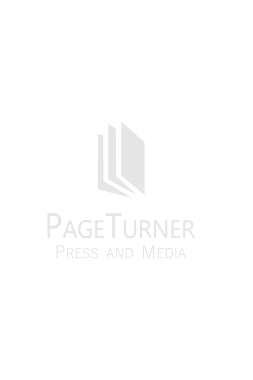

# PAGETURNER PRESS AND MEDIA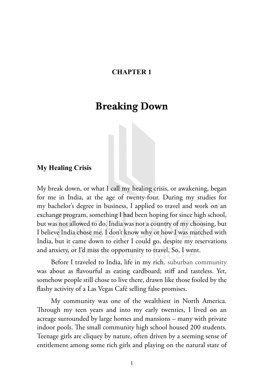#### **CHAPTER 1**

#### Breaking Down

#### **My Healing Crisis**

My break down, or what I call my healing crisis, or awakening, began for me in India, at the age of twenty-four. During my studies for my bachelor's degree in business, I applied to travel and work on an exchange program, something I had been hoping for since high school, but was not allowed to do. India was not a country of my choosing, but I believe India chose me. I don't know why or how I was matched with India, but it came down to either I could go, despite my reservations and anxiety, or I'd miss the opportunity to travel. So, I went.

Before I traveled to India, life in my rich, suburban community was about as flavourful as eating cardboard; stiff and tasteless. Yet, somehow people still chose to live there, drawn like those fooled by the flashy activity of a Las Vegas Café selling false promises.

My community was one of the wealthiest in North America. Through my teen years and into my early twenties, I lived on an acreage surrounded by large homes and mansions – many with private indoor pools. The small community high school housed 200 students. Teenage girls are cliquey by nature, often driven by a seeming sense of entitlement among some rich girls and playing on the natural state of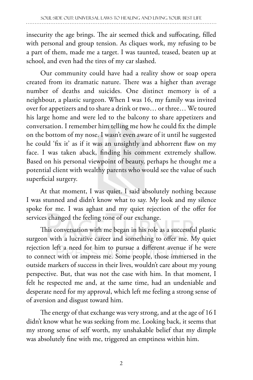insecurity the age brings. The air seemed thick and suffocating, filled with personal and group tension. As cliques work, my refusing to be a part of them, made me a target. I was taunted, teased, beaten up at school, and even had the tires of my car slashed.

Our community could have had a reality show or soap opera created from its dramatic nature. There was a higher than average number of deaths and suicides. One distinct memory is of a neighbour, a plastic surgeon. When I was 16, my family was invited over for appetizers and to share a drink or two… or three… We toured his large home and were led to the balcony to share appetizers and conversation. I remember him telling me how he could fix the dimple on the bottom of my nose. I wasn't even aware of it until he suggested he could 'fix it' as if it was an unsightly and abhorrent flaw on my face. I was taken aback, finding his comment extremely shallow. Based on his personal viewpoint of beauty, perhaps he thought me a potential client with wealthy parents who would see the value of such superficial surgery.

At that moment, I was quiet. I said absolutely nothing because I was stunned and didn't know what to say. My look and my silence spoke for me. I was aghast and my quiet rejection of the offer for services changed the feeling tone of our exchange.

This conversation with me began in his role as a successful plastic surgeon with a lucrative career and something to offer me. My quiet rejection left a need for him to pursue a different avenue if he were to connect with or impress me. Some people, those immersed in the outside markers of success in their lives, wouldn't care about my young perspective. But, that was not the case with him. In that moment, I felt he respected me and, at the same time, had an undeniable and desperate need for my approval, which left me feeling a strong sense of of aversion and disgust toward him.

The energy of that exchange was very strong, and at the age of 16 I didn't know what he was seeking from me. Looking back, it seems that my strong sense of self worth, my unshakable belief that my dimple was absolutely fine with me, triggered an emptiness within him.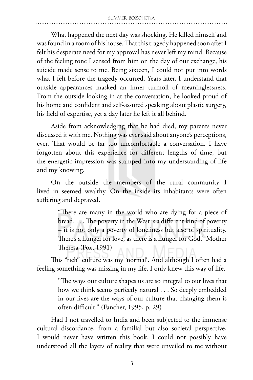What happened the next day was shocking. He killed himself and was found in a room of his house. That this tragedy happened soon after I felt his desperate need for my approval has never left my mind. Because of the feeling tone I sensed from him on the day of our exchange, his suicide made sense to me. Being sixteen, I could not put into words what I felt before the tragedy occurred. Years later, I understand that outside appearances masked an inner turmoil of meaninglessness. From the outside looking in at the conversation, he looked proud of his home and confident and self-assured speaking about plastic surgery, his field of expertise, yet a day later he left it all behind.

Aside from acknowledging that he had died, my parents never discussed it with me. Nothing was ever said about anyone's perceptions, ever. That would be far too uncomfortable a conversation. I have forgotten about this experience for different lengths of time, but the energetic impression was stamped into my understanding of life and my knowing.

On the outside the members of the rural community I lived in seemed wealthy. On the inside its inhabitants were often suffering and depraved.

> "There are many in the world who are dying for a piece of bread. . . . The poverty in the West is a different kind of poverty – it is not only a poverty of loneliness but also of spirituality. There's a hunger for love, as there is a hunger for God." Mother Theresa (Fox, 1991)

This "rich" culture was my 'normal'. And although I often had a feeling something was missing in my life, I only knew this way of life.

> "The ways our culture shapes us are so integral to our lives that how we think seems perfectly natural . . . So deeply embedded in our lives are the ways of our culture that changing them is often difficult." (Fancher, 1995, p. 29)

Had I not travelled to India and been subjected to the immense cultural discordance, from a familial but also societal perspective, I would never have written this book. I could not possibly have understood all the layers of reality that were unveiled to me without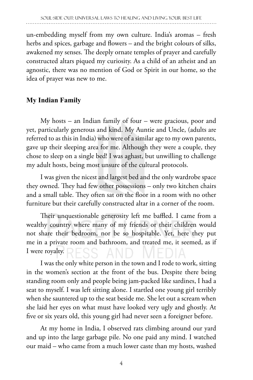un-embedding myself from my own culture. India's aromas – fresh herbs and spices, garbage and flowers – and the bright colours of silks, awakened my senses. The deeply ornate temples of prayer and carefully constructed altars piqued my curiosity. As a child of an atheist and an agnostic, there was no mention of God or Spirit in our home, so the idea of prayer was new to me.

#### **My Indian Family**

My hosts – an Indian family of four – were gracious, poor and yet, particularly generous and kind. My Auntie and Uncle, (adults are referred to as this in India) who were of a similar age to my own parents, gave up their sleeping area for me. Although they were a couple, they chose to sleep on a single bed! I was aghast, but unwilling to challenge my adult hosts, being most unsure of the cultural protocols.

I was given the nicest and largest bed and the only wardrobe space they owned. They had few other possessions – only two kitchen chairs and a small table. They often sat on the floor in a room with no other furniture but their carefully constructed altar in a corner of the room.

Their unquestionable generosity left me baffled. I came from a wealthy country where many of my friends or their children would not share their bedroom, nor be so hospitable. Yet, here they put me in a private room and bathroom, and treated me, it seemed, as if I were royalty.

I was the only white person in the town and I rode to work, sitting in the women's section at the front of the bus. Despite there being standing room only and people being jam-packed like sardines, I had a seat to myself. I was left sitting alone. I startled one young girl terribly when she sauntered up to the seat beside me. She let out a scream when she laid her eyes on what must have looked very ugly and ghostly. At five or six years old, this young girl had never seen a foreigner before.

At my home in India, I observed rats climbing around our yard and up into the large garbage pile. No one paid any mind. I watched our maid – who came from a much lower caste than my hosts, washed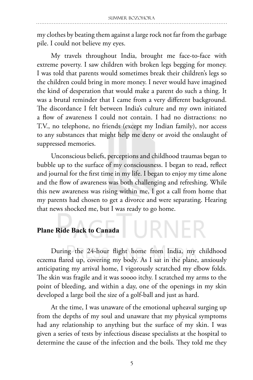my clothes by beating them against a large rock not far from the garbage pile. I could not believe my eyes.

My travels throughout India, brought me face-to-face with extreme poverty. I saw children with broken legs begging for money. I was told that parents would sometimes break their children's legs so the children could bring in more money. I never would have imagined the kind of desperation that would make a parent do such a thing. It was a brutal reminder that I came from a very different background. The discordance I felt between India's culture and my own initiated a flow of awareness I could not contain. I had no distractions: no T.V., no telephone, no friends (except my Indian family), nor access to any substances that might help me deny or avoid the onslaught of suppressed memories.

Unconscious beliefs, perceptions and childhood traumas began to bubble up to the surface of my consciousness. I began to read, reflect and journal for the first time in my life. I began to enjoy my time alone and the flow of awareness was both challenging and refreshing. While this new awareness was rising within me, I got a call from home that my parents had chosen to get a divorce and were separating. Hearing that news shocked me, but I was ready to go home.

#### **Plane Ride Back to Canada**

During the 24-hour flight home from India, my childhood eczema flared up, covering my body. As I sat in the plane, anxiously anticipating my arrival home, I vigorously scratched my elbow folds. The skin was fragile and it was soooo itchy. I scratched my arms to the point of bleeding, and within a day, one of the openings in my skin developed a large boil the size of a golf-ball and just as hard.

URNER

At the time, I was unaware of the emotional upheaval surging up from the depths of my soul and unaware that my physical symptoms had any relationship to anything but the surface of my skin. I was given a series of tests by infectious disease specialists at the hospital to determine the cause of the infection and the boils. They told me they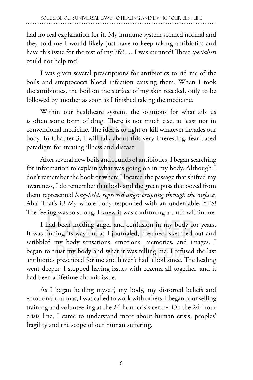had no real explanation for it. My immune system seemed normal and they told me I would likely just have to keep taking antibiotics and have this issue for the rest of my life! … I was stunned! These *specialists*  could not help me!

I was given several prescriptions for antibiotics to rid me of the boils and streptococci blood infection causing them. When I took the antibiotics, the boil on the surface of my skin receded, only to be followed by another as soon as I finished taking the medicine.

Within our healthcare system, the solutions for what ails us is often some form of drug. There is not much else, at least not in conventional medicine. The idea is to fight or kill whatever invades our body. In Chapter 3, I will talk about this very interesting, fear-based paradigm for treating illness and disease.

After several new boils and rounds of antibiotics, I began searching for information to explain what was going on in my body. Although I don't remember the book or where I located the passage that shifted my awareness, I do remember that boils and the green puss that oozed from them represented *long-held, repressed anger erupting through the surface.* Aha! That's it! My whole body responded with an undeniable, YES! The feeling was so strong, I knew it was confirming a truth within me.

I had been holding anger and confusion in my body for years. It was finding its way out as I journaled, dreamed, sketched out and scribbled my body sensations, emotions, memories, and images. I began to trust my body and what it was telling me. I refused the last antibiotics prescribed for me and haven't had a boil since. The healing went deeper. I stopped having issues with eczema all together, and it had been a lifetime chronic issue.

As I began healing myself, my body, my distorted beliefs and emotional traumas, I was called to work with others. I began counselling training and volunteering at the 24-hour crisis centre. On the 24- hour crisis line, I came to understand more about human crisis, peoples' fragility and the scope of our human suffering.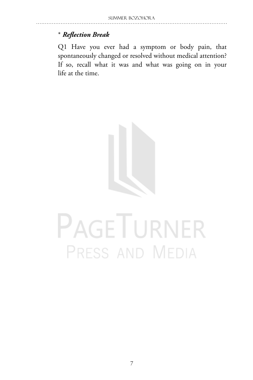#### \* *Reflection Break*

Q1 Have you ever had a symptom or body pain, that spontaneously changed or resolved without medical attention? If so, recall what it was and what was going on in your life at the time.



## PAGETURNER PRESS AND MEDIA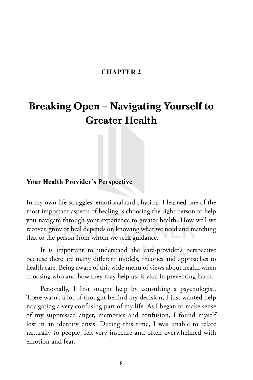#### **CHAPTER 2**

### Breaking Open – Navigating Yourself to Greater Health

#### **Your Health Provider's Perspective**

In my own life struggles, emotional and physical, I learned one of the most important aspects of healing is choosing the right person to help you navigate through your experience to greater health. How well we recover, grow or heal depends on knowing what we need and matching that to the person from whom we seek guidance.

It is important to understand the care-provider's perspective because there are many different models, theories and approaches to health care. Being aware of this wide menu of views about health when choosing who and how they may help us, is vital in preventing harm.

Personally, I first sought help by consulting a psychologist. There wasn't a lot of thought behind my decision, I just wanted help navigating a very confusing part of my life. As I began to make sense of my suppressed anger, memories and confusion, I found myself lost in an identity crisis. During this time, I was unable to relate naturally to people, felt very insecure and often overwhelmed with emotion and fear.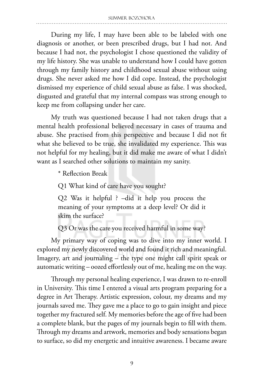During my life, I may have been able to be labeled with one diagnosis or another, or been prescribed drugs, but I had not. And because I had not, the psychologist I chose questioned the validity of my life history. She was unable to understand how I could have gotten through my family history and childhood sexual abuse without using drugs. She never asked me how I did cope. Instead, the psychologist dismissed my experience of child sexual abuse as false. I was shocked, disgusted and grateful that my internal compass was strong enough to keep me from collapsing under her care.

My truth was questioned because I had not taken drugs that a mental health professional believed necessary in cases of trauma and abuse. She practised from this perspective and because I did not fit what she believed to be true, she invalidated my experience. This was not helpful for my healing, but it did make me aware of what I didn't want as I searched other solutions to maintain my sanity.

\* Reflection Break

Q1 What kind of care have you sought?

Q2 Was it helpful ? –did it help you process the meaning of your symptoms at a deep level? Or did it skim the surface?

Q3 Or was the care you received harmful in some way?

My primary way of coping was to dive into my inner world. I explored my newly discovered world and found it rich and meaningful. Imagery, art and journaling – the type one might call spirit speak or automatic writing – oozed effortlessly out of me, healing me on the way.

Through my personal healing experience, I was drawn to re-enroll in University. This time I entered a visual arts program preparing for a degree in Art Therapy. Artistic expression, colour, my dreams and my journals saved me. They gave me a place to go to gain insight and piece together my fractured self. My memories before the age of five had been a complete blank, but the pages of my journals begin to fill with them. Through my dreams and artwork, memories and body sensations began to surface, so did my energetic and intuitive awareness. I became aware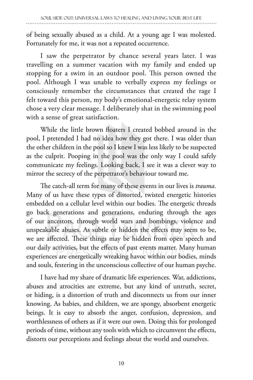of being sexually abused as a child. At a young age I was molested. Fortunately for me, it was not a repeated occurrence.

I saw the perpetrator by chance several years later. I was travelling on a summer vacation with my family and ended up stopping for a swim in an outdoor pool. This person owned the pool. Although I was unable to verbally express my feelings or consciously remember the circumstances that created the rage I felt toward this person, my body's emotional-energetic relay system chose a very clear message. I deliberately shat in the swimming pool with a sense of great satisfaction.

While the little brown floaters I created bobbed around in the pool, I pretended I had no idea how they got there. I was older than the other children in the pool so I knew I was less likely to be suspected as the culprit. Pooping in the pool was the only way I could safely communicate my feelings. Looking back, I see it was a clever way to mirror the secrecy of the perpetrator's behaviour toward me.

The catch-all term for many of these events in our lives is *trauma*. Many of us have these types of distorted, twisted energetic histories embedded on a cellular level within our bodies. The energetic threads go back generations and generations, enduring through the ages of our ancestors, through world wars and bombings, violence and unspeakable abuses. As subtle or hidden the effects may seem to be, we are affected. These things may be hidden from open speech and our daily activities, but the effects of past events matter. Many human experiences are energetically wreaking havoc within our bodies, minds and souls, festering in the unconscious collective of our human psyche.

I have had my share of dramatic life experiences. War, addictions, abuses and atrocities are extreme, but any kind of untruth, secret, or hiding, is a distortion of truth and disconnects us from our inner knowing. As babies, and children, we are spongy, absorbent energetic beings. It is easy to absorb the anger, confusion, depression, and worthlessness of others as if it were our own. Doing this for prolonged periods of time, without any tools with which to circumvent the effects, distorts our perceptions and feelings about the world and ourselves.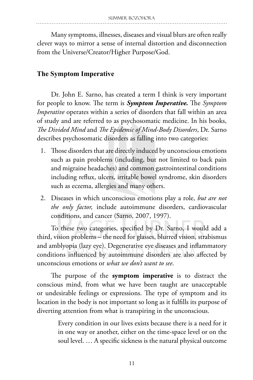Many symptoms, illnesses, diseases and visual blurs are often really clever ways to mirror a sense of internal distortion and disconnection from the Universe/Creator/Higher Purpose/God.

#### **The Symptom Imperative**

Dr. John E. Sarno, has created a term I think is very important for people to know. The term is *Symptom Imperative.* The *Symptom Imperative* operates within a series of disorders that fall within an area of study and are referred to as psychosomatic medicine. In his books, *The Divided Mind* and *The Epidemic of Mind-Body Disorders*, Dr. Sarno describes psychosomatic disorders as falling into two categories:

- 1. Those disorders that are directly induced by unconscious emotions such as pain problems (including, but not limited to back pain and migraine headaches) and common gastrointestinal conditions including reflux, ulcers, irritable bowel syndrome, skin disorders such as eczema, allergies and many others.
- 2. Diseases in which unconscious emotions play a role, *but are not the only factor,* include autoimmune disorders, cardiovascular conditions, and cancer (Sarno, 2007, 1997).

To these two categories, specified by Dr. Sarno, I would add a third, vision problems – the need for glasses, blurred vision, strabismus and amblyopia (lazy eye). Degenerative eye diseases and inflammatory conditions influenced by autoimmune disorders are also affected by unconscious emotions or *what we don't want to see*.

The purpose of the **symptom imperative** is to distract the conscious mind, from what we have been taught are unacceptable or undesirable feelings or expressions. The type of symptom and its location in the body is not important so long as it fulfills its purpose of diverting attention from what is transpiring in the unconscious.

> Every condition in our lives exists because there is a need for it in one way or another, either on the time-space level or on the soul level. … A specific sickness is the natural physical outcome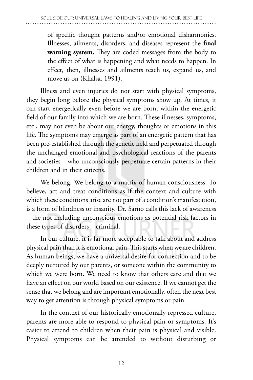of specific thought patterns and/or emotional disharmonies. Illnesses, ailments, disorders, and diseases represent the **final warning system.** They are coded messages from the body to the effect of what is happening and what needs to happen. In effect, then, illnesses and ailments teach us, expand us, and move us on (Khalsa, 1991).

Illness and even injuries do not start with physical symptoms, they begin long before the physical symptoms show up. At times, it can start energetically even before we are born, within the energetic field of our family into which we are born. These illnesses, symptoms, etc., may not even be about our energy, thoughts or emotions in this life. The symptoms may emerge as part of an energetic pattern that has been pre-established through the genetic field and perpetuated through the unchanged emotional and psychological reactions of the parents and societies – who unconsciously perpetuate certain patterns in their children and in their citizens.

We belong. We belong to a matrix of human consciousness. To believe, act and treat conditions as if the context and culture with which these conditions arise are not part of a condition's manifestation, is a form of blindness or insanity. Dr. Sarno calls this lack of awareness – the not including unconscious emotions as potential risk factors in these types of disorders – criminal.

In our culture, it is far more acceptable to talk about and address physical pain than it is emotional pain. This starts when we are children. As human beings, we have a universal desire for connection and to be deeply nurtured by our parents, or someone within the community to which we were born. We need to know that others care and that we have an effect on our world based on our existence. If we cannot get the sense that we belong and are important emotionally, often the next best way to get attention is through physical symptoms or pain.

In the context of our historically emotionally repressed culture, parents are more able to respond to physical pain or symptoms. It's easier to attend to children when their pain is physical and visible. Physical symptoms can be attended to without disturbing or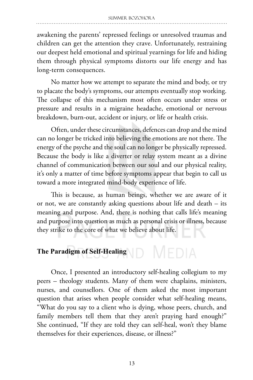awakening the parents' repressed feelings or unresolved traumas and children can get the attention they crave. Unfortunately, restraining our deepest held emotional and spiritual yearnings for life and hiding them through physical symptoms distorts our life energy and has long-term consequences.

No matter how we attempt to separate the mind and body, or try to placate the body's symptoms, our attempts eventually stop working. The collapse of this mechanism most often occurs under stress or pressure and results in a migraine headache, emotional or nervous breakdown, burn-out, accident or injury, or life or health crisis.

Often, under these circumstances, defences can drop and the mind can no longer be tricked into believing the emotions are not there. The energy of the psyche and the soul can no longer be physically repressed. Because the body is like a diverter or relay system meant as a divine channel of communication between our soul and our physical reality, it's only a matter of time before symptoms appear that begin to call us toward a more integrated mind-body experience of life.

This is because, as human beings, whether we are aware of it or not, we are constantly asking questions about life and death – its meaning and purpose. And, there is nothing that calls life's meaning and purpose into question as much as personal crisis or illness, because they strike to the core of what we believe about life.

## **The Paradigm of Self-Healing**

Once, I presented an introductory self-healing collegium to my peers – theology students. Many of them were chaplains, ministers, nurses, and counsellors. One of them asked the most important question that arises when people consider what self-healing means, "What do you say to a client who is dying, whose peers, church, and family members tell them that they aren't praying hard enough?" She continued, "If they are told they can self-heal, won't they blame themselves for their experiences, disease, or illness?"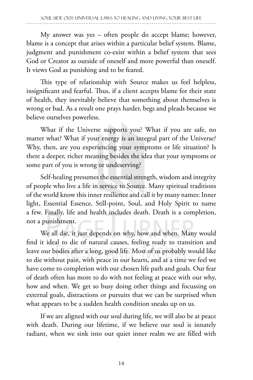My answer was yes – often people do accept blame; however, blame is a concept that arises within a particular belief system. Blame, judgment and punishment co-exist within a belief system that sees God or Creator as outside of oneself and more powerful than oneself. It views God as punishing and to be feared.

This type of relationship with Source makes us feel helpless, insignificant and fearful. Thus, if a client accepts blame for their state of health, they inevitably believe that something about themselves is wrong or bad. As a result one prays harder, begs and pleads because we believe ourselves powerless.

What if the Universe supports you? What if you are safe, no matter what? What if your energy is an integral part of the Universe? Why, then, are you experiencing your symptoms or life situation? Is there a deeper, richer meaning besides the idea that your symptoms or some part of you is wrong or undeserving?

Self-healing presumes the essential strength, wisdom and integrity of people who live a life in service to Source. Many spiritual traditions of the world know this inner resilience and call it by many names: Inner light, Essential Essence, Still-point, Soul, and Holy Spirit to name a few. Finally, life and health includes death. Death is a completion, not a punishment.

We all die, it just depends on why, how and when. Many would find it ideal to die of natural causes, feeling ready to transition and leave our bodies after a long, good life. Most of us probably would like to die without pain, with peace in our hearts, and at a time we feel we have come to completion with our chosen life path and goals. Our fear of death often has more to do with not feeling at peace with our why, how and when. We get so busy doing other things and focussing on external goals, distractions or pursuits that we can be surprised when what appears to be a sudden health condition sneaks up on us.

If we are aligned with our soul during life, we will also be at peace with death. During our lifetime, if we believe our soul is innately radiant, when we sink into our quiet inner realm we are filled with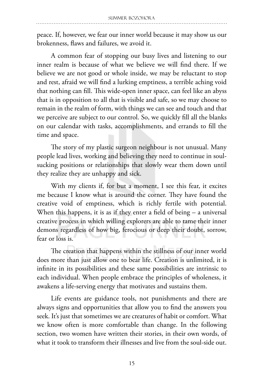peace. If, however, we fear our inner world because it may show us our brokenness, flaws and failures, we avoid it.

A common fear of stopping our busy lives and listening to our inner realm is because of what we believe we will find there. If we believe we are not good or whole inside, we may be reluctant to stop and rest, afraid we will find a lurking emptiness, a terrible aching void that nothing can fill. This wide-open inner space, can feel like an abyss that is in opposition to all that is visible and safe, so we may choose to remain in the realm of form, with things we can see and touch and that we perceive are subject to our control. So, we quickly fill all the blanks on our calendar with tasks, accomplishments, and errands to fill the time and space.

The story of my plastic surgeon neighbour is not unusual. Many people lead lives, working and believing they need to continue in soulsucking positions or relationships that slowly wear them down until they realize they are unhappy and sick.

With my clients if, for but a moment, I see this fear, it excites me because I know what is around the corner. They have found the creative void of emptiness, which is richly fertile with potential. When this happens, it is as if they enter a field of being – a universal creative process in which willing explorers are able to tame their inner demons regardless of how big, ferocious or deep their doubt, sorrow, fear or loss is.

The creation that happens within the stillness of our inner world does more than just allow one to bear life. Creation is unlimited, it is infinite in its possibilities and these same possibilities are intrinsic to each individual. When people embrace the principles of wholeness, it awakens a life-serving energy that motivates and sustains them.

Life events are guidance tools, not punishments and there are always signs and opportunities that allow you to find the answers you seek. It's just that sometimes we are creatures of habit or comfort. What we know often is more comfortable than change. In the following section, two women have written their stories, in their own words, of what it took to transform their illnesses and live from the soul-side out.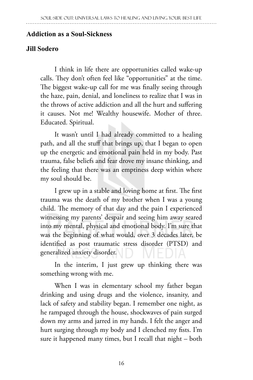#### **Addiction as a Soul-Sickness**

#### **Jill Sodero**

I think in life there are opportunities called wake-up calls. They don't often feel like "opportunities" at the time. The biggest wake-up call for me was finally seeing through the haze, pain, denial, and loneliness to realize that I was in the throws of active addiction and all the hurt and suffering it causes. Not me! Wealthy housewife. Mother of three. Educated. Spiritual.

It wasn't until I had already committed to a healing path, and all the stuff that brings up, that I began to open up the energetic and emotional pain held in my body. Past trauma, false beliefs and fear drove my insane thinking, and the feeling that there was an emptiness deep within where my soul should be.

I grew up in a stable and loving home at first. The first trauma was the death of my brother when I was a young child. The memory of that day and the pain I experienced witnessing my parents' despair and seeing him away seared into my mental, physical and emotional body. I'm sure that was the beginning of what would, over 3 decades later, be identified as post traumatic stress disorder (PTSD) and generalized anxiety disorder.

In the interim, I just grew up thinking there was something wrong with me.

When I was in elementary school my father began drinking and using drugs and the violence, insanity, and lack of safety and stability began. I remember one night, as he rampaged through the house, shockwaves of pain surged down my arms and jarred in my hands. I felt the anger and hurt surging through my body and I clenched my fists. I'm sure it happened many times, but I recall that night – both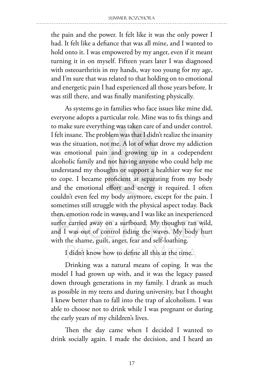the pain and the power. It felt like it was the only power I had. It felt like a defiance that was all mine, and I wanted to hold onto it. I was empowered by my anger, even if it meant turning it in on myself. Fifteen years later I was diagnosed with osteoarthritis in my hands, way too young for my age, and I'm sure that was related to that holding on to emotional and energetic pain I had experienced all those years before. It was still there, and was finally manifesting physically.

As systems go in families who face issues like mine did, everyone adopts a particular role. Mine was to fix things and to make sure everything was taken care of and under control. I felt insane. The problem was that I didn't realize the insanity was the situation, not me. A lot of what drove my addiction was emotional pain and growing up in a codependent alcoholic family and not having anyone who could help me understand my thoughts or support a healthier way for me to cope. I became proficient at separating from my body and the emotional effort and energy it required. I often couldn't even feel my body anymore, except for the pain. I sometimes still struggle with the physical aspect today. Back then, emotion rode in waves, and I was like an inexperienced surfer carried away on a surfboard. My thoughts ran wild, and I was out of control riding the waves. My body hurt with the shame, guilt, anger, fear and self-loathing.

I didn't know how to define all this at the time.

Drinking was a natural means of coping. It was the model I had grown up with, and it was the legacy passed down through generations in my family. I drank as much as possible in my teens and during university, but I thought I knew better than to fall into the trap of alcoholism. I was able to choose not to drink while I was pregnant or during the early years of my children's lives.

Then the day came when I decided I wanted to drink socially again. I made the decision, and I heard an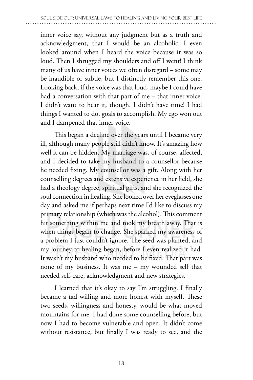inner voice say, without any judgment but as a truth and acknowledgment, that I would be an alcoholic. I even looked around when I heard the voice because it was so loud. Then I shrugged my shoulders and off I went! I think many of us have inner voices we often disregard – some may be inaudible or subtle, but I distinctly remember this one. Looking back, if the voice was that loud, maybe I could have had a conversation with that part of me – that inner voice. I didn't want to hear it, though. I didn't have time! I had things I wanted to do, goals to accomplish. My ego won out and I dampened that inner voice.

This began a decline over the years until I became very ill, although many people still didn't know. It's amazing how well it can be hidden. My marriage was, of course, affected, and I decided to take my husband to a counsellor because he needed fixing. My counsellor was a gift. Along with her counselling degrees and extensive experience in her field, she had a theology degree, spiritual gifts, and she recognized the soul connection in healing. She looked over her eyeglasses one day and asked me if perhaps next time I'd like to discuss my primary relationship (which was the alcohol). This comment hit something within me and took my breath away. That is when things began to change. She sparked my awareness of a problem I just couldn't ignore. The seed was planted, and my journey to healing began, before I even realized it had. It wasn't my husband who needed to be fixed. That part was none of my business. It was me – my wounded self that needed self-care, acknowledgment and new strategies.

I learned that it's okay to say I'm struggling. I finally became a tad willing and more honest with myself. These two seeds, willingness and honesty, would be what moved mountains for me. I had done some counselling before, but now I had to become vulnerable and open. It didn't come without resistance, but finally I was ready to see, and the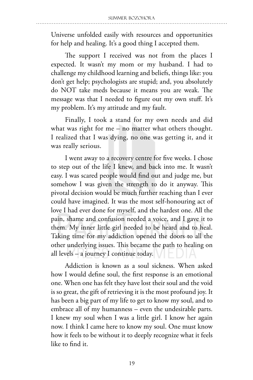Universe unfolded easily with resources and opportunities for help and healing. It's a good thing I accepted them.

The support I received was not from the places I expected. It wasn't my mom or my husband. I had to challenge my childhood learning and beliefs, things like: you don't get help; psychologists are stupid; and, you absolutely do NOT take meds because it means you are weak. The message was that I needed to figure out my own stuff. It's my problem. It's my attitude and my fault.

Finally, I took a stand for my own needs and did what was right for me – no matter what others thought. I realized that I was dying, no one was getting it, and it was really serious.

I went away to a recovery centre for five weeks. I chose to step out of the life I knew, and back into me. It wasn't easy. I was scared people would find out and judge me, but somehow I was given the strength to do it anyway. This pivotal decision would be much further reaching than I ever could have imagined. It was the most self-honouring act of love I had ever done for myself, and the hardest one. All the pain, shame and confusion needed a voice, and I gave it to them. My inner little girl needed to be heard and to heal. Taking time for my addiction opened the doors to all the other underlying issues. This became the path to healing on all levels – a journey I continue today.

Addiction is known as a soul sickness. When asked how I would define soul, the first response is an emotional one. When one has felt they have lost their soul and the void is so great, the gift of retrieving it is the most profound joy. It has been a big part of my life to get to know my soul, and to embrace all of my humanness – even the undesirable parts. I knew my soul when I was a little girl. I know her again now. I think I came here to know my soul. One must know how it feels to be without it to deeply recognize what it feels like to find it.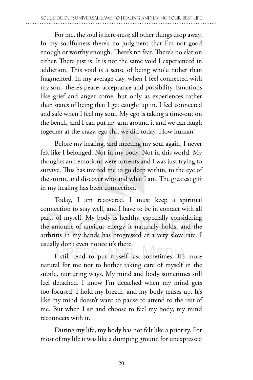For me, the soul is here-ness; all other things drop away. In my soulfulness there's no judgment that I'm not good enough or worthy enough. There's no fear. There's no elation either. There just is. It is not the same void I experienced in addiction. This void is a sense of being whole rather than fragmented. In my average day, when I feel connected with my soul, there's peace, acceptance and possibility. Emotions like grief and anger come, but only as experiences rather than states of being that I get caught up in. I feel connected and safe when I feel my soul. My ego is taking a time-out on the bench, and I can put my arm around it and we can laugh together at the crazy, ego shit we did today. How human!

Before my healing, and meeting my soul again, I never felt like I belonged. Not in my body. Not in this world. My thoughts and emotions were torrents and I was just trying to survive. This has invited me to go deep within, to the eye of the storm, and discover who and what I am. The greatest gift in my healing has been connection.

Today, I am recovered. I must keep a spiritual connection to stay well, and I have to be in contact with all parts of myself. My body is healthy, especially considering the amount of anxious energy it naturally holds, and the arthritis in my hands has progressed at a very slow rate. I usually don't even notice it's there.

I still tend to put myself last sometimes. It's more natural for me not to bother taking care of myself in the subtle, nurturing ways. My mind and body sometimes still feel detached. I know I'm detached when my mind gets too focused, I hold my breath, and my body tenses up. It's like my mind doesn't want to pause to attend to the rest of me. But when I sit and choose to feel my body, my mind reconnects with it.

During my life, my body has not felt like a priority. For most of my life it was like a dumping ground for unexpressed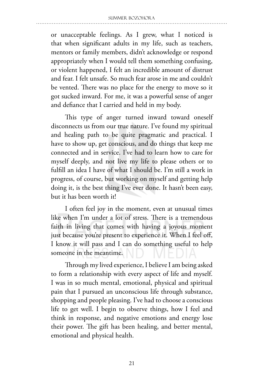or unacceptable feelings. As I grew, what I noticed is that when significant adults in my life, such as teachers, mentors or family members, didn't acknowledge or respond appropriately when I would tell them something confusing, or violent happened, I felt an incredible amount of distrust and fear. I felt unsafe. So much fear arose in me and couldn't be vented. There was no place for the energy to move so it got sucked inward. For me, it was a powerful sense of anger and defiance that I carried and held in my body.

This type of anger turned inward toward oneself disconnects us from our true nature. I've found my spiritual and healing path to be quite pragmatic and practical. I have to show up, get conscious, and do things that keep me connected and in service. I've had to learn how to care for myself deeply, and not live my life to please others or to fulfill an idea I have of what I should be. I'm still a work in progress, of course, but working on myself and getting help doing it, is the best thing I've ever done. It hasn't been easy, but it has been worth it!

I often feel joy in the moment, even at unusual times like when I'm under a lot of stress. There is a tremendous faith in living that comes with having a joyous moment just because you're present to experience it. When I feel off, I know it will pass and I can do something useful to help someone in the meantime.

Through my lived experience, I believe I am being asked to form a relationship with every aspect of life and myself. I was in so much mental, emotional, physical and spiritual pain that I pursued an unconscious life through substance, shopping and people pleasing. I've had to choose a conscious life to get well. I begin to observe things, how I feel and think in response, and negative emotions and energy lose their power. The gift has been healing, and better mental, emotional and physical health.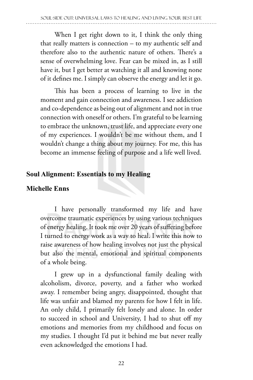When I get right down to it, I think the only thing that really matters is connection – to my authentic self and therefore also to the authentic nature of others. There's a sense of overwhelming love. Fear can be mixed in, as I still have it, but I get better at watching it all and knowing none of it defines me. I simply can observe the energy and let it go.

This has been a process of learning to live in the moment and gain connection and awareness. I see addiction and co-dependence as being out of alignment and not in true connection with oneself or others. I'm grateful to be learning to embrace the unknown, trust life, and appreciate every one of my experiences. I wouldn't be me without them, and I wouldn't change a thing about my journey. For me, this has become an immense feeling of purpose and a life well lived.

#### **Soul Alignment: Essentials to my Healing**

#### **Michelle Enns**

I have personally transformed my life and have overcome traumatic experiences by using various techniques of energy healing. It took me over 20 years of suffering before I turned to energy work as a way to heal. I write this now to raise awareness of how healing involves not just the physical but also the mental, emotional and spiritual components of a whole being.

I grew up in a dysfunctional family dealing with alcoholism, divorce, poverty, and a father who worked away. I remember being angry, disappointed, thought that life was unfair and blamed my parents for how I felt in life. An only child, I primarily felt lonely and alone. In order to succeed in school and University, I had to shut off my emotions and memories from my childhood and focus on my studies. I thought I'd put it behind me but never really even acknowledged the emotions I had.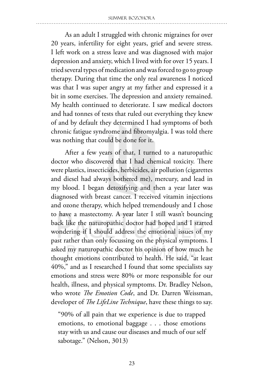As an adult I struggled with chronic migraines for over 20 years, infertility for eight years, grief and severe stress. I left work on a stress leave and was diagnosed with major depression and anxiety, which I lived with for over 15 years. I tried several types of medication and was forced to go to group therapy. During that time the only real awareness I noticed was that I was super angry at my father and expressed it a bit in some exercises. The depression and anxiety remained. My health continued to deteriorate. I saw medical doctors and had tonnes of tests that ruled out everything they knew of and by default they determined I had symptoms of both chronic fatigue syndrome and fibromyalgia. I was told there was nothing that could be done for it.

After a few years of that, I turned to a naturopathic doctor who discovered that I had chemical toxicity. There were plastics, insecticides, herbicides, air pollution (cigarettes and diesel had always bothered me), mercury, and lead in my blood. I began detoxifying and then a year later was diagnosed with breast cancer. I received vitamin injections and ozone therapy, which helped tremendously and I chose to have a mastectomy. A year later I still wasn't bouncing back like the naturopathic doctor had hoped and I started wondering if I should address the emotional issues of my past rather than only focussing on the physical symptoms. I asked my naturopathic doctor his opinion of how much he thought emotions contributed to health. He said, "at least 40%," and as I researched I found that some specialists say emotions and stress were 80% or more responsible for our health, illness, and physical symptoms. Dr. Bradley Nelson, who wrote *The Emotion Code*, and Dr. Darren Weissman, developer of *The LifeLine Technique*, have these things to say.

"90% of all pain that we experience is due to trapped emotions, to emotional baggage . . . those emotions stay with us and cause our diseases and much of our self sabotage." (Nelson, 3013)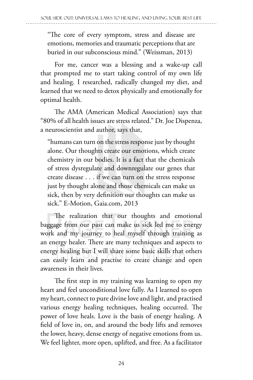"The core of every symptom, stress and disease are emotions, memories and traumatic perceptions that are buried in our subconscious mind." (Weissman, 2013)

For me, cancer was a blessing and a wake-up call that prompted me to start taking control of my own life and healing. I researched, radically changed my diet, and learned that we need to detox physically and emotionally for optimal health.

The AMA (American Medical Association) says that "80% of all health issues are stress related." Dr. Joe Dispenza, a neuroscientist and author, says that,

"humans can turn on the stress response just by thought alone. Our thoughts create our emotions, which create chemistry in our bodies. It is a fact that the chemicals of stress dysregulate and downregulate our genes that create disease . . . if we can turn on the stress response just by thought alone and those chemicals can make us sick, then by very definition our thoughts can make us sick." E-Motion, Gaia.com, 2013

The realization that our thoughts and emotional baggage from our past can make us sick led me to energy work and my journey to heal myself through training as an energy healer. There are many techniques and aspects to energy healing but I will share some basic skills that others can easily learn and practise to create change and open awareness in their lives.

The first step in my training was learning to open my heart and feel unconditional love fully. As I learned to open my heart, connect to pure divine love and light, and practised various energy healing techniques, healing occurred. The power of love heals. Love is the basis of energy healing. A field of love in, on, and around the body lifts and removes the lower, heavy, dense energy of negative emotions from us. We feel lighter, more open, uplifted, and free. As a facilitator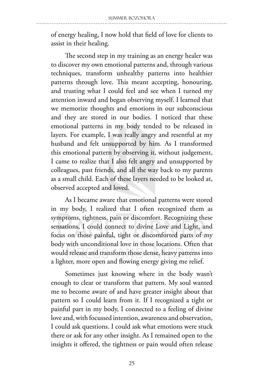of energy healing, I now hold that field of love for clients to assist in their healing.

The second step in my training as an energy healer was to discover my own emotional patterns and, through various techniques, transform unhealthy patterns into healthier patterns through love. This meant accepting, honouring, and trusting what I could feel and see when I turned my attention inward and began observing myself. I learned that we memorize thoughts and emotions in our subconscious and they are stored in our bodies. I noticed that these emotional patterns in my body tended to be released in layers. For example, I was really angry and resentful at my husband and felt unsupported by him. As I transformed this emotional pattern by observing it, without judgement, I came to realize that I also felt angry and unsupported by colleagues, past friends, and all the way back to my parents as a small child. Each of these layers needed to be looked at, observed accepted and loved.

As I became aware that emotional patterns were stored in my body, I realized that I often recognized them as symptoms, tightness, pain or discomfort. Recognizing these sensations, I could connect to divine Love and Light, and focus on those painful, tight or discomforted parts of my body with unconditional love in those locations. Often that would release and transform those dense, heavy patterns into a lighter, more open and flowing energy giving me relief.

Sometimes just knowing where in the body wasn't enough to clear or transform that pattern. My soul wanted me to become aware of and have greater insight about that pattern so I could learn from it. If I recognized a tight or painful part in my body, I connected to a feeling of divine love and, with focussed intention, awareness and observation, I could ask questions. I could ask what emotions were stuck there or ask for any other insight. As I remained open to the insights it offered, the tightness or pain would often release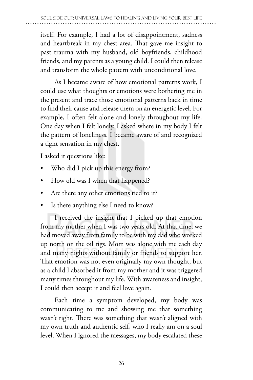itself. For example, I had a lot of disappointment, sadness and heartbreak in my chest area. That gave me insight to past trauma with my husband, old boyfriends, childhood friends, and my parents as a young child. I could then release and transform the whole pattern with unconditional love.

As I became aware of how emotional patterns work, I could use what thoughts or emotions were bothering me in the present and trace those emotional patterns back in time to find their cause and release them on an energetic level. For example, I often felt alone and lonely throughout my life. One day when I felt lonely, I asked where in my body I felt the pattern of loneliness. I became aware of and recognized a tight sensation in my chest.

I asked it questions like:

- Who did I pick up this energy from?
- How old was I when that happened?
- Are there any other emotions tied to it?
- Is there anything else I need to know?

I received the insight that I picked up that emotion from my mother when I was two years old. At that time, we had moved away from family to be with my dad who worked up north on the oil rigs. Mom was alone with me each day and many nights without family or friends to support her. That emotion was not even originally my own thought, but as a child I absorbed it from my mother and it was triggered many times throughout my life. With awareness and insight, I could then accept it and feel love again.

Each time a symptom developed, my body was communicating to me and showing me that something wasn't right. There was something that wasn't aligned with my own truth and authentic self, who I really am on a soul level. When I ignored the messages, my body escalated these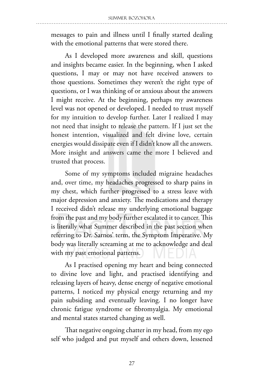messages to pain and illness until I finally started dealing with the emotional patterns that were stored there.

As I developed more awareness and skill, questions and insights became easier. In the beginning, when I asked questions, I may or may not have received answers to those questions. Sometimes they weren't the right type of questions, or I was thinking of or anxious about the answers I might receive. At the beginning, perhaps my awareness level was not opened or developed. I needed to trust myself for my intuition to develop further. Later I realized I may not need that insight to release the pattern. If I just set the honest intention, visualized and felt divine love, certain energies would dissipate even if I didn't know all the answers. More insight and answers came the more I believed and trusted that process.

Some of my symptoms included migraine headaches and, over time, my headaches progressed to sharp pains in my chest, which further progressed to a stress leave with major depression and anxiety. The medications and therapy I received didn't release my underlying emotional baggage from the past and my body further escalated it to cancer. This is literally what Summer described in the past section when referring to Dr. Sarnos' term, the Symptom Imperative. My body was literally screaming at me to acknowledge and deal with my past emotional patterns.

As I practised opening my heart and being connected to divine love and light, and practised identifying and releasing layers of heavy, dense energy of negative emotional patterns, I noticed my physical energy returning and my pain subsiding and eventually leaving. I no longer have chronic fatigue syndrome or fibromyalgia. My emotional and mental states started changing as well.

That negative ongoing chatter in my head, from my ego self who judged and put myself and others down, lessened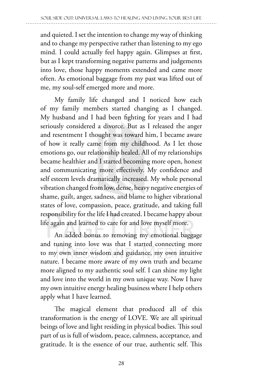and quieted. I set the intention to change my way of thinking and to change my perspective rather than listening to my ego mind. I could actually feel happy again. Glimpses at first, but as I kept transforming negative patterns and judgements into love, those happy moments extended and came more often. As emotional baggage from my past was lifted out of me, my soul-self emerged more and more.

My family life changed and I noticed how each of my family members started changing as I changed. My husband and I had been fighting for years and I had seriously considered a divorce. But as I released the anger and resentment I thought was toward him, I became aware of how it really came from my childhood. As I let those emotions go, our relationship healed. All of my relationships became healthier and I started becoming more open, honest and communicating more effectively. My confidence and self esteem levels dramatically increased. My whole personal vibration changed from low, dense, heavy negative energies of shame, guilt, anger, sadness, and blame to higher vibrational states of love, compassion, peace, gratitude, and taking full responsibility for the life I had created. I became happy about life again and learned to care for and love myself more.

An added bonus to removing my emotional baggage and tuning into love was that I started connecting more to my own inner wisdom and guidance, my own intuitive nature. I became more aware of my own truth and became more aligned to my authentic soul self. I can shine my light and love into the world in my own unique way. Now I have my own intuitive energy healing business where I help others apply what I have learned.

The magical element that produced all of this transformation is the energy of LOVE. We are all spiritual beings of love and light residing in physical bodies. This soul part of us is full of wisdom, peace, calmness, acceptance, and gratitude. It is the essence of our true, authentic self. This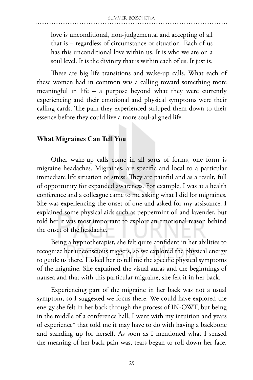love is unconditional, non-judgemental and accepting of all that is – regardless of circumstance or situation. Each of us has this unconditional love within us. It is who we are on a soul level. It is the divinity that is within each of us. It just is.

These are big life transitions and wake-up calls. What each of these women had in common was a calling toward something more meaningful in life – a purpose beyond what they were currently experiencing and their emotional and physical symptoms were their calling cards. The pain they experienced stripped them down to their essence before they could live a more soul-aligned life.

# **What Migraines Can Tell You**

Other wake-up calls come in all sorts of forms, one form is migraine headaches. Migraines, are specific and local to a particular immediate life situation or stress. They are painful and as a result, full of opportunity for expanded awareness. For example, I was at a health conference and a colleague came to me asking what I did for migraines. She was experiencing the onset of one and asked for my assistance. I explained some physical aids such as peppermint oil and lavender, but told her it was most important to explore an emotional reason behind the onset of the headache.

Being a hypnotherapist, she felt quite confident in her abilities to recognize her unconscious triggers, so we explored the physical energy to guide us there. I asked her to tell me the specific physical symptoms of the migraine. She explained the visual auras and the beginnings of nausea and that with this particular migraine, she felt it in her back.

Experiencing part of the migraine in her back was not a usual symptom, so I suggested we focus there. We could have explored the energy she felt in her back through the process of IN-OWT, but being in the middle of a conference hall, I went with my intuition and years of experience\* that told me it may have to do with having a backbone and standing up for herself. As soon as I mentioned what I sensed the meaning of her back pain was, tears began to roll down her face.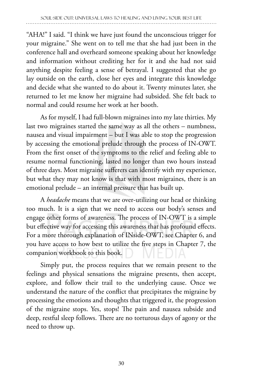"AHA!" I said. "I think we have just found the unconscious trigger for your migraine." She went on to tell me that she had just been in the conference hall and overheard someone speaking about her knowledge and information without crediting her for it and she had not said anything despite feeling a sense of betrayal. I suggested that she go lay outside on the earth, close her eyes and integrate this knowledge and decide what she wanted to do about it. Twenty minutes later, she returned to let me know her migraine had subsided. She felt back to normal and could resume her work at her booth.

As for myself, I had full-blown migraines into my late thirties. My last two migraines started the same way as all the others – numbness, nausea and visual impairment – but I was able to stop the progression by accessing the emotional prelude through the process of IN-OWT. From the first onset of the symptoms to the relief and feeling able to resume normal functioning, lasted no longer than two hours instead of three days. Most migraine sufferers can identify with my experience, but what they may not know is that with most migraines, there is an emotional prelude – an internal pressure that has built up.

A *headache* means that we are over-utilizing our head or thinking too much. It is a sign that we need to access our body's senses and engage other forms of awareness. The process of IN-OWT is a simple but effective way for accessing this awareness that has profound effects. For a more thorough explanation of INside-OWT, see Chapter 6, and you have access to how best to utilize the five steps in Chapter 7, the companion workbook to this book.

Simply put, the process requires that we remain present to the feelings and physical sensations the migraine presents, then accept, explore, and follow their trail to the underlying cause. Once we understand the nature of the conflict that precipitates the migraine by processing the emotions and thoughts that triggered it, the progression of the migraine stops. Yes, stops! The pain and nausea subside and deep, restful sleep follows. There are no torturous days of agony or the need to throw up.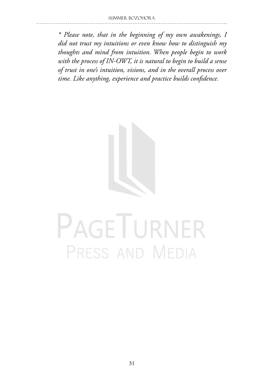*\* Please note, that in the beginning of my own awakenings, I did not trust my intuitions or even know how to distinguish my thoughts and mind from intuition. When people begin to work with the process of IN-OWT, it is natural to begin to build a sense of trust in one's intuition, visions, and in the overall process over time. Like anything, experience and practice builds confidence.* 



# PAGETURNER PRESS AND MEDIA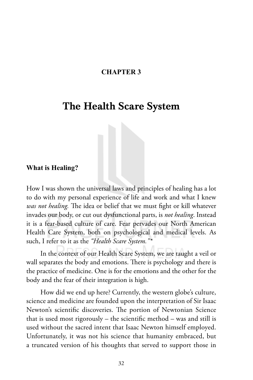#### **CHAPTER 3**

# The Health Scare System

#### **What is Healing?**

How I was shown the universal laws and principles of healing has a lot to do with my personal experience of life and work and what I knew *was not healing.* The idea or belief that we must fight or kill whatever invades our body, or cut out dysfunctional parts, is *not healing*. Instead it is a fear-based culture of care. Fear pervades our North American Health Care System, both on psychological and medical levels. As such, I refer to it as the *"Health Scare System."\** 

In the context of our Health Scare System, we are taught a veil or wall separates the body and emotions. There is psychology and there is the practice of medicine. One is for the emotions and the other for the body and the fear of their integration is high.

How did we end up here? Currently, the western globe's culture, science and medicine are founded upon the interpretation of Sir Isaac Newton's scientific discoveries. The portion of Newtonian Science that is used most rigorously – the scientific method – was and still is used without the sacred intent that Isaac Newton himself employed. Unfortunately, it was not his science that humanity embraced, but a truncated version of his thoughts that served to support those in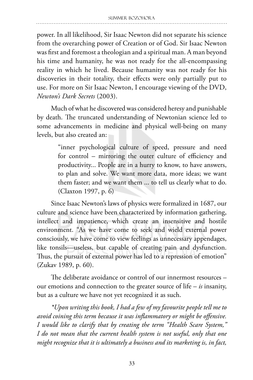power. In all likelihood, Sir Isaac Newton did not separate his science from the overarching power of Creation or of God. Sir Isaac Newton was first and foremost a theologian and a spiritual man. A man beyond his time and humanity, he was not ready for the all-encompassing reality in which he lived. Because humanity was not ready for his discoveries in their totality, their effects were only partially put to use. For more on Sir Isaac Newton, I encourage viewing of the DVD, *Newton's Dark Secrets* (2003).

Much of what he discovered was considered heresy and punishable by death. The truncated understanding of Newtonian science led to some advancements in medicine and physical well-being on many levels, but also created an:

> "inner psychological culture of speed, pressure and need for control – mirroring the outer culture of efficiency and productivity... People are in a hurry to know, to have answers, to plan and solve. We want more data, more ideas; we want them faster; and we want them ... to tell us clearly what to do. (Claxton 1997, p. 6)

Since Isaac Newton's laws of physics were formalized in 1687, our culture and science have been characterized by information gathering, intellect and impatience, which create an insensitive and hostile environment. "As we have come to seek and wield external power consciously, we have come to view feelings as unnecessary appendages, like tonsils—useless, but capable of creating pain and dysfunction. Thus, the pursuit of external power has led to a repression of emotion" (Zukav 1989, p. 60).

The deliberate avoidance or control of our innermost resources – our emotions and connection to the greater source of life – *is* insanity, but as a culture we have not yet recognized it as such.

*\*Upon writing this book, I had a few of my favourite people tell me to avoid coining this term because it was inflammatory or might be offensive. I would like to clarify that by creating the term "Health Scare System," I do not mean that the current health system is not useful, only that one might recognize that it is ultimately a business and its marketing is, in fact,*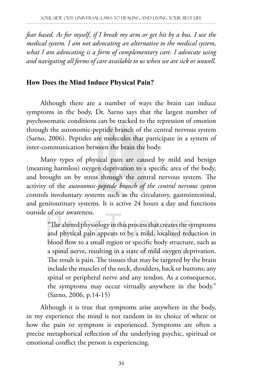*fear based. As for myself, if I break my arm or get hit by a bus, I use the medical system. I am not advocating an alternative to the medical system, what I am advocating is a form of complementary care. I advocate using and navigating all forms of care available to us when we are sick or unwell.*

# **How Does the Mind Induce Physical Pain?**

Although there are a number of ways the brain can induce symptoms in the body, Dr. Sarno says that the largest number of psychosomatic conditions can be tracked to the repression of emotion through the autonomic-peptide branch of the central nervous system (Sarno, 2006). Peptides are molecules that participate in a system of inter-communication between the brain the body.

Many types of physical pain are caused by mild and benign (meaning harmless) oxygen deprivation to a specific area of the body, and brought on by stress through the central nervous system. The activity of the *autonomic-peptide branch of the central nervous system* controls involuntary systems such as the circulatory, gastrointestinal, and genitourinary systems. It is active 24 hours a day and functions outside of our awareness.

> "The altered physiology in this process that creates the symptoms and physical pain appears to be a mild, localized reduction in blood flow to a small region or specific body structure, such as a spinal nerve, resulting in a state of mild oxygen deprivation. The result is pain. The tissues that may be targeted by the brain include the muscles of the neck, shoulders, back or buttons; any spinal or peripheral nerve and any tendon. As a consequence, the symptoms may occur virtually anywhere in the body." (Sarno, 2006, p.14-15)

Although it is true that symptoms arise anywhere in the body, in my experience the mind is not random in its choice of where or how the pain or symptom is experienced. Symptoms are often a precise metaphorical reflection of the underlying psychic, spiritual or emotional conflict the person is experiencing.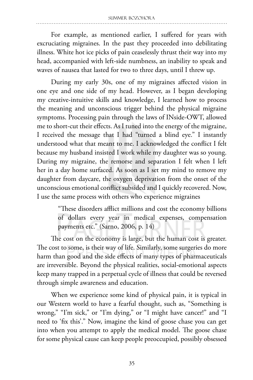For example, as mentioned earlier, I suffered for years with excruciating migraines. In the past they proceeded into debilitating illness. White hot ice picks of pain ceaselessly thrust their way into my head, accompanied with left-side numbness, an inability to speak and waves of nausea that lasted for two to three days, until I threw up.

During my early 30s, one of my migraines affected vision in one eye and one side of my head. However, as I began developing my creative-intuitive skills and knowledge, I learned how to process the meaning and unconscious trigger behind the physical migraine symptoms. Processing pain through the laws of INside-OWT, allowed me to short-cut their effects. As I tuned into the energy of the migraine, I received the message that I had "turned a blind eye." I instantly understood what that meant to me. I acknowledged the conflict I felt because my husband insisted I work while my daughter was so young. During my migraine, the remorse and separation I felt when I left her in a day home surfaced. As soon as I set my mind to remove my daughter from daycare, the oxygen deprivation from the onset of the unconscious emotional conflict subsided and I quickly recovered. Now, I use the same process with others who experience migraines

> "These disorders afflict millions and cost the economy billions of dollars every year in medical expenses, compensation payments etc." (Sarno, 2006, p. 14)

The cost on the economy is large, but the human cost is greater. The cost to some, is their way of life. Similarly, some surgeries do more harm than good and the side effects of many types of pharmaceuticals are irreversible. Beyond the physical realities, social-emotional aspects keep many trapped in a perpetual cycle of illness that could be reversed through simple awareness and education.

When we experience some kind of physical pain, it is typical in our Western world to have a fearful thought, such as, "Something is wrong," "I'm sick," or "I'm dying," or "I might have cancer!" and "I need to 'fix this'." Now, imagine the kind of goose chase you can get into when you attempt to apply the medical model. The goose chase for some physical cause can keep people preoccupied, possibly obsessed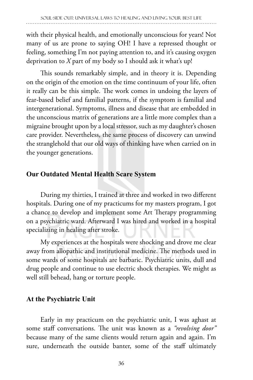with their physical health, and emotionally unconscious for years! Not many of us are prone to saying OH! I have a repressed thought or feeling, something I'm not paying attention to, and it's causing oxygen deprivation to *X* part of my body so I should ask it what's up!

This sounds remarkably simple, and in theory it is. Depending on the origin of the emotion on the time continuum of your life, often it really can be this simple. The work comes in undoing the layers of fear-based belief and familial patterns, if the symptom is familial and intergenerational. Symptoms, illness and disease that are embedded in the unconscious matrix of generations are a little more complex than a migraine brought upon by a local stressor, such as my daughter's chosen care provider. Nevertheless, the same process of discovery can unwind the stranglehold that our old ways of thinking have when carried on in the younger generations.

# **Our Outdated Mental Health Scare System**

During my thirties, I trained at three and worked in two different hospitals. During one of my practicums for my masters program, I got a chance to develop and implement some Art Therapy programming on a psychiatric ward. Afterward I was hired and worked in a hospital specializing in healing after stroke.

My experiences at the hospitals were shocking and drove me clear away from allopathic and institutional medicine. The methods used in some wards of some hospitals are barbaric. Psychiatric units, dull and drug people and continue to use electric shock therapies. We might as well still behead, hang or torture people.

# **At the Psychiatric Unit**

Early in my practicum on the psychiatric unit, I was aghast at some staff conversations. The unit was known as a *"revolving door"*  because many of the same clients would return again and again. I'm sure, underneath the outside banter, some of the staff ultimately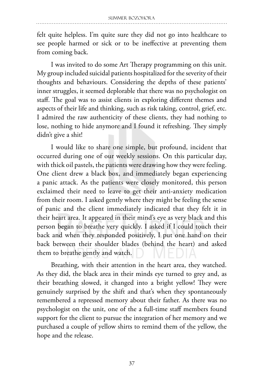felt quite helpless. I'm quite sure they did not go into healthcare to see people harmed or sick or to be ineffective at preventing them from coming back.

I was invited to do some Art Therapy programming on this unit. My group included suicidal patients hospitalized for the severity of their thoughts and behaviours. Considering the depths of these patients' inner struggles, it seemed deplorable that there was no psychologist on staff. The goal was to assist clients in exploring different themes and aspects of their life and thinking, such as risk taking, control, grief, etc. I admired the raw authenticity of these clients, they had nothing to lose, nothing to hide anymore and I found it refreshing. They simply didn't give a shit!

I would like to share one simple, but profound, incident that occurred during one of our weekly sessions. On this particular day, with thick oil pastels, the patients were drawing how they were feeling. One client drew a black box, and immediately began experiencing a panic attack. As the patients were closely monitored, this person exclaimed their need to leave to get their anti-anxiety medication from their room. I asked gently where they might be feeling the sense of panic and the client immediately indicated that they felt it in their heart area. It appeared in their mind's eye as very black and this person began to breathe very quickly. I asked if I could touch their back and when they responded positively, I put one hand on their back between their shoulder blades (behind the heart) and asked them to breathe gently and watch.

Breathing, with their attention in the heart area, they watched. As they did, the black area in their minds eye turned to grey and, as their breathing slowed, it changed into a bright yellow! They were genuinely surprised by the shift and that's when they spontaneously remembered a repressed memory about their father. As there was no psychologist on the unit, one of the a full-time staff members found support for the client to pursue the integration of her memory and we purchased a couple of yellow shirts to remind them of the yellow, the hope and the release.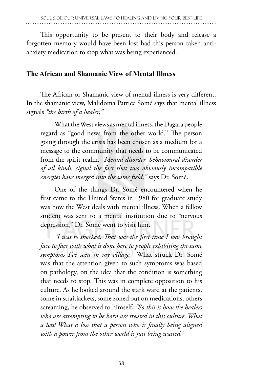This opportunity to be present to their body and release a forgotten memory would have been lost had this person taken antianxiety medication to stop what was being experienced.

# **The African and Shamanic View of Mental Illness**

The African or Shamanic view of mental illness is very different. In the shamanic view, Malidoma Patrice Somé says that mental illness signals *"the birth of a healer,"*

What the West views as mental illness, the Dagara people regard as "good news from the other world." The person going through the crisis has been chosen as a medium for a message to the community that needs to be communicated from the spirit realm. *"Mental disorder, behavioural disorder of all kinds, signal the fact that two obviously incompatible energies have merged into the same field,"* says Dr. Somé.

One of the things Dr. Somé encountered when he first came to the United States in 1980 for graduate study was how the West deals with mental illness. When a fellow student was sent to a mental institution due to "nervous depression," Dr. Somé went to visit him.

*"I was so shocked. That was the first time I was brought face to face with what is done here to people exhibiting the same symptoms I've seen in my village."* What struck Dr. Somé was that the attention given to such symptoms was based on pathology, on the idea that the condition is something that needs to stop. This was in complete opposition to his culture. As he looked around the stark ward at the patients, some in straitjackets, some zoned out on medications, others screaming, he observed to himself, *"So this is how the healers who are attempting to be born are treated in this culture. What a loss! What a loss that a person who is finally being aligned with a power from the other world is just being wasted."*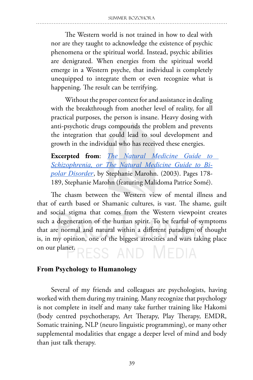The Western world is not trained in how to deal with nor are they taught to acknowledge the existence of psychic phenomena or the spiritual world. Instead, psychic abilities are denigrated. When energies from the spiritual world emerge in a Western psyche, that individual is completely unequipped to integrate them or even recognize what is happening. The result can be terrifying.

Without the proper context for and assistance in dealing with the breakthrough from another level of reality, for all practical purposes, the person is insane. Heavy dosing with anti-psychotic drugs compounds the problem and prevents the integration that could lead to soul development and growth in the individual who has received these energies.

**Excerpted from**: *The Natural Medicine Guide to Schizophrenia, or The Natural Medicine Guide to Bipolar Disorder*, by Stephanie Marohn. (2003). Pages 178- 189, Stephanie Marohn (featuring Malidoma Patrice Somé).

The chasm between the Western view of mental illness and that of earth based or Shamanic cultures, is vast. The shame, guilt and social stigma that comes from the Western viewpoint creates such a degeneration of the human spirit. To be fearful of symptoms that are normal and natural within a different paradigm of thought is, in my opinion, one of the biggest atrocities and wars taking place on our planet. ress and Media

# **From Psychology to Humanology**

Several of my friends and colleagues are psychologists, having worked with them during my training. Many recognize that psychology is not complete in itself and many take further training like Hakomi (body centred psychotherapy, Art Therapy, Play Therapy, EMDR, Somatic training, NLP (neuro linguistic programming), or many other supplemental modalities that engage a deeper level of mind and body than just talk therapy.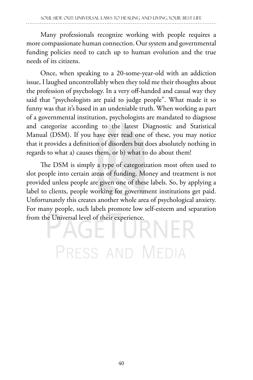Many professionals recognize working with people requires a more compassionate human connection. Our system and governmental funding policies need to catch up to human evolution and the true needs of its citizens.

Once, when speaking to a 20-some-year-old with an addiction issue, I laughed uncontrollably when they told me their thoughts about the profession of psychology. In a very off-handed and casual way they said that "psychologists are paid to judge people". What made it so funny was that it's based in an undeniable truth. When working as part of a governmental institution, psychologists are mandated to diagnose and categorize according to the latest Diagnostic and Statistical Manual (DSM). If you have ever read one of these, you may notice that it provides a definition of disorders but does absolutely nothing in regards to what a) causes them, or b) what to do about them!

The DSM is simply a type of categorization most often used to slot people into certain areas of funding. Money and treatment is not provided unless people are given one of these labels. So, by applying a label to clients, people working for government institutions get paid. Unfortunately this creates another whole area of psychological anxiety. For many people, such labels promote low self-esteem and separation from the Universal level of their experience.

RNE  $\Box$ PRESS AND MEDIA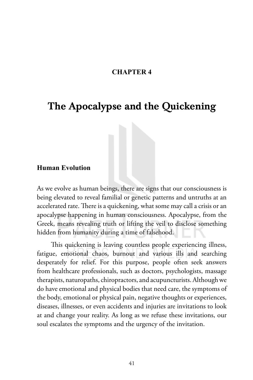#### **CHAPTER 4**

# The Apocalypse and the Quickening

#### **Human Evolution**

As we evolve as human beings, there are signs that our consciousness is being elevated to reveal familial or genetic patterns and untruths at an accelerated rate. There is a quickening, what some may call a crisis or an apocalypse happening in human consciousness. Apocalypse, from the Greek, means revealing truth or lifting the veil to disclose something hidden from humanity during a time of falsehood.

This quickening is leaving countless people experiencing illness, fatigue, emotional chaos, burnout and various ills and searching desperately for relief. For this purpose, people often seek answers from healthcare professionals, such as doctors, psychologists, massage therapists, naturopaths, chiropractors, and acupuncturists. Although we do have emotional and physical bodies that need care, the symptoms of the body, emotional or physical pain, negative thoughts or experiences, diseases, illnesses, or even accidents and injuries are invitations to look at and change your reality. As long as we refuse these invitations, our soul escalates the symptoms and the urgency of the invitation.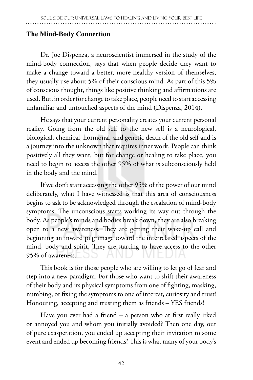# **The Mind-Body Connection**

Dr. Joe Dispenza, a neuroscientist immersed in the study of the mind-body connection, says that when people decide they want to make a change toward a better, more healthy version of themselves, they usually use about 5% of their conscious mind. As part of this 5% of conscious thought, things like positive thinking and affirmations are used. But, in order for change to take place, people need to start accessing unfamiliar and untouched aspects of the mind (Dispenza, 2014).

He says that your current personality creates your current personal reality. Going from the old self to the new self is a neurological, biological, chemical, hormonal, and genetic death of the old self and is a journey into the unknown that requires inner work. People can think positively all they want, but for change or healing to take place, you need to begin to access the other 95% of what is subconsciously held in the body and the mind.

If we don't start accessing the other 95% of the power of our mind deliberately, what I have witnessed is that this area of consciousness begins to ask to be acknowledged through the escalation of mind-body symptoms. The unconscious starts working its way out through the body. As people's minds and bodies break down, they are also breaking open to a new awareness. They are getting their wake-up call and beginning an inward pilgrimage toward the interrelated aspects of the mind, body and spirit. They are starting to have access to the other 95% of awareness.

This book is for those people who are willing to let go of fear and step into a new paradigm. For those who want to shift their awareness of their body and its physical symptoms from one of fighting, masking, numbing, or fixing the symptoms to one of interest, curiosity and trust! Honouring, accepting and trusting them as friends – YES friends!

Have you ever had a friend – a person who at first really irked or annoyed you and whom you initially avoided? Then one day, out of pure exasperation, you ended up accepting their invitation to some event and ended up becoming friends? This is what many of your body's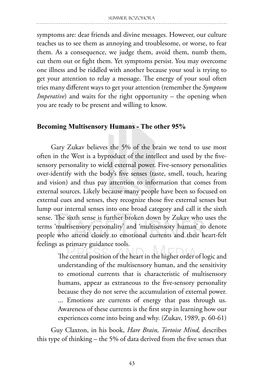symptoms are: dear friends and divine messages. However, our culture teaches us to see them as annoying and troublesome, or worse, to fear them. As a consequence, we judge them, avoid them, numb them, cut them out or fight them. Yet symptoms persist. You may overcome one illness and be riddled with another because your soul is trying to get your attention to relay a message. The energy of your soul often tries many different ways to get your attention (remember the *Symptom Imperative*) and waits for the right opportunity – the opening when you are ready to be present and willing to know.

## **Becoming Multisensory Humans - The other 95%**

Gary Zukav believes the 5% of the brain we tend to use most often in the West is a byproduct of the intellect and used by the fivesensory personality to wield external power. Five-sensory personalities over-identify with the body's five senses (taste, smell, touch, hearing and vision) and thus pay attention to information that comes from external sources. Likely because many people have been so focused on external cues and senses, they recognize those five external senses but lump our internal senses into one broad category and call it the sixth sense. The sixth sense is further broken down by Zukav who uses the terms 'multisensory personality' and 'multisensory human' to denote people who attend closely to emotional currents and their heart-felt feelings as primary guidance tools.

> The central position of the heart in the higher order of logic and understanding of the multisensory human, and the sensitivity to emotional currents that is characteristic of multisensory humans, appear as extraneous to the five-sensory personality because they do not serve the accumulation of external power. ... Emotions are currents of energy that pass through us. Awareness of these currents is the first step in learning how our experiences come into being and why. (Zukav, 1989, p. 60-61)

Guy Claxton, in his book, *Hare Brain, Tortoise Mind,* describes this type of thinking – the 5% of data derived from the five senses that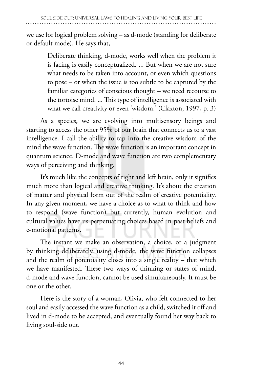we use for logical problem solving – as d-mode (standing for deliberate or default mode). He says that,

> Deliberate thinking, d-mode, works well when the problem it is facing is easily conceptualized. ... But when we are not sure what needs to be taken into account, or even which questions to pose – or when the issue is too subtle to be captured by the familiar categories of conscious thought – we need recourse to the tortoise mind. ... This type of intelligence is associated with what we call creativity or even 'wisdom.' (Claxton, 1997, p. 3)

As a species, we are evolving into multisensory beings and starting to access the other 95% of our brain that connects us to a vast intelligence. I call the ability to tap into the creative wisdom of the mind the wave function. The wave function is an important concept in quantum science. D-mode and wave function are two complementary ways of perceiving and thinking.

It's much like the concepts of right and left brain, only it signifies much more than logical and creative thinking. It's about the creation of matter and physical form out of the realm of creative potentiality. In any given moment, we have a choice as to what to think and how to respond (wave function) but currently, human evolution and cultural values have us perpetuating choices based in past beliefs and e-motional patterns.

The instant we make an observation, a choice, or a judgment by thinking deliberately, using d-mode, the wave function collapses and the realm of potentiality closes into a single reality – that which we have manifested. These two ways of thinking or states of mind, d-mode and wave function, cannot be used simultaneously. It must be one or the other.

Here is the story of a woman, Olivia, who felt connected to her soul and easily accessed the wave function as a child, switched it off and lived in d-mode to be accepted, and eventually found her way back to living soul-side out.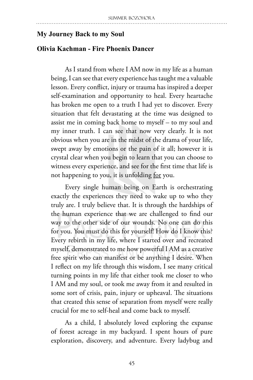#### **My Journey Back to my Soul**

#### **Olivia Kachman - Fire Phoenix Dancer**

As I stand from where I AM now in my life as a human being, I can see that every experience has taught me a valuable lesson. Every conflict, injury or trauma has inspired a deeper self-examination and opportunity to heal. Every heartache has broken me open to a truth I had yet to discover. Every situation that felt devastating at the time was designed to assist me in coming back home to myself – to my soul and my inner truth. I can see that now very clearly. It is not obvious when you are in the midst of the drama of your life, swept away by emotions or the pain of it all; however it is crystal clear when you begin to learn that you can choose to witness every experience, and see for the first time that life is not happening to you, it is unfolding for you.

Every single human being on Earth is orchestrating exactly the experiences they need to wake up to who they truly are. I truly believe that. It is through the hardships of the human experience that we are challenged to find our way to the other side of our wounds. No one can do this for you. You must do this for yourself! How do I know this? Every rebirth in my life, where I started over and recreated myself, demonstrated to me how powerful I AM as a creative free spirit who can manifest or be anything I desire. When I reflect on my life through this wisdom, I see many critical turning points in my life that either took me closer to who I AM and my soul, or took me away from it and resulted in some sort of crisis, pain, injury or upheaval. The situations that created this sense of separation from myself were really crucial for me to self-heal and come back to myself.

As a child, I absolutely loved exploring the expanse of forest acreage in my backyard. I spent hours of pure exploration, discovery, and adventure. Every ladybug and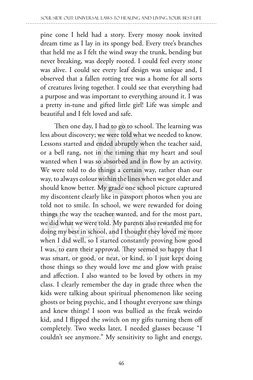pine cone I held had a story. Every mossy nook invited dream time as I lay in its spongy bed. Every tree's branches that held me as I felt the wind sway the trunk, bending but never breaking, was deeply rooted. I could feel every stone was alive. I could see every leaf design was unique and, I observed that a fallen rotting tree was a home for all sorts of creatures living together. I could see that everything had a purpose and was important to everything around it. I was a pretty in-tune and gifted little girl! Life was simple and beautiful and I felt loved and safe.

Then one day, I had to go to school. The learning was less about discovery; we were told what we needed to know. Lessons started and ended abruptly when the teacher said, or a bell rang, not in the timing that my heart and soul wanted when I was so absorbed and in flow by an activity. We were told to do things a certain way, rather than our way, to always colour within the lines when we got older and should know better. My grade one school picture captured my discontent clearly like in passport photos when you are told not to smile. In school, we were rewarded for doing things the way the teacher wanted, and for the most part, we did what we were told. My parents also rewarded me for doing my best in school, and I thought they loved me more when I did well, so I started constantly proving how good I was, to earn their approval. They seemed so happy that I was smart, or good, or neat, or kind, so I just kept doing those things so they would love me and glow with praise and affection. I also wanted to be loved by others in my class. I clearly remember the day in grade three when the kids were talking about spiritual phenomenon like seeing ghosts or being psychic, and I thought everyone saw things and knew things! I soon was bullied as the freak weirdo kid, and I flipped the switch on my gifts turning them off completely. Two weeks later, I needed glasses because "I couldn't see anymore." My sensitivity to light and energy,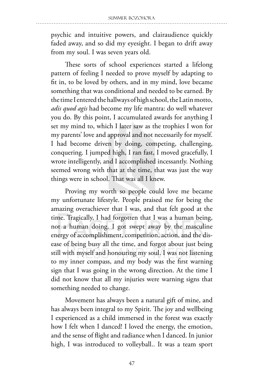psychic and intuitive powers, and clairaudience quickly faded away, and so did my eyesight. I began to drift away from my soul. I was seven years old.

These sorts of school experiences started a lifelong pattern of feeling I needed to prove myself by adapting to fit in, to be loved by others, and in my mind, love became something that was conditional and needed to be earned. By the time I entered the hallways of high school, the Latin motto, *adis quod agis* had become my life mantra: do well whatever you do. By this point, I accumulated awards for anything I set my mind to, which I later saw as the trophies I won for my parents' love and approval and not necessarily for myself. I had become driven by doing, competing, challenging, conquering. I jumped high, I ran fast, I moved gracefully, I wrote intelligently, and I accomplished incessantly. Nothing seemed wrong with that at the time, that was just the way things were in school. That was all I knew.

Proving my worth so people could love me became my unfortunate lifestyle. People praised me for being the amazing overachiever that I was, and that felt good at the time. Tragically, I had forgotten that I was a human being, not a human doing. I got swept away by the masculine energy of accomplishment, competition, action, and the disease of being busy all the time, and forgot about just being still with myself and honouring my soul. I was not listening to my inner compass, and my body was the first warning sign that I was going in the wrong direction. At the time I did not know that all my injuries were warning signs that something needed to change.

Movement has always been a natural gift of mine, and has always been integral to my Spirit. The joy and wellbeing I experienced as a child immersed in the forest was exactly how I felt when I danced! I loved the energy, the emotion, and the sense of flight and radiance when I danced. In junior high, I was introduced to volleyball.. It was a team sport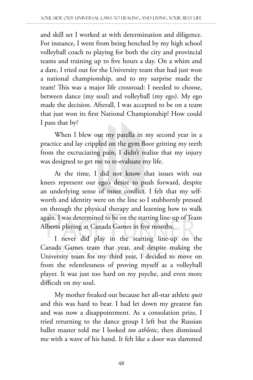and skill set I worked at with determination and diligence. For instance, I went from being benched by my high school volleyball coach to playing for both the city and provincial teams and training up to five hours a day. On a whim and a dare, I tried out for the University team that had just won a national championship, and to my surprise made the team! This was a major life crossroad: I needed to choose, between dance (my soul) and volleyball (my ego). My ego made the decision. Afterall, I was accepted to be on a team that just won its first National Championship! How could I pass that by?

When I blew out my patella in my second year in a practice and lay crippled on the gym floor gritting my teeth from the excruciating pain, I didn't realize that my injury was designed to get me to re-evaluate my life.

At the time, I did not know that issues with our knees represent our ego's desire to push forward, despite an underlying sense of inner conflict. I felt that my selfworth and identity were on the line so I stubbornly pressed on through the physical therapy and learning how to walk again. I was determined to be on the starting line-up of Team Alberta playing at Canada Games in five months.

I never did play in the starting line-up on the Canada Games team that year, and despite making the University team for my third year, I decided to move on from the relentlessness of proving myself as a volleyball player. It was just too hard on my psyche, and even more difficult on my soul.

My mother freaked out because her all-star athlete *quit* and this was hard to bear. I had let down my greatest fan and was now a disappointment. As a consolation prize, I tried returning to the dance group I left but the Russian ballet master told me I looked *too athletic*, then dismissed me with a wave of his hand. It felt like a door was slammed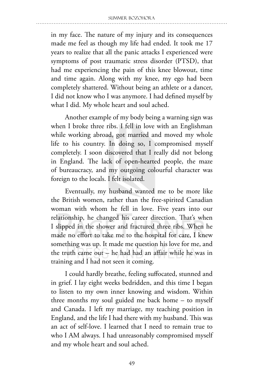in my face. The nature of my injury and its consequences made me feel as though my life had ended. It took me 17 years to realize that all the panic attacks I experienced were symptoms of post traumatic stress disorder (PTSD), that had me experiencing the pain of this knee blowout, time and time again. Along with my knee, my ego had been completely shattered. Without being an athlete or a dancer, I did not know who I was anymore. I had defined myself by what I did. My whole heart and soul ached.

Another example of my body being a warning sign was when I broke three ribs. I fell in love with an Englishman while working abroad, got married and moved my whole life to his country. In doing so, I compromised myself completely. I soon discovered that I really did not belong in England. The lack of open-hearted people, the maze of bureaucracy, and my outgoing colourful character was foreign to the locals. I felt isolated.

Eventually, my husband wanted me to be more like the British women, rather than the free-spirited Canadian woman with whom he fell in love. Five years into our relationship, he changed his career direction. That's when I slipped in the shower and fractured three ribs. When he made no effort to take me to the hospital for care, I knew something was up. It made me question his love for me, and the truth came out – he had had an affair while he was in training and I had not seen it coming.

I could hardly breathe, feeling suffocated, stunned and in grief. I lay eight weeks bedridden, and this time I began to listen to my own inner knowing and wisdom. Within three months my soul guided me back home – to myself and Canada. I left my marriage, my teaching position in England, and the life I had there with my husband. This was an act of self-love. I learned that I need to remain true to who I AM always. I had unreasonably compromised myself and my whole heart and soul ached.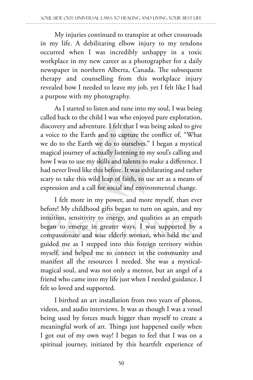My injuries continued to transpire at other crossroads in my life. A debilitating elbow injury to my tendons occurred when I was incredibly unhappy in a toxic workplace in my new career as a photographer for a daily newspaper in northern Alberta, Canada. The subsequent therapy and counselling from this workplace injury revealed how I needed to leave my job, yet I felt like I had a purpose with my photography.

As I started to listen and tune into my soul, I was being called back to the child I was who enjoyed pure exploration, discovery and adventure*.* I felt that I was being asked to give a voice to the Earth and to capture the conflict of, "What we do to the Earth we do to ourselves." I began a mystical magical journey of actually listening to my soul's calling and how I was to use my skills and talents to make a difference. I had never lived like this before. It was exhilarating and rather scary to take this wild leap of faith, to use art as a means of expression and a call for social and environmental change.

I felt more in my power, and more myself, than ever before! My childhood gifts began to turn on again, and my intuition, sensitivity to energy, and qualities as an empath began to emerge in greater ways. I was supported by a compassionate and wise elderly woman, who held me and guided me as I stepped into this foreign territory within myself, and helped me to connect in the community and manifest all the resources I needed. She was a mysticalmagical soul, and was not only a mentor, but an angel of a friend who came into my life just when I needed guidance. I felt so loved and supported.

I birthed an art installation from two years of photos, videos, and audio interviews. It was as though I was a vessel being used by forces much bigger than myself to create a meaningful work of art. Things just happened easily when I got out of my own way! I began to feel that I was on a spiritual journey, initiated by this heartfelt experience of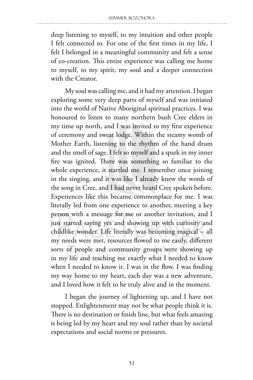deep listening to myself, to my intuition and other people I felt connected to. For one of the first times in my life, I felt I belonged in a meaningful community and felt a sense of co-creation. This entire experience was calling me home to myself, to my spirit, my soul and a deeper connection with the Creator.

My soul was calling me, and it had my attention. I began exploring some very deep parts of myself and was initiated into the world of Native Aboriginal spiritual practices. I was honoured to listen to many northern bush Cree elders in my time up north, and I was invited to my first experience of ceremony and sweat lodge. Within the steamy womb of Mother Earth, listening to the rhythm of the hand drum and the smell of sage, I felt so myself and a spark in my inner fire was ignited. There was something so familiar to the whole experience, it startled me. I remember once joining in the singing, and it was like I already knew the words of the song in Cree, and I had never heard Cree spoken before. Experiences like this became commonplace for me. I was literally led from one experience to another, meeting a key person with a message for me or another invitation, and I just started saying yes and showing up with curiosity and childlike wonder. Life literally was becoming magical – all my needs were met, resources flowed to me easily, different sorts of people and community groups were showing up in my life and teaching me exactly what I needed to know when I needed to know it. I was in the flow. I was finding my way home to my heart, each day was a new adventure, and I loved how it felt to be truly alive and in the moment.

I began the journey of lightening up, and I have not stopped. Enlightenment may not be what people think it is. There is no destination or finish line, but what feels amazing is being led by my heart and my soul rather than by societal expectations and social norms or pressures.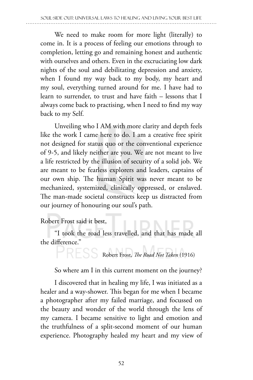We need to make room for more light (literally) to come in. It is a process of feeling our emotions through to completion, letting go and remaining honest and authentic with ourselves and others. Even in the excruciating low dark nights of the soul and debilitating depression and anxiety, when I found my way back to my body, my heart and my soul, everything turned around for me. I have had to learn to surrender, to trust and have faith – lessons that I always come back to practising, when I need to find my way back to my Self.

Unveiling who I AM with more clarity and depth feels like the work I came here to do. I am a creative free spirit not designed for status quo or the conventional experience of 9-5, and likely neither are you. We are not meant to live a life restricted by the illusion of security of a solid job. We are meant to be fearless explorers and leaders, captains of our own ship. The human Spirit was never meant to be mechanized, systemized, clinically oppressed, or enslaved. The man-made societal constructs keep us distracted from our journey of honouring our soul's path.

# Robert Frost said it best,

"I took the road less travelled, and that has made all the difference."

Robert Frost, *The Road Not Taken* (1916)

So where am I in this current moment on the journey?

I discovered that in healing my life, I was initiated as a healer and a way-shower. This began for me when I became a photographer after my failed marriage, and focussed on the beauty and wonder of the world through the lens of my camera. I became sensitive to light and emotion and the truthfulness of a split-second moment of our human experience. Photography healed my heart and my view of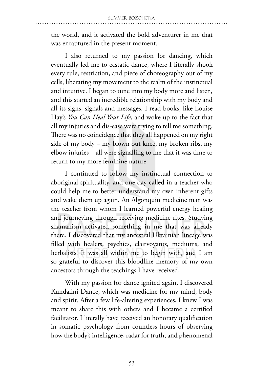the world, and it activated the bold adventurer in me that was enraptured in the present moment.

I also returned to my passion for dancing, which eventually led me to ecstatic dance, where I literally shook every rule, restriction, and piece of choreography out of my cells, liberating my movement to the realm of the instinctual and intuitive. I began to tune into my body more and listen, and this started an incredible relationship with my body and all its signs, signals and messages. I read books, like Louise Hay's *You Can Heal Your Life*, and woke up to the fact that all my injuries and dis-ease were trying to tell me something. There was no coincidence that they all happened on my right side of my body – my blown out knee, my broken ribs, my elbow injuries – all were signalling to me that it was time to return to my more feminine nature.

I continued to follow my instinctual connection to aboriginal spirituality, and one day called in a teacher who could help me to better understand my own inherent gifts and wake them up again. An Algonquin medicine man was the teacher from whom I learned powerful energy healing and journeying through receiving medicine rites. Studying shamanism activated something in me that was already there. I discovered that my ancestral Ukrainian lineage was filled with healers, psychics, clairvoyants, mediums, and herbalists! It was all within me to begin with, and I am so grateful to discover this bloodline memory of my own ancestors through the teachings I have received.

With my passion for dance ignited again, I discovered Kundalini Dance, which was medicine for my mind, body and spirit. After a few life-altering experiences, I knew I was meant to share this with others and I became a certified facilitator. I literally have received an honorary qualification in somatic psychology from countless hours of observing how the body's intelligence, radar for truth, and phenomenal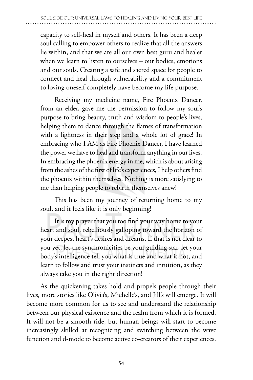capacity to self-heal in myself and others. It has been a deep soul calling to empower others to realize that all the answers lie within, and that we are all our own best guru and healer when we learn to listen to ourselves – our bodies, emotions and our souls. Creating a safe and sacred space for people to connect and heal through vulnerability and a commitment to loving oneself completely have become my life purpose.

Receiving my medicine name, Fire Phoenix Dancer, from an elder, gave me the permission to follow my soul's purpose to bring beauty, truth and wisdom to people's lives, helping them to dance through the flames of transformation with a lightness in their step and a whole lot of grace! In embracing who I AM as Fire Phoenix Dancer, I have learned the power we have to heal and transform anything in our lives. In embracing the phoenix energy in me, which is about arising from the ashes of the first of life's experiences, I help others find the phoenix within themselves. Nothing is more satisfying to me than helping people to rebirth themselves anew!

This has been my journey of returning home to my soul, and it feels like it is only beginning!

It is my prayer that you too find your way home to your heart and soul, rebelliously galloping toward the horizon of your deepest heart's desires and dreams. If that is not clear to you yet, let the synchronicities be your guiding star, let your body's intelligence tell you what is true and what is not, and learn to follow and trust your instincts and intuition, as they always take you in the right direction!

As the quickening takes hold and propels people through their lives, more stories like Olivia's, Michelle's, and Jill's will emerge. It will become more common for us to see and understand the relationship between our physical existence and the realm from which it is formed. It will not be a smooth ride, but human beings will start to become increasingly skilled at recognizing and switching between the wave function and d-mode to become active co-creators of their experiences.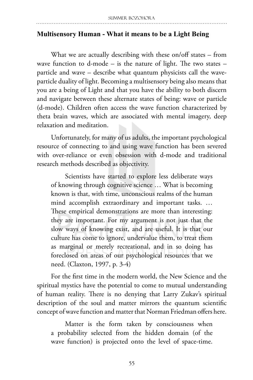# **Multisensory Human - What it means to be a Light Being**

What we are actually describing with these on/off states – from wave function to d-mode  $-$  is the nature of light. The two states  $$ particle and wave – describe what quantum physicists call the waveparticle duality of light. Becoming a multisensory being also means that you are a being of Light and that you have the ability to both discern and navigate between these alternate states of being: wave or particle (d-mode). Children often access the wave function characterized by theta brain waves, which are associated with mental imagery, deep relaxation and meditation.

Unfortunately, for many of us adults, the important psychological resource of connecting to and using wave function has been severed with over-reliance or even obsession with d-mode and traditional research methods described as objectivity.

Scientists have started to explore less deliberate ways of knowing through cognitive science … What is becoming known is that, with time, unconscious realms of the human mind accomplish extraordinary and important tasks. … These empirical demonstrations are more than interesting: they are important. For my argument is not just that the slow ways of knowing exist, and are useful. It is that our culture has come to ignore, undervalue them, to treat them as marginal or merely recreational, and in so doing has foreclosed on areas of our psychological resources that we need. (Claxton, 1997, p. 3-4)

For the first time in the modern world, the New Science and the spiritual mystics have the potential to come to mutual understanding of human reality. There is no denying that Larry Zukav's spiritual description of the soul and matter mirrors the quantum scientific concept of wave function and matter that Norman Friedman offers here.

Matter is the form taken by consciousness when a probability selected from the hidden domain (of the wave function) is projected onto the level of space-time.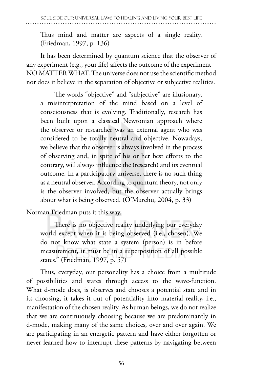Thus mind and matter are aspects of a single reality. (Friedman, 1997, p. 136)

It has been determined by quantum science that the observer of any experiment (e.g., your life) affects the outcome of the experiment – NO MATTER WHAT. The universe does not use the scientific method nor does it believe in the separation of objective or subjective realities.

The words "objective" and "subjective" are illusionary, a misinterpretation of the mind based on a level of consciousness that is evolving. Traditionally, research has been built upon a classical Newtonian approach where the observer or researcher was an external agent who was considered to be totally neutral and objective. Nowadays, we believe that the observer is always involved in the process of observing and, in spite of his or her best efforts to the contrary, will always influence the (research) and its eventual outcome. In a participatory universe, there is no such thing as a neutral observer. According to quantum theory, not only is the observer involved, but the observer actually brings about what is being observed. (O'Murchu, 2004, p. 33)

Norman Friedman puts it this way.

There is no objective reality underlying our everyday world except when it is being observed (i.e., chosen). We do not know what state a system (person) is in before measurement, it must be in a superposition of all possible states." (Friedman, 1997, p. 57)

Thus, everyday, our personality has a choice from a multitude of possibilities and states through access to the wave-function. What d-mode does, is observes and chooses a potential state and in its choosing, it takes it out of potentiality into material reality, i.e., manifestation of the chosen reality. As human beings, we do not realize that we are continuously choosing because we are predominantly in d-mode, making many of the same choices, over and over again. We are participating in an energetic pattern and have either forgotten or never learned how to interrupt these patterns by navigating between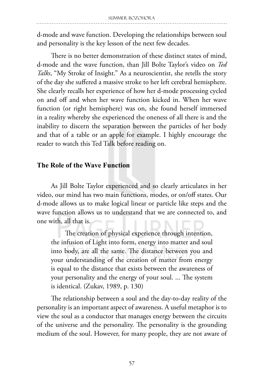d-mode and wave function. Developing the relationships between soul and personality is the key lesson of the next few decades.

There is no better demonstration of these distinct states of mind, d-mode and the wave function, than Jill Bolte Taylor's video on *Ted Talks*, "My Stroke of Insight." As a neuroscientist, she retells the story of the day she suffered a massive stroke to her left cerebral hemisphere. She clearly recalls her experience of how her d-mode processing cycled on and off and when her wave function kicked in. When her wave function (or right hemisphere) was on, she found herself immersed in a reality whereby she experienced the oneness of all there is and the inability to discern the separation between the particles of her body and that of a table or an apple for example. I highly encourage the reader to watch this Ted Talk before reading on.

## **The Role of the Wave Function**

As Jill Bolte Taylor experienced and so clearly articulates in her video, our mind has two main functions, modes, or on/off states. Our d-mode allows us to make logical linear or particle like steps and the wave function allows us to understand that we are connected to, and one with, all that is.

The creation of physical experience through intention, the infusion of Light into form, energy into matter and soul into body, are all the same. The distance between you and your understanding of the creation of matter from energy is equal to the distance that exists between the awareness of your personality and the energy of your soul. ... The system is identical. (Zukav, 1989, p. 130)

The relationship between a soul and the day-to-day reality of the personality is an important aspect of awareness. A useful metaphor is to view the soul as a conductor that manages energy between the circuits of the universe and the personality. The personality is the grounding medium of the soul. However, for many people, they are not aware of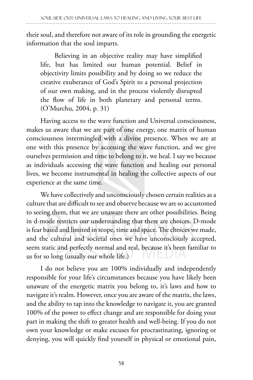their soul, and therefore not aware of its role in grounding the energetic information that the soul imparts.

Believing in an objective reality may have simplified life, but has limited our human potential. Belief in objectivity limits possibility and by doing so we reduce the creative exuberance of God's Spirit to a personal projection of our own making, and in the process violently disrupted the flow of life in both planetary and personal terms. (O'Murchu, 2004, p. 31)

Having access to the wave function and Universal consciousness, makes us aware that we are part of one energy, one matrix of human consciousness intermingled with a divine presence. When we are at one with this presence by accessing the wave function, and we give ourselves permission and time to belong to it, we heal. I say we because as individuals accessing the wave function and healing our personal lives, we become instrumental in healing the collective aspects of our experience at the same time.

We have collectively and unconsciously chosen certain realities as a culture that are difficult to see and observe because we are so accustomed to seeing them, that we are unaware there are other possibilities. Being in d-mode restricts our understanding that there are choices. D-mode is fear based and limited in scope, time and space. The choices we made, and the cultural and societal ones we have unconsciously accepted, seem static and perfectly normal and real, because it's been familiar to us for so long (usually our whole life.)

I do not believe you are 100% individually and independently responsible for your life's circumstances because you have likely been unaware of the energetic matrix you belong to, it's laws and how to navigate it's realm. However, once you are aware of the matrix, the laws, and the ability to tap into the knowledge to navigate it, you are granted 100% of the power to effect change and are responsible for doing your part in making the shift to greater health and well-being. If you do not own your knowledge or make excuses for procrastinating, ignoring or denying, you will quickly find yourself in physical or emotional pain,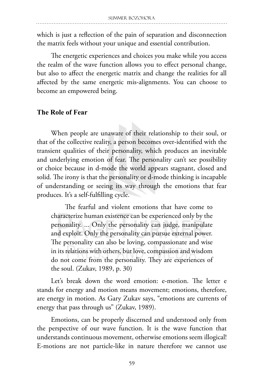which is just a reflection of the pain of separation and disconnection the matrix feels without your unique and essential contribution.

The energetic experiences and choices you make while you access the realm of the wave function allows you to effect personal change, but also to affect the energetic matrix and change the realities for all affected by the same energetic mis-alignments. You can choose to become an empowered being.

#### **The Role of Fear**

When people are unaware of their relationship to their soul, or that of the collective reality, a person becomes over-identified with the transient qualities of their personality, which produces an inevitable and underlying emotion of fear. The personality can't see possibility or choice because in d-mode the world appears stagnant, closed and solid. The irony is that the personality or d-mode thinking is incapable of understanding or seeing its way through the emotions that fear produces. It's a self-fulfilling cycle.

The fearful and violent emotions that have come to characterize human existence can be experienced only by the personality. ... Only the personality can judge, manipulate and exploit. Only the personality can pursue external power. The personality can also be loving, compassionate and wise in its relations with others, but love, compassion and wisdom do not come from the personality. They are experiences of the soul. (Zukav, 1989, p. 30)

Let's break down the word emotion: e-motion. The letter e stands for energy and motion means movement; emotions, therefore, are energy in motion. As Gary Zukav says, "emotions are currents of energy that pass through us" (Zukav, 1989).

Emotions, can be properly discerned and understood only from the perspective of our wave function. It is the wave function that understands continuous movement, otherwise emotions seem illogical! E-motions are not particle-like in nature therefore we cannot use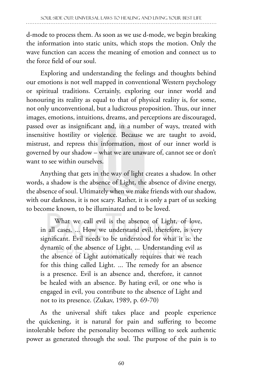d-mode to process them. As soon as we use d-mode, we begin breaking the information into static units, which stops the motion. Only the wave function can access the meaning of emotion and connect us to the force field of our soul.

Exploring and understanding the feelings and thoughts behind our emotions is not well mapped in conventional Western psychology or spiritual traditions. Certainly, exploring our inner world and honouring its reality as equal to that of physical reality is, for some, not only unconventional, but a ludicrous proposition. Thus, our inner images, emotions, intuitions, dreams, and perceptions are discouraged, passed over as insignificant and, in a number of ways, treated with insensitive hostility or violence. Because we are taught to avoid, mistrust, and repress this information, most of our inner world is governed by our shadow – what we are unaware of, cannot see or don't want to see within ourselves.

Anything that gets in the way of light creates a shadow. In other words, a shadow is the absence of Light, the absence of divine energy, the absence of soul. Ultimately when we make friends with our shadow, with our darkness, it is not scary. Rather, it is only a part of us seeking to become known, to be illuminated and to be loved.

What we call evil is the absence of Light, of love, in all cases. ... How we understand evil, therefore, is very significant. Evil needs to be understood for what it is: the dynamic of the absence of Light. ... Understanding evil as the absence of Light automatically requires that we reach for this thing called Light. ... The remedy for an absence is a presence. Evil is an absence and, therefore, it cannot be healed with an absence. By hating evil, or one who is engaged in evil, you contribute to the absence of Light and not to its presence. (Zukav, 1989, p. 69-70)

As the universal shift takes place and people experience the quickening, it is natural for pain and suffering to become intolerable before the personality becomes willing to seek authentic power as generated through the soul. The purpose of the pain is to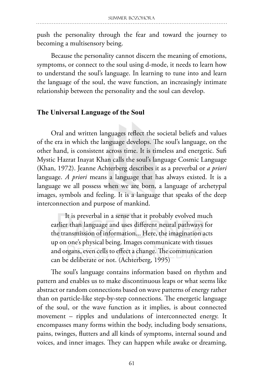push the personality through the fear and toward the journey to becoming a multisensory being.

Because the personality cannot discern the meaning of emotions, symptoms, or connect to the soul using d-mode, it needs to learn how to understand the soul's language. In learning to tune into and learn the language of the soul, the wave function, an increasingly intimate relationship between the personality and the soul can develop.

#### **The Universal Language of the Soul**

Oral and written languages reflect the societal beliefs and values of the era in which the language develops. The soul's language, on the other hand, is consistent across time. It is timeless and energetic. Sufi Mystic Hazrat Inayat Khan calls the soul's language Cosmic Language (Khan, 1972). Jeanne Achterberg describes it as a preverbal or *a priori* language. *A priori* means a language that has always existed. It is a language we all possess when we are born, a language of archetypal images, symbols and feeling. It is a language that speaks of the deep interconnection and purpose of mankind.

It is preverbal in a sense that it probably evolved much earlier than language and uses different neural pathways for the transmission of information... Here, the imagination acts up on one's physical being. Images communicate with tissues and organs, even cells to effect a change. The communication can be deliberate or not. (Achterberg, 1995)

The soul's language contains information based on rhythm and pattern and enables us to make discontinuous leaps or what seems like abstract or random connections based on wave patterns of energy rather than on particle-like step-by-step connections. The energetic language of the soul, or the wave function as it implies, is about connected movement – ripples and undulations of interconnected energy. It encompasses many forms within the body, including body sensations, pains, twinges, flutters and all kinds of symptoms, internal sound and voices, and inner images. They can happen while awake or dreaming,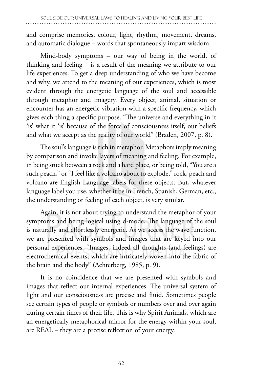and comprise memories, colour, light, rhythm, movement, dreams, and automatic dialogue – words that spontaneously impart wisdom.

Mind-body symptoms – our way of being in the world, of thinking and feeling – is a result of the meaning we attribute to our life experiences. To get a deep understanding of who we have become and why, we attend to the meaning of our experiences, which is most evident through the energetic language of the soul and accessible through metaphor and imagery. Every object, animal, situation or encounter has an energetic vibration with a specific frequency, which gives each thing a specific purpose. "The universe and everything in it 'is' what it 'is' because of the force of consciousness itself, our beliefs and what we accept as the reality of our world" (Braden, 2007, p. 8).

The soul's language is rich in metaphor. Metaphors imply meaning by comparison and invoke layers of meaning and feeling. For example, in being stuck between a rock and a hard place, or being told, "You are a such peach," or "I feel like a volcano about to explode," rock, peach and volcano are English Language labels for these objects. But, whatever language label you use, whether it be in French, Spanish, German, etc., the understanding or feeling of each object, is very similar.

Again, it is not about trying to understand the metaphor of your symptoms and being logical using d-mode. The language of the soul is naturally and effortlessly energetic. As we access the wave function, we are presented with symbols and images that are keyed into our personal experiences. "Images, indeed all thoughts (and feelings) are electrochemical events, which are intricately woven into the fabric of the brain and the body" (Achterberg, 1985, p. 9).

It is no coincidence that we are presented with symbols and images that reflect our internal experiences. The universal system of light and our consciousness are precise and fluid. Sometimes people see certain types of people or symbols or numbers over and over again during certain times of their life. This is why Spirit Animals, which are an energetically metaphorical mirror for the energy within your soul, are REAL – they are a precise reflection of your energy.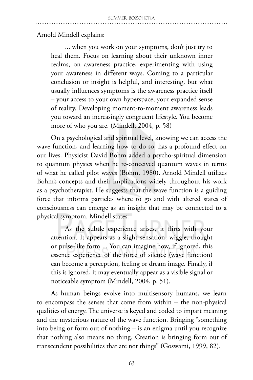## Arnold Mindell explains:

... when you work on your symptoms, don't just try to heal them. Focus on learning about their unknown inner realms, on awareness practice, experimenting with using your awareness in different ways. Coming to a particular conclusion or insight is helpful, and interesting, but what usually influences symptoms is the awareness practice itself – your access to your own hyperspace, your expanded sense of reality. Developing moment-to-moment awareness leads you toward an increasingly congruent lifestyle. You become more of who you are. (Mindell, 2004, p. 58)

On a psychological and spiritual level, knowing we can access the wave function, and learning how to do so, has a profound effect on our lives. Physicist David Bohm added a psycho-spiritual dimension to quantum physics when he re-conceived quantum waves in terms of what he called pilot waves (Bohm, 1980). Arnold Mindell utilizes Bohm's concepts and their implications widely throughout his work as a psychotherapist. He suggests that the wave function is a guiding force that informs particles where to go and with altered states of consciousness can emerge as an insight that may be connected to a physical symptom. Mindell states:

As the subtle experience arises, it flirts with your attention. It appears as a slight sensation, wiggle, thought or pulse-like form ... You can imagine how, if ignored, this essence experience of the force of silence (wave function) can become a perception, feeling or dream image. Finally, if this is ignored, it may eventually appear as a visible signal or noticeable symptom (Mindell, 2004, p. 51).

As human beings evolve into multisensory humans, we learn to encompass the senses that come from within – the non-physical qualities of energy. The universe is keyed and coded to impart meaning and the mysterious nature of the wave function. Bringing "something into being or form out of nothing – is an enigma until you recognize that nothing also means no thing. Creation is bringing form out of transcendent possibilities that are not things" (Goswami, 1999, 82).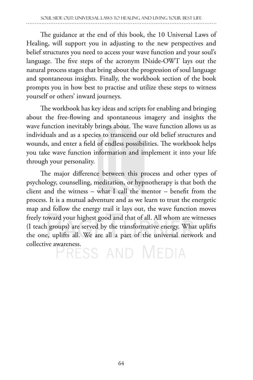The guidance at the end of this book, the 10 Universal Laws of Healing, will support you in adjusting to the new perspectives and belief structures you need to access your wave function and your soul's language. The five steps of the acronym INside-OWT lays out the natural process stages that bring about the progression of soul language and spontaneous insights. Finally, the workbook section of the book prompts you in how best to practise and utilize these steps to witness yourself or others' inward journeys.

The workbook has key ideas and scripts for enabling and bringing about the free-flowing and spontaneous imagery and insights the wave function inevitably brings about. The wave function allows us as individuals and as a species to transcend our old belief structures and wounds, and enter a field of endless possibilities. The workbook helps you take wave function information and implement it into your life through your personality.

The major difference between this process and other types of psychology, counselling, meditation, or hypnotherapy is that both the client and the witness – what I call the mentor – benefit from the process. It is a mutual adventure and as we learn to trust the energetic map and follow the energy trail it lays out, the wave function moves freely toward your highest good and that of all. All whom are witnesses (I teach groups) are served by the transformative energy. What uplifts the one, uplifts all. We are all a part of the universal network and

collective awareness.<br>
FRESS AND MEDIA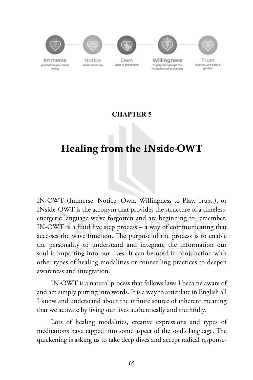

## **CHAPTER 5**

## Healing from the INside-OWT

IN-OWT (Immerse. Notice. Own. Willingness to Play. Trust.), or INside-OWT is the acronym that provides the structure of a timeless, energetic language we've forgotten and are beginning to remember. IN-OWT is a fluid five step process – a way of communicating that accesses the wave function. The purpose of the process is to enable the personality to understand and integrate the information our soul is imparting into our lives. It can be used in conjunction with other types of healing modalities or counselling practices to deepen awareness and integration.

IN-OWT is a natural process that follows laws I became aware of and am simply putting into words. It is a way to articulate in English all I know and understand about the infinite source of inherent meaning that we activate by living our lives authentically and truthfully.

Lots of healing modalities, creative expressions and types of meditations have tapped into some aspect of the soul's language. The quickening is asking us to take deep dives and accept radical response-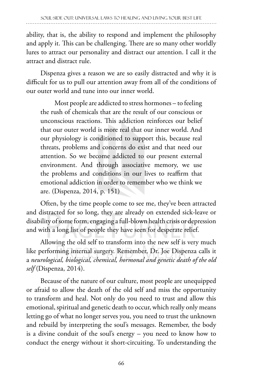ability, that is, the ability to respond and implement the philosophy and apply it. This can be challenging. There are so many other worldly lures to attract our personality and distract our attention. I call it the attract and distract rule.

Dispenza gives a reason we are so easily distracted and why it is difficult for us to pull our attention away from all of the conditions of our outer world and tune into our inner world.

Most people are addicted to stress hormones – to feeling the rush of chemicals that are the result of our conscious or unconscious reactions. This addiction reinforces our belief that our outer world is more real that our inner world. And our physiology is conditioned to support this, because real threats, problems and concerns do exist and that need our attention. So we become addicted to our present external environment. And through associative memory, we use the problems and conditions in our lives to reaffirm that emotional addiction in order to remember who we think we are. (Dispenza, 2014, p. 151)

Often, by the time people come to see me, they've been attracted and distracted for so long, they are already on extended sick-leave or disability of some form, engaging a full-blown health crisis or depression and with a long list of people they have seen for desperate relief.

Allowing the old self to transform into the new self is very much like performing internal surgery. Remember, Dr. Joe Dispenza calls it a *neurological, biological, chemical, hormonal and genetic death of the old self* (Dispenza, 2014).

Because of the nature of our culture, most people are unequipped or afraid to allow the death of the old self and miss the opportunity to transform and heal. Not only do you need to trust and allow this emotional, spiritual and genetic death to occur, which really only means letting go of what no longer serves you, you need to trust the unknown and rebuild by interpreting the soul's messages. Remember, the body is a divine conduit of the soul's energy – you need to know how to conduct the energy without it short-circuiting. To understanding the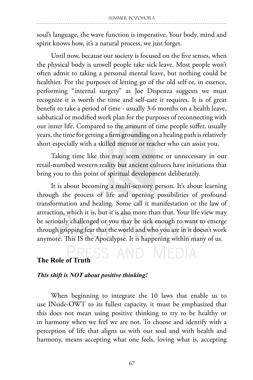soul's language, the wave function is imperative. Your body, mind and spirit knows how, it's a natural process, we just forget.

Until now, because our society is focused on the five senses, when the physical body is unwell people take sick leave. Most people won't often admit to taking a personal mental leave, but nothing could be healthier. For the purposes of letting go of the old self or, in essence, performing "internal surgery" as Joe Dispenza suggests we must recognize it is worth the time and self-care it requires. It is of great benefit to take a period of time - usually 3-6 months on a health leave, sabbatical or modified work plan for the purposes of reconnecting with our inner life. Compared to the amount of time people suffer, usually years, the time for getting a firm grounding on a healing path is relatively short especially with a skilled mentor or teacher who can assist you.

Taking time like this may seem extreme or unnecessary in our retail-numbed western reality but ancient cultures have initiations that bring you to this point of spiritual development deliberately.

It is about becoming a multi-sensory person. It's about learning through the process of life and opening possibilities of profound transformation and healing. Some call it manifestation or the law of attraction, which it is, but it is also more than that. Your life view may be seriously challenged or you may be sick enough to want to emerge through gripping fear that the world and who you are in it doesn't work anymore. This IS the Apocalypse. It is happening within many of us.

## **The Role of Truth** SS AND MEDIA

### *This shift is NOT about positive thinking!*

When beginning to integrate the 10 laws that enable us to use INside-OWT to its fullest capacity, it must be emphasized that this does not mean using positive thinking to try to be healthy or in harmony when we feel we are not. To choose and identify with a perception of life that aligns us with our soul and with health and harmony, means accepting what one feels, loving what is, accepting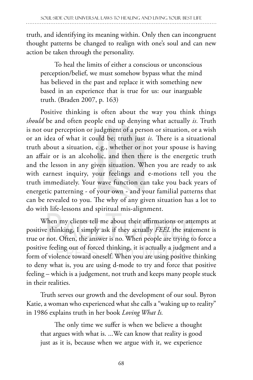truth, and identifying its meaning within. Only then can incongruent thought patterns be changed to realign with one's soul and can new action be taken through the personality.

To heal the limits of either a conscious or unconscious perception/belief, we must somehow bypass what the mind has believed in the past and replace it with something new based in an experience that is true for us: our inarguable truth. (Braden 2007, p. 163)

Positive thinking is often about the way you think things *should* be and often people end up denying what actually *is.* Truth is not our perception or judgment of a person or situation, or a wish or an idea of what it could be; truth just *is.* There is a situational truth about a situation, e.g., whether or not your spouse is having an affair or is an alcoholic, and then there is the energetic truth and the lesson in any given situation. When you are ready to ask with earnest inquiry, your feelings and e-motions tell you the truth immediately. Your wave function can take you back years of energetic patterning - of your own - and your familial patterns that can be revealed to you. The why of any given situation has a lot to do with life-lessons and spiritual mis-alignment.

When my clients tell me about their affirmations or attempts at positive thinking, I simply ask if they actually *FEEL* the statement is true or not. Often, the answer is no. When people are trying to force a positive feeling out of forced thinking, it is actually a judgment and a form of violence toward oneself. When you are using positive thinking to deny what is, you are using d-mode to try and force that positive feeling – which is a judgement, not truth and keeps many people stuck in their realities.

Truth serves our growth and the development of our soul. Byron Katie, a woman who experienced what she calls a "waking up to reality" in 1986 explains truth in her book *Loving What Is.*

The only time we suffer is when we believe a thought that argues with what is. ...We can know that reality is good just as it is, because when we argue with it, we experience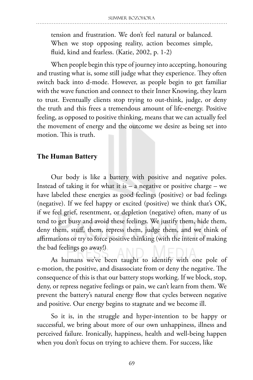tension and frustration. We don't feel natural or balanced. When we stop opposing reality, action becomes simple, fluid, kind and fearless. (Katie, 2002, p. 1-2)

When people begin this type of journey into accepting, honouring and trusting what is, some still judge what they experience. They often switch back into d-mode. However, as people begin to get familiar with the wave function and connect to their Inner Knowing, they learn to trust. Eventually clients stop trying to out-think, judge, or deny the truth and this frees a tremendous amount of life-energy. Positive feeling, as opposed to positive thinking, means that we can actually feel the movement of energy and the outcome we desire as being set into motion. This is truth.

#### **The Human Battery**

Our body is like a battery with positive and negative poles. Instead of taking it for what it is  $-$  a negative or positive charge  $-$  we have labeled these energies as good feelings (positive) or bad feelings (negative). If we feel happy or excited (positive) we think that's OK, if we feel grief, resentment, or depletion (negative) often, many of us tend to get busy and avoid these feelings. We justify them, hide them, deny them, stuff, them, repress them, judge them, and we think of affirmations or try to force positive thinking (with the intent of making the bad feelings go away!)

As humans we've been taught to identify with one pole of e-motion, the positive, and disassociate from or deny the negative. The consequence of this is that our battery stops working. If we block, stop, deny, or repress negative feelings or pain, we can't learn from them. We prevent the battery's natural energy flow that cycles between negative and positive. Our energy begins to stagnate and we become ill.

So it is, in the struggle and hyper-intention to be happy or successful, we bring about more of our own unhappiness, illness and perceived failure. Ironically, happiness, health and well-being happen when you don't focus on trying to achieve them. For success, like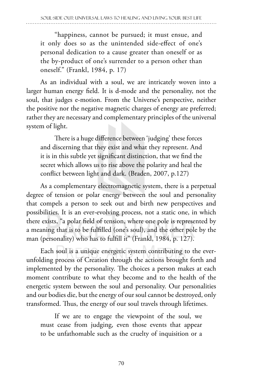"happiness, cannot be pursued; it must ensue, and it only does so as the unintended side-effect of one's personal dedication to a cause greater than oneself or as the by-product of one's surrender to a person other than oneself." (Frankl, 1984, p. 17)

As an individual with a soul, we are intricately woven into a larger human energy field. It is d-mode and the personality, not the soul, that judges e-motion. From the Universe's perspective, neither the positive nor the negative magnetic charges of energy are preferred; rather they are necessary and complementary principles of the universal system of light.

There is a huge difference between 'judging' these forces and discerning that they exist and what they represent. And it is in this subtle yet significant distinction, that we find the secret which allows us to rise above the polarity and heal the conflict between light and dark. (Braden, 2007, p.127)

As a complementary electromagnetic system, there is a perpetual degree of tension or polar energy between the soul and personality that compels a person to seek out and birth new perspectives and possibilities. It is an ever-evolving process, not a static one, in which there exists, "a polar field of tension, where one pole is represented by a meaning that is to be fulfilled (one's soul), and the other pole by the man (personality) who has to fulfill it" (Frankl, 1984, p. 127).

Each soul is a unique energetic system contributing to the everunfolding process of Creation through the actions brought forth and implemented by the personality. The choices a person makes at each moment contribute to what they become and to the health of the energetic system between the soul and personality. Our personalities and our bodies die, but the energy of our soul cannot be destroyed, only transformed. Thus, the energy of our soul travels through lifetimes.

If we are to engage the viewpoint of the soul, we must cease from judging, even those events that appear to be unfathomable such as the cruelty of inquisition or a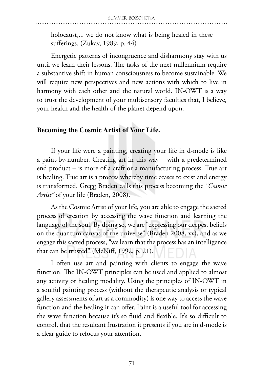holocaust,... we do not know what is being healed in these sufferings. (Zukav, 1989, p. 44)

Energetic patterns of incongruence and disharmony stay with us until we learn their lessons. The tasks of the next millennium require a substantive shift in human consciousness to become sustainable. We will require new perspectives and new actions with which to live in harmony with each other and the natural world. IN-OWT is a way to trust the development of your multisensory faculties that, I believe, your health and the health of the planet depend upon.

### **Becoming the Cosmic Artist of Your Life.**

If your life were a painting, creating your life in d-mode is like a paint-by-number. Creating art in this way – with a predetermined end product – is more of a craft or a manufacturing process. True art is healing. True art is a process whereby time ceases to exist and energy is transformed. Gregg Braden calls this process becoming the *"Cosmic Artist"* of your life (Braden, 2008).

As the Cosmic Artist of your life, you are able to engage the sacred process of creation by accessing the wave function and learning the language of the soul. By doing so, we are "expressing our deepest beliefs on the quantum canvas of the universe" (Braden 2008, xx), and as we engage this sacred process, "we learn that the process has an intelligence that can be trusted" (McNiff, 1992, p. 21).

I often use art and painting with clients to engage the wave function. The IN-OWT principles can be used and applied to almost any activity or healing modality. Using the principles of IN-OWT in a soulful painting process (without the therapeutic analysis or typical gallery assessments of art as a commodity) is one way to access the wave function and the healing it can offer. Paint is a useful tool for accessing the wave function because it's so fluid and flexible. It's so difficult to control, that the resultant frustration it presents if you are in d-mode is a clear guide to refocus your attention.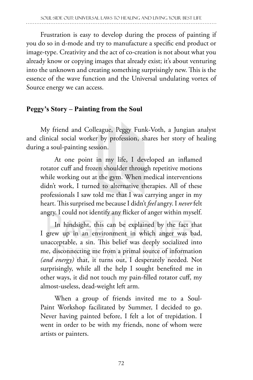Frustration is easy to develop during the process of painting if you do so in d-mode and try to manufacture a specific end product or image-type. Creativity and the act of co-creation is not about what you already know or copying images that already exist; it's about venturing into the unknown and creating something surprisingly new. This is the essence of the wave function and the Universal undulating vortex of Source energy we can access.

## **Peggy's Story – Painting from the Soul**

My friend and Colleague, Peggy Funk-Voth, a Jungian analyst and clinical social worker by profession, shares her story of healing during a soul-painting session.

At one point in my life, I developed an inflamed rotator cuff and frozen shoulder through repetitive motions while working out at the gym. When medical interventions didn't work, I turned to alternative therapies. All of these professionals I saw told me that I was carrying anger in my heart. This surprised me because I didn't *feel* angry. I *never* felt angry. I could not identify any flicker of anger within myself.

In hindsight, this can be explained by the fact that I grew up in an environment in which anger was bad, unacceptable, a sin. This belief was deeply socialized into me, disconnecting me from a primal source of information *(and energy)* that, it turns out, I desperately needed. Not surprisingly, while all the help I sought benefited me in other ways, it did not touch my pain-filled rotator cuff, my almost-useless, dead-weight left arm.

When a group of friends invited me to a Soul-Paint Workshop facilitated by Summer, I decided to go. Never having painted before, I felt a lot of trepidation. I went in order to be with my friends, none of whom were artists or painters.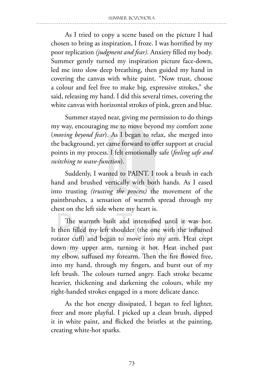As I tried to copy a scene based on the picture I had chosen to bring as inspiration, I froze. I was horrified by my poor replication *(judgment and fear).* Anxiety filled my body. Summer gently turned my inspiration picture face-down, led me into slow deep breathing, then guided my hand in covering the canvas with white paint. "Now trust, choose a colour and feel free to make big, expressive strokes," she said, releasing my hand. I did this several times, covering the white canvas with horizontal strokes of pink, green and blue.

Summer stayed near, giving me permission to do things my way, encouraging me to move beyond my comfort zone (*moving beyond fear*). As I began to relax, she merged into the background, yet came forward to offer support at crucial points in my process. I felt emotionally safe (*feeling safe and switching to wave-function*).

Suddenly, I wanted to PAINT. I took a brush in each hand and brushed vertically with both hands. As I eased into trusting *(trusting the process)* the movement of the paintbrushes, a sensation of warmth spread through my chest on the left side where my heart is.

The warmth built and intensified until it was hot. It then filled my left shoulder (the one with the inflamed rotator cuff) and began to move into my arm. Heat crept down my upper arm, turning it hot. Heat inched past my elbow, suffused my forearm. Then the fire flowed free, into my hand, through my fingers, and burst out of my left brush. The colours turned angry. Each stroke became heavier, thickening and darkening the colours, while my right-handed strokes engaged in a more delicate dance.

As the hot energy dissipated, I began to feel lighter, freer and more playful. I picked up a clean brush, dipped it in white paint, and flicked the bristles at the painting, creating white-hot sparks.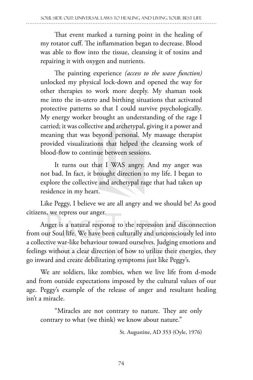That event marked a turning point in the healing of my rotator cuff. The inflammation began to decrease. Blood was able to flow into the tissue, cleansing it of toxins and repairing it with oxygen and nutrients.

The painting experience *(access to the wave function)*  unlocked my physical lock-down and opened the way for other therapies to work more deeply. My shaman took me into the in-utero and birthing situations that activated protective patterns so that I could survive psychologically. My energy worker brought an understanding of the rage I carried; it was collective and archetypal, giving it a power and meaning that was beyond personal. My massage therapist provided visualizations that helped the cleansing work of blood-flow to continue between sessions.

It turns out that I WAS angry. And my anger was not bad. In fact, it brought direction to my life. I began to explore the collective and archetypal rage that had taken up residence in my heart.

Like Peggy, I believe we are all angry and we should be! As good citizens, we repress our anger.

Anger is a natural response to the repression and disconnection from our Soul life. We have been culturally and unconsciously led into a collective war-like behaviour toward ourselves. Judging emotions and feelings without a clear direction of how to utilize their energies, they go inward and create debilitating symptoms just like Peggy's.

We are soldiers, like zombies, when we live life from d-mode and from outside expectations imposed by the cultural values of our age. Peggy's example of the release of anger and resultant healing isn't a miracle.

"Miracles are not contrary to nature. They are only contrary to what (we think) we know about nature."

St. Augustine, AD 353 (Oyle, 1976)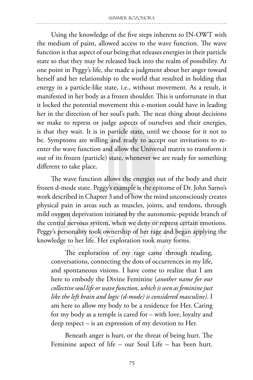Using the knowledge of the five steps inherent to IN-OWT with the medium of paint, allowed access to the wave function. The wave function is that aspect of our being that releases energies in their particle state so that they may be released back into the realm of possibility. At one point in Peggy's life, she made a judgment about her anger toward herself and her relationship to the world that resulted in holding that energy in a particle-like state, i.e., without movement. As a result, it manifested in her body as a frozen shoulder. This is unfortunate in that it locked the potential movement this e-motion could have in leading her in the direction of her soul's path. The neat thing about decisions we make to repress or judge aspects of ourselves and their energies, is that they wait. It is in particle state, until we choose for it not to be. Symptoms are willing and ready to accept our invitations to reenter the wave function and allow the Universal matrix to transform it out of its frozen (particle) state, whenever we are ready for something different to take place.

The wave function allows the energies out of the body and their frozen d-mode state. Peggy's example is the epitome of Dr. John Sarno's work described in Chapter 3 and of how the mind unconsciously creates physical pain in areas such as muscles, joints, and tendons, through mild oxygen deprivation initiated by the autonomic-peptide branch of the central nervous system, when we deny or repress certain emotions. Peggy's personality took ownership of her rage and began applying the knowledge to her life. Her exploration took many forms.

The exploration of my rage came through reading, conversations, connecting the dots of occurrences in my life, and spontaneous visions. I have come to realize that I am here to embody the Divine Feminine (*another name for our collective soul life or wave function, which is seen as feminine just like the left brain and logic (d-mode) is considered masculine)*. I am here to allow my body to be a residence for Her. Caring for my body as a temple is cared for – with love, loyalty and deep respect – is an expression of my devotion to Her.

Beneath anger is hurt, or the threat of being hurt. The Feminine aspect of life – our Soul Life – has been hurt.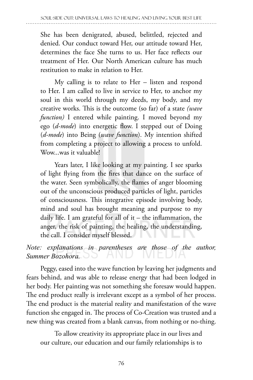She has been denigrated, abused, belittled, rejected and denied. Our conduct toward Her, our attitude toward Her, determines the face She turns to us. Her face reflects our treatment of Her. Our North American culture has much restitution to make in relation to Her.

My calling is to relate to Her – listen and respond to Her. I am called to live in service to Her, to anchor my soul in this world through my deeds, my body, and my creative works. This is the outcome (so far) of a state *(wave function)* I entered while painting. I moved beyond my ego (*d-mode*) into energetic flow. I stepped out of Doing (*d-mode*) into Being (*wave function*). My intention shifted from completing a project to allowing a process to unfold. Wow...was it valuable!

Years later, I like looking at my painting. I see sparks of light flying from the fires that dance on the surface of the water. Seen symbolically, the flames of anger blooming out of the unconscious produced particles of light, particles of consciousness. This integrative episode involving body, mind and soul has brought meaning and purpose to my daily life. I am grateful for all of it – the inflammation, the anger, the risk of painting, the healing, the understanding, the call. I consider myself blessed.

*Note:* explanations in parentheses are those of the author, *Summer Bozohora.*

Peggy, eased into the wave function by leaving her judgments and fears behind, and was able to release energy that had been lodged in her body. Her painting was not something she foresaw would happen. The end product really is irrelevant except as a symbol of her process. The end product is the material reality and manifestation of the wave function she engaged in. The process of Co-Creation was trusted and a new thing was created from a blank canvas, from nothing or no-thing.

To allow creativity its appropriate place in our lives and our culture, our education and our family relationships is to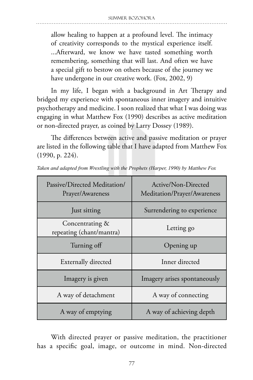allow healing to happen at a profound level. The intimacy of creativity corresponds to the mystical experience itself. ...Afterward, we know we have tasted something worth remembering, something that will last. And often we have a special gift to bestow on others because of the journey we have undergone in our creative work. (Fox, 2002, 9)

In my life, I began with a background in Art Therapy and bridged my experience with spontaneous inner imagery and intuitive psychotherapy and medicine. I soon realized that what I was doing was engaging in what Matthew Fox (1990) describes as active meditation or non-directed prayer, as coined by Larry Dossey (1989).

The differences between active and passive meditation or prayer are listed in the following table that I have adapted from Matthew Fox (1990, p. 224).

| Passive/Directed Meditation/<br>Prayer/Awareness | Active/Non-Directed<br>Meditation/Prayer/Awareness |
|--------------------------------------------------|----------------------------------------------------|
| Just sitting                                     | Surrendering to experience                         |
| Concentrating &<br>repeating (chant/mantra)      | Letting go                                         |
| Turning off                                      | Opening up                                         |
| <b>Externally directed</b>                       | Inner directed                                     |
| Imagery is given                                 | Imagery arises spontaneously                       |
| A way of detachment                              | A way of connecting                                |
| A way of emptying                                | A way of achieving depth                           |

*Taken and adapted from Wrestling with the Prophets (Harper, 1990) by Matthew Fox*

With directed prayer or passive meditation, the practitioner has a specific goal, image, or outcome in mind. Non-directed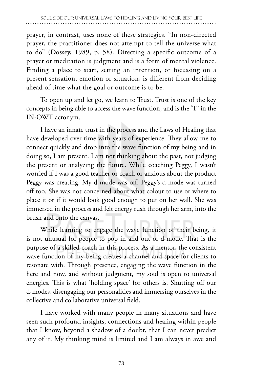prayer, in contrast, uses none of these strategies. "In non-directed prayer, the practitioner does not attempt to tell the universe what to do" (Dossey, 1989, p. 58). Directing a specific outcome of a prayer or meditation is judgment and is a form of mental violence. Finding a place to start, setting an intention, or focussing on a present sensation, emotion or situation, is different from deciding ahead of time what the goal or outcome is to be.

To open up and let go, we learn to Trust. Trust is one of the key concepts in being able to access the wave function, and is the 'T' in the IN-OWT acronym.

I have an innate trust in the process and the Laws of Healing that have developed over time with years of experience. They allow me to connect quickly and drop into the wave function of my being and in doing so, I am present. I am not thinking about the past, not judging the present or analyzing the future. While coaching Peggy, I wasn't worried if I was a good teacher or coach or anxious about the product Peggy was creating. My d-mode was off. Peggy's d-mode was turned off too. She was not concerned about what colour to use or where to place it or if it would look good enough to put on her wall. She was immersed in the process and felt energy rush through her arm, into the brush and onto the canvas.

While learning to engage the wave function of their being, it is not unusual for people to pop in and out of d-mode. That is the purpose of a skilled coach in this process. As a mentor, the consistent wave function of my being creates a channel and space for clients to resonate with. Through presence, engaging the wave function in the here and now, and without judgment, my soul is open to universal energies. This is what 'holding space' for others is. Shutting off our d-modes, disengaging our personalities and immersing ourselves in the collective and collaborative universal field.

I have worked with many people in many situations and have seen such profound insights, connections and healing within people that I know, beyond a shadow of a doubt, that I can never predict any of it. My thinking mind is limited and I am always in awe and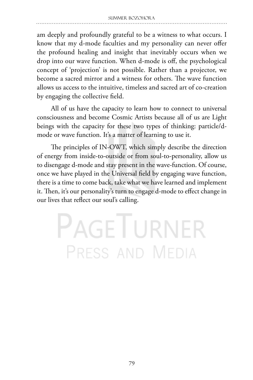am deeply and profoundly grateful to be a witness to what occurs. I know that my d-mode faculties and my personality can never offer the profound healing and insight that inevitably occurs when we drop into our wave function. When d-mode is off, the psychological concept of 'projection' is not possible. Rather than a projector, we become a sacred mirror and a witness for others. The wave function allows us access to the intuitive, timeless and sacred art of co-creation by engaging the collective field.

All of us have the capacity to learn how to connect to universal consciousness and become Cosmic Artists because all of us are Light beings with the capacity for these two types of thinking: particle/dmode or wave function. It's a matter of learning to use it.

The principles of IN-OWT, which simply describe the direction of energy from inside-to-outside or from soul-to-personality, allow us to disengage d-mode and stay present in the wave-function. Of course, once we have played in the Universal field by engaging wave function, there is a time to come back, take what we have learned and implement it. Then, it's our personality's turn to engage d-mode to effect change in our lives that reflect our soul's calling.

# **PAGETURNER** PRESS AND MEDIA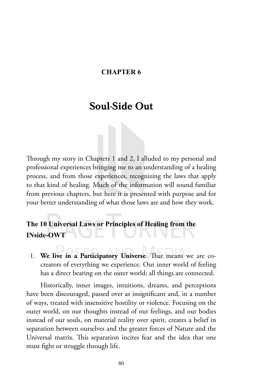#### **CHAPTER 6**

## Soul-Side Out

Through my story in Chapters 1 and 2, I alluded to my personal and professional experiences bringing me to an understanding of a healing process, and from those experiences, recognizing the laws that apply to that kind of healing. Much of the information will sound familiar from previous chapters, but here it is presented with purpose and for your better understanding of what those laws are and how they work.

## **The 10 Universal Laws or Principles of Healing from the INside-OWT**

1. **We live in a Participatory Universe**. That means we are cocreators of everything we experience. Our inner world of feeling has a direct bearing on the outer world; all things are connected.

Historically, inner images, intuitions, dreams, and perceptions have been discouraged, passed over as insignificant and, in a number of ways, treated with insensitive hostility or violence. Focusing on the outer world, on our thoughts instead of our feelings, and our bodies instead of our souls, on material reality over spirit, creates a belief in separation between ourselves and the greater forces of Nature and the Universal matrix. This separation incites fear and the idea that one must fight or struggle through life.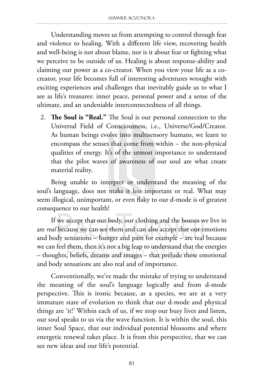Understanding moves us from attempting to control through fear and violence to healing. With a different life view, recovering health and well-being is not about blame, nor is it about fear or fighting what we perceive to be outside of us. Healing is about response-ability and claiming our power as a co-creator. When you view your life as a cocreator, your life becomes full of interesting adventures wrought with exciting experiences and challenges that inevitably guide us to what I see as life's treasures: inner peace, personal power and a sense of the ultimate, and an undeniable interconnectedness of all things.

2. **The Soul is "Real."** The Soul is our personal connection to the Universal Field of Consciousness, i.e., Universe/God/Creator. As human beings evolve into multisensory humans, we learn to encompass the senses that come from within – the non-physical qualities of energy. It's of the utmost importance to understand that the pilot waves of awareness of our soul are what create material reality.

Being unable to interpret or understand the meaning of the soul's language, does not make it less important or real. What may seem illogical, unimportant, or even flaky to our d-mode is of greatest consequence to our health!

If we accept that our body, our clothing and the houses we live in are *real* because we can see them and can also accept that our emotions and body sensations – hunger and pain for example – are real because we can feel them, then it's not a big leap to understand that the energies – thoughts, beliefs, dreams and images – that prelude these emotional and body sensations are also real and of importance.

Conventionally, we've made the mistake of trying to understand the meaning of the soul's language logically and from d-mode perspective. This is ironic because, as a species, we are at a very immature state of evolution to think that our d-mode and physical things are 'it!' Within each of us, if we stop our busy lives and listen, our soul speaks to us via the wave function. It is within the soul, this inner Soul Space, that our individual potential blossoms and where energetic renewal takes place. It is from this perspective, that we can see new ideas and our life's potential.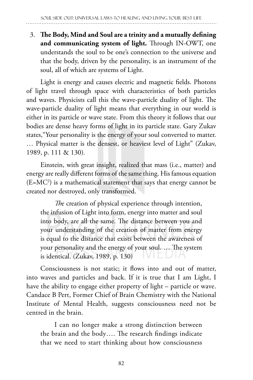3. **The Body, Mind and Soul are a trinity and a mutually defining and communicating system of light.** Through IN-OWT, one understands the soul to be one's connection to the universe and that the body, driven by the personality, is an instrument of the soul, all of which are systems of Light.

Light is energy and causes electric and magnetic fields. Photons of light travel through space with characteristics of both particles and waves. Physicists call this the wave-particle duality of light. The wave-particle duality of light means that everything in our world is either in its particle or wave state. From this theory it follows that our bodies are dense heavy forms of light in its particle state. Gary Zukav states,"Your personality is the energy of your soul converted to matter. … Physical matter is the densest, or heaviest level of Light" (Zukav, 1989, p. 111 & 130)*.*

Einstein, with great insight, realized that mass (i.e., matter) and energy are really different forms of the same thing. His famous equation (E=MC2 ) is a mathematical statement that says that energy cannot be created nor destroyed, only transformed.

*Th*e creation of physical experience through intention, the infusion of Light into form, energy into matter and soul into body, are all the same. The distance between you and your understanding of the creation of matter from energy is equal to the distance that exists between the awareness of your personality and the energy of your soul. … The system is identical. (Zukav, 1989, p. 130)

Consciousness is not static; it flows into and out of matter, into waves and particles and back. If it is true that I am Light, I have the ability to engage either property of light – particle or wave. Candace B Pert, Former Chief of Brain Chemistry with the National Institute of Mental Health, suggests consciousness need not be centred in the brain.

I can no longer make a strong distinction between the brain and the body…. The research findings indicate that we need to start thinking about how consciousness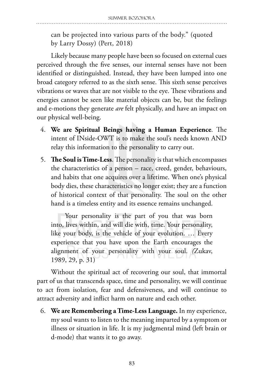can be projected into various parts of the body." (quoted by Larry Dossy) (Pert, 2018)

Likely because many people have been so focused on external cues perceived through the five senses, our internal senses have not been identified or distinguished. Instead, they have been lumped into one broad category referred to as the sixth sense. This sixth sense perceives vibrations or waves that are not visible to the eye. These vibrations and energies cannot be seen like material objects can be, but the feelings and e-motions they generate *are* felt physically, and have an impact on our physical well-being.

- 4. **We are Spiritual Beings having a Human Experience**. The intent of INside-OWT is to make the soul's needs known AND relay this information to the personality to carry out.
- 5. **The Soul is Time-Less**. The personality is that which encompasses the characteristics of a person – race, creed, gender, behaviours, and habits that one acquires over a lifetime. When one's physical body dies, these characteristics no longer exist; they are a function of historical context of that personality. The soul on the other hand is a timeless entity and its essence remains unchanged.

Your personality is the part of you that was born into, lives within, and will die with, time. Your personality, like your body, is the vehicle of your evolution. … Every experience that you have upon the Earth encourages the alignment of your personality with your soul. *(*Zukav, 1989, 29, p. 31)

Without the spiritual act of recovering our soul, that immortal part of us that transcends space, time and personality, we will continue to act from isolation, fear and defensiveness, and will continue to attract adversity and inflict harm on nature and each other.

6. **We are Remembering a Time-Less Language.** In my experience, my soul wants to listen to the meaning imparted by a symptom or illness or situation in life. It is my judgmental mind (left brain or d-mode) that wants it to go away.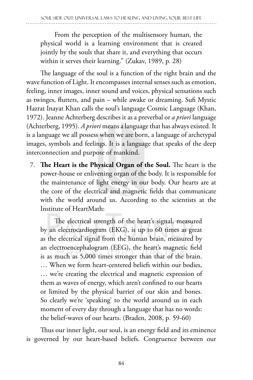From the perception of the multisensory human, the physical world is a learning environment that is created jointly by the souls that share it, and everything that occurs within it serves their learning." (Zukav, 1989, p. 28)

The language of the soul is a function of the right brain and the wave function of Light. It encompasses internal senses such as emotion, feeling, inner images, inner sound and voices, physical sensations such as twinges, flutters, and pain – while awake or dreaming. Sufi Mystic Hazrat Inayat Khan calls the soul's language Cosmic Language (Khan, 1972). Jeanne Achterberg describes it as a preverbal or *a priori* language (Achterberg, 1995). *A priori* means a language that has always existed. It is a language we all possess when we are born, a language of archetypal images, symbols and feelings. It is a language that speaks of the deep interconnection and purpose of mankind.

7. **The Heart is the Physical Organ of the Soul.** The heart is the power-house or enlivening organ of the body. It is responsible for the maintenance of light energy in our body. Our hearts are at the core of the electrical and magnetic fields that communicate with the world around us. According to the scientists at the Institute of HeartMath:

The electrical strength of the heart's signal, measured by an electrocardiogram (EKG), is up to 60 times as great as the electrical signal from the human brain, measured by an electroencephalogram (EEG), the heart's magnetic field is as much as 5,000 times stronger than that of the brain. … When we form heart-centered beliefs within our bodies, … we're creating the electrical and magnetic expression of them as waves of energy, which aren't confined to our hearts or limited by the physical barrier of our skin and bones. So clearly we're 'speaking' to the world around us in each moment of every day through a language that has no words: the belief-waves of our hearts. (Braden, 2008, p. 59-60)

Thus our inner light, our soul, is an energy field and its eminence is governed by our heart-based beliefs. Congruence between our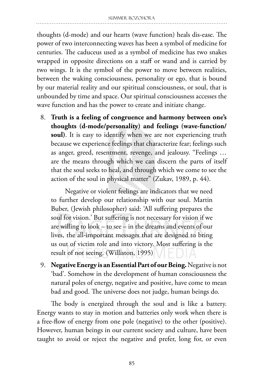thoughts (d-mode) and our hearts (wave function) heals dis-ease. The power of two interconnecting waves has been a symbol of medicine for centuries. The caduceus used as a symbol of medicine has two snakes wrapped in opposite directions on a staff or wand and is carried by two wings. It is the symbol of the power to move between realities, between the waking consciousness, personality or ego, that is bound by our material reality and our spiritual consciousness, or soul, that is unbounded by time and space. Our spiritual consciousness accesses the wave function and has the power to create and initiate change.

8. **Truth is a feeling of congruence and harmony between one's thoughts (d-mode/personality) and feelings (wave-function/ soul)**. It is easy to identify when we are not experiencing truth because we experience feelings that characterize fear; feelings such as anger, greed, resentment, revenge, and jealousy. "Feelings … are the means through which we can discern the parts of itself that the soul seeks to heal, and through which we come to see the action of the soul in physical matter" (Zukav, 1989, p. 44).

Negative or violent feelings are indicators that we need to further develop our relationship with our soul. Martin Buber, (Jewish philosopher) said: 'All suffering prepares the soul for vision.' But suffering is not necessary for vision if we are willing to look – to see – in the dreams and events of our lives, the all-important messages that are designed to bring us out of victim role and into victory. Most suffering is the result of not seeing. (Williston, 1995)

9. **Negative Energy is an Essential Part of our Being.** Negative is not 'bad'. Somehow in the development of human consciousness the natural poles of energy, negative and positive, have come to mean bad and good. The universe does not judge, human beings do.

The body is energized through the soul and is like a battery. Energy wants to stay in motion and batteries only work when there is a free-flow of energy from one pole (negative) to the other (positive). However, human beings in our current society and culture, have been taught to avoid or reject the negative and prefer, long for, or even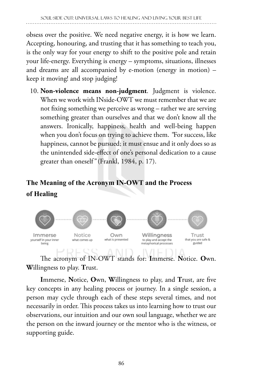obsess over the positive. We need negative energy, it is how we learn. Accepting, honouring, and trusting that it has something to teach you, is the only way for your energy to shift to the positive pole and retain your life-energy. Everything is energy – symptoms, situations, illnesses and dreams are all accompanied by e-motion (energy in motion) – keep it moving! and stop judging!

10. **Non-violence means non-judgment**. Judgment is violence. When we work with INside-OWT we must remember that we are not fixing something we perceive as wrong – rather we are serving something greater than ourselves and that we don't know all the answers. Ironically, happiness, health and well-being happen when you don't focus on trying to achieve them. *"*For success, like happiness, cannot be pursued; it must ensue and it only does so as the unintended side-effect of one's personal dedication to a cause greater than oneself*"* (Frankl, 1984, p. 17).

## **The Meaning of the Acronym IN-OWT and the Process of Healing**



The acronym of IN-OWT stands for: **I**mmerse. **N**otice. **O**wn. **W**illingness to play. **T**rust.

**I**mmerse, **N**otice, **O**wn, **W**illingness to play, and **T**rust, are five key concepts in any healing process or journey. In a single session, a person may cycle through each of these steps several times, and not necessarily in order. This process takes us into learning how to trust our observations, our intuition and our own soul language, whether we are the person on the inward journey or the mentor who is the witness, or supporting guide.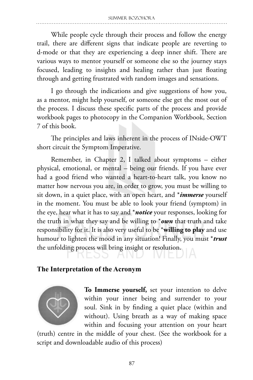While people cycle through their process and follow the energy trail, there are different signs that indicate people are reverting to d-mode or that they are experiencing a deep inner shift. There are various ways to mentor yourself or someone else so the journey stays focused, leading to insights and healing rather than just floating through and getting frustrated with random images and sensations.

I go through the indications and give suggestions of how you, as a mentor, might help yourself, or someone else get the most out of the process. I discuss these specific parts of the process and provide workbook pages to photocopy in the Companion Workbook, Section 7 of this book.

The principles and laws inherent in the process of INside-OWT short circuit the Symptom Imperative.

Remember, in Chapter 2, I talked about symptoms – either physical, emotional, or mental – being our friends. If you have ever had a good friend who wanted a heart-to-heart talk, you know no matter how nervous you are, in order to grow, you must be willing to sit down, in a quiet place, with an open heart, and \**immerse* yourself in the moment. You must be able to look your friend (symptom) in the eye, hear what it has to say and \**notice* your responses, looking for the truth in what they say and be willing to \**own* that truth and take responsibility for it. It is also very useful to be \***willing to play** and use humour to lighten the mood in any situation! Finally, you must \**trust* the unfolding process will bring insight or resolution.

## **The Interpretation of the Acronym**



**To Immerse yourself,** set your intention to delve within your inner being and surrender to your soul. Sink in by finding a quiet place (within and without). Using breath as a way of making space within and focusing your attention on your heart

(truth) centre in the middle of your chest. (See the workbook for a script and downloadable audio of this process)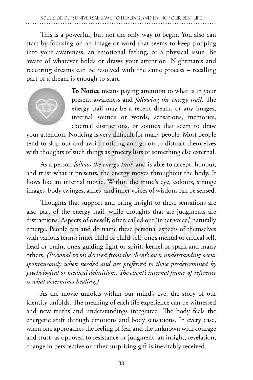This is a powerful, but not the only way to begin. You also can start by focusing on an image or word that seems to keep popping into your awareness, an emotional feeling, or a physical issue. Be aware of whatever holds or draws your attention. Nightmares and recurring dreams can be resolved with the same process – recalling part of a dream is enough to start.



**To Notice** means paying attention to what is in your present awareness and *following the energy trail*. The energy trail may be a recent dream, or any images, internal sounds or words, sensations, memories, external distractions, or sounds that seem to draw

your attention. Noticing is very difficult for many people. Most people tend to skip out and avoid noticing and go on to distract themselves with thoughts of such things as grocery lists or something else external.

As a person *follows the energy trail*, and is able to accept, honour, and trust what it presents, the energy moves throughout the body. It flows like an internal movie. Within the mind's eye, colours, strange images, body twinges, aches, and inner voices of wisdom can be sensed.

Thoughts that support and bring insight to these sensations are also part of the energy trail, while thoughts that are judgments are distractions. Aspects of oneself, often called our 'inner voice,' naturally emerge. People can and do name these personal aspects of themselves with various terms: inner child or child-self, one's mental or critical self, head or brain, one's guiding light or spirit, kernel or spark and many others. *(Personal terms derived from the client's own understanding occur spontaneously when needed and are preferred to those predetermined by psychological or medical definitions. The client's internal frame-of-reference is what determines healing.)*

As the movie unfolds within our mind's eye, the story of our identity unfolds. The meaning of each life experience can be witnessed and new truths and understandings integrated. The body feels the energetic shift through emotions and body sensations. In every case, when one approaches the feeling of fear and the unknown with courage and trust, as opposed to resistance or judgment, an insight, revelation, change in perspective or other surprising gift is inevitably received.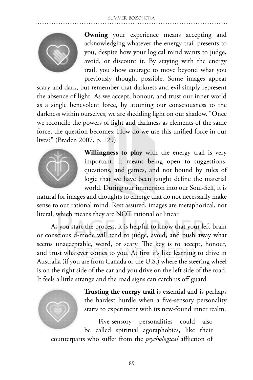

**Owning** your experience means accepting and acknowledging whatever the energy trail presents to you, despite how your logical mind wants to judge**,**  avoid, or discount it. By staying with the energy trail, you show courage to move beyond what you previously thought possible. Some images appear

scary and dark, but remember that darkness and evil simply represent the absence of light. As we accept, honour, and trust our inner world as a single benevolent force, by attuning our consciousness to the darkness within ourselves, we are shedding light on our shadow. "Once we reconcile the powers of light and darkness as elements of the same force, the question becomes: How do we use this unified force in our lives?" (Braden 2007, p. 129).



**Willingness to play** with the energy trail is very important. It means being open to suggestions, questions, and games, and not bound by rules of logic that we have been taught define the material world. During our immersion into our Soul-Self, it is

natural for images and thoughts to emerge that do not necessarily make sense to our rational mind. Rest assured, images are metaphorical, not literal, which means they are NOT rational or linear.

As you start the process, it is helpful to know that your left-brain or conscious d-mode will tend to judge, avoid, and push away what seems unacceptable, weird, or scary. The key is to accept, honour, and trust whatever comes to you. At first it's like learning to drive in Australia (if you are from Canada or the U.S.) where the steering wheel is on the right side of the car and you drive on the left side of the road. It feels a little strange and the road signs can catch us off guard.



**Trusting the energy trail** is essential and is perhaps the hardest hurdle when a five-sensory personality starts to experiment with its new-found inner realm.

Five-sensory personalities could also be called spiritual agoraphobics, like their counterparts who suffer from the *psychological* affliction of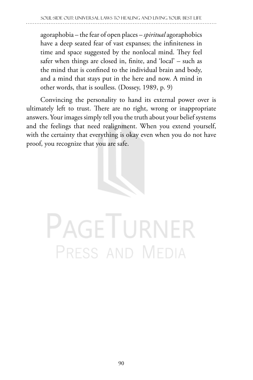agoraphobia – the fear of open places – *spiritual* agoraphobics have a deep seated fear of vast expanses; the infiniteness in time and space suggested by the nonlocal mind. They feel safer when things are closed in, finite, and 'local' – such as the mind that is confined to the individual brain and body, and a mind that stays put in the here and now. A mind in other words, that is soulless. (Dossey, 1989, p. 9)

Convincing the personality to hand its external power over is ultimately left to trust. There are no right, wrong or inappropriate answers. Your images simply tell you the truth about your belief systems and the feelings that need realignment. When you extend yourself, with the certainty that everything is okay even when you do not have proof, you recognize that you are safe.



# **PAGETURNER** PRESS AND MEDIA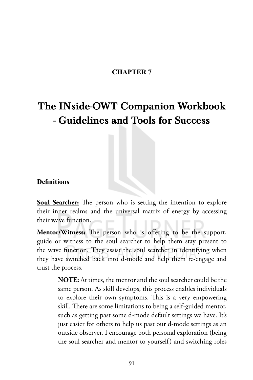## **CHAPTER 7**

## The INside-OWT Companion Workbook - Guidelines and Tools for Success

### **Definitions**

**Soul Searcher:** The person who is setting the intention to explore their inner realms and the universal matrix of energy by accessing their wave function.

**Mentor/Witness:** The person who is offering to be the support, guide or witness to the soul searcher to help them stay present to the wave function. They assist the soul searcher in identifying when they have switched back into d-mode and help them re-engage and trust the process.

> **NOTE:** At times, the mentor and the soul searcher could be the same person. As skill develops, this process enables individuals to explore their own symptoms. This is a very empowering skill. There are some limitations to being a self-guided mentor, such as getting past some d-mode default settings we have. It's just easier for others to help us past our d-mode settings as an outside observer. I encourage both personal exploration (being the soul searcher and mentor to yourself) and switching roles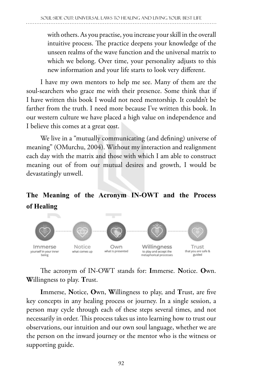with others. As you practise, you increase your skill in the overall intuitive process. The practice deepens your knowledge of the unseen realms of the wave function and the universal matrix to which we belong. Over time, your personality adjusts to this new information and your life starts to look very different.

I have my own mentors to help me see. Many of them are the soul-searchers who grace me with their presence. Some think that if I have written this book I would not need mentorship. It couldn't be farther from the truth. I need more because I've written this book. In our western culture we have placed a high value on independence and I believe this comes at a great cost.

We live in a "mutually communicating (and defining) universe of meaning" (OMurchu, 2004). Without my interaction and realignment each day with the matrix and those with which I am able to construct meaning out of from our mutual desires and growth, I would be devastatingly unwell.

## **The Meaning of the Acronym IN-OWT and the Process of Healing**



The acronym of IN-OWT stands for: **I**mmerse. **N**otice. **O**wn. **W**illingness to play. **T**rust.

**I**mmerse, **N**otice, **O**wn, **W**illingness to play, and **T**rust, are five key concepts in any healing process or journey. In a single session, a person may cycle through each of these steps several times, and not necessarily in order. This process takes us into learning how to trust our observations, our intuition and our own soul language, whether we are the person on the inward journey or the mentor who is the witness or supporting guide.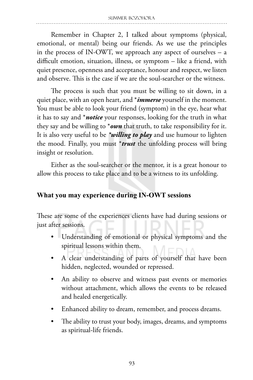Remember in Chapter 2, I talked about symptoms (physical, emotional, or mental) being our friends. As we use the principles in the process of IN-OWT, we approach any aspect of ourselves – a difficult emotion, situation, illness, or symptom – like a friend, with quiet presence, openness and acceptance, honour and respect, we listen and observe. This is the case if we are the soul-searcher or the witness.

The process is such that you must be willing to sit down, in a quiet place, with an open heart, and \**immerse* yourself in the moment. You must be able to look your friend (symptom) in the eye, hear what it has to say and \**notice* your responses, looking for the truth in what they say and be willing to \**own* that truth, to take responsibility for it. It is also very useful to be *\*willing to play* and use humour to lighten the mood. Finally, you must \**trust* the unfolding process will bring insight or resolution.

Either as the soul-searcher or the mentor, it is a great honour to allow this process to take place and to be a witness to its unfolding.

## **What you may experience during IN-OWT sessions**

These are some of the experiences clients have had during sessions or just after sessions.

- Understanding of emotional or physical symptoms and the spiritual lessons within them.
- A clear understanding of parts of yourself that have been hidden, neglected, wounded or repressed.
- An ability to observe and witness past events or memories without attachment, which allows the events to be released and healed energetically.
- Enhanced ability to dream, remember, and process dreams.
- The ability to trust your body, images, dreams, and symptoms as spiritual-life friends.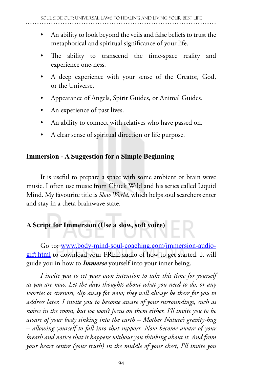- An ability to look beyond the veils and false beliefs to trust the metaphorical and spiritual significance of your life.
- The ability to transcend the time-space reality and experience one-ness.
- A deep experience with your sense of the Creator, God, or the Universe.
- Appearance of Angels, Spirit Guides, or Animal Guides.
- An experience of past lives.
- An ability to connect with relatives who have passed on.
- A clear sense of spiritual direction or life purpose.

## **Immersion - A Suggestion for a Simple Beginning**

It is useful to prepare a space with some ambient or brain wave music. I often use music from Chuck Wild and his series called Liquid Mind. My favourite title is *Slow World,* which helps soul searchers enter and stay in a theta brainwave state.

## **A Script for Immersion (Use a slow, soft voice)**

Go to: www.body-mind-soul-coaching.com/immersion-audiogift.html to download your FREE audio of how to get started. It will guide you in how to *Immerse* yourself into your inner being.

*I invite you to set your own intention to take this time for yourself as you are now. Let the day's thoughts about what you need to do, or any worries or stressors, slip away for now; they will always be there for you to address later. I invite you to become aware of your surroundings, such as noises in the room, but we won't focus on them either. I'll invite you to be aware of your body sinking into the earth – Mother Nature's gravity-hug – allowing yourself to fall into that support. Now become aware of your breath and notice that it happens without you thinking about it. And from your heart centre (your truth) in the middle of your chest, I'll invite you*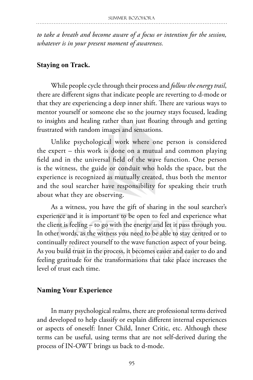*to take a breath and become aware of a focus or intention for the session, whatever is in your present moment of awareness.*

#### **Staying on Track.**

While people cycle through their process and *follow the energy trail*, there are different signs that indicate people are reverting to d-mode or that they are experiencing a deep inner shift. There are various ways to mentor yourself or someone else so the journey stays focused, leading to insights and healing rather than just floating through and getting frustrated with random images and sensations.

Unlike psychological work where one person is considered the expert – this work is done on a mutual and common playing field and in the universal field of the wave function. One person is the witness, the guide or conduit who holds the space, but the experience is recognized as mutually created, thus both the mentor and the soul searcher have responsibility for speaking their truth about what they are observing.

As a witness, you have the gift of sharing in the soul searcher's experience and it is important to be open to feel and experience what the client is feeling – to go with the energy and let it pass through you. In other words, as the witness you need to be able to stay centred or to continually redirect yourself to the wave function aspect of your being. As you build trust in the process, it becomes easier and easier to do and feeling gratitude for the transformations that take place increases the level of trust each time.

#### **Naming Your Experience**

In many psychological realms, there are professional terms derived and developed to help classify or explain different internal experiences or aspects of oneself: Inner Child, Inner Critic, etc. Although these terms can be useful, using terms that are not self-derived during the process of IN-OWT brings us back to d-mode.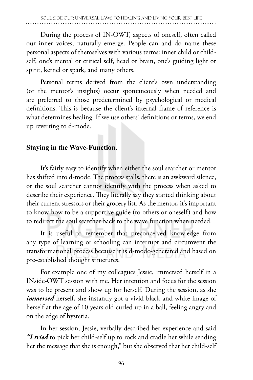During the process of IN-OWT, aspects of oneself, often called our inner voices, naturally emerge. People can and do name these personal aspects of themselves with various terms: inner child or childself, one's mental or critical self, head or brain, one's guiding light or spirit, kernel or spark, and many others.

Personal terms derived from the client's own understanding (or the mentor's insights) occur spontaneously when needed and are preferred to those predetermined by psychological or medical definitions. This is because the client's internal frame of reference is what determines healing. If we use others' definitions or terms, we end up reverting to d-mode.

#### **Staying in the Wave-Function.**

It's fairly easy to identify when either the soul searcher or mentor has shifted into d-mode. The process stalls, there is an awkward silence, or the soul searcher cannot identify with the process when asked to describe their experience. They literally say they started thinking about their current stressors or their grocery list. As the mentor, it's important to know how to be a supportive guide (to others or oneself) and how to redirect the soul searcher back to the wave function when needed.

It is useful to remember that preconceived knowledge from any type of learning or schooling can interrupt and circumvent the transformational process because it is d-mode-generated and based on pre-established thought structures.

For example one of my colleagues Jessie, immersed herself in a INside-OWT session with me. Her intention and focus for the session was to be present and show up for herself. During the session, as she *immersed* herself, she instantly got a vivid black and white image of herself at the age of 10 years old curled up in a ball, feeling angry and on the edge of hysteria.

In her session, Jessie, verbally described her experience and said *"I tried* to pick her child-self up to rock and cradle her while sending her the message that she is enough," but she observed that her child-self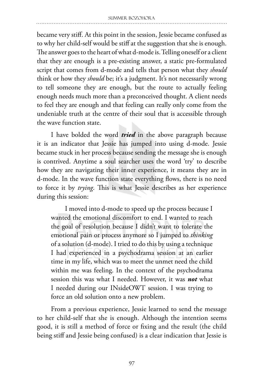became very stiff. At this point in the session, Jessie became confused as to why her child-self would be stiff at the suggestion that she is enough. The answer goes to the heart of what d-mode is. Telling oneself or a client that they are enough is a pre-existing answer, a static pre-formulated script that comes from d-mode and tells that person what they *should* think or how they *should* be; it's a judgment. It's not necessarily wrong to tell someone they are enough, but the route to actually feeling enough needs much more than a preconceived thought. A client needs to feel they are enough and that feeling can really only come from the undeniable truth at the centre of their soul that is accessible through the wave function state.

I have bolded the word *tried* in the above paragraph because it is an indicator that Jessie has jumped into using d-mode. Jessie became stuck in her process because sending the message she is enough is contrived. Anytime a soul searcher uses the word 'try' to describe how they are navigating their inner experience, it means they are in d-mode. In the wave function state everything flows, there is no need to force it by *trying*. This is what Jessie describes as her experience during this session:

I moved into d-mode to speed up the process because I wanted the emotional discomfort to end. I wanted to reach the goal of resolution because I didn't want to tolerate the emotional pain or process anymore so I jumped to *thinking* of a solution (d-mode). I tried to do this by using a technique I had experienced in a psychodrama session at an earlier time in my life, which was to meet the unmet need the child within me was feeling. In the context of the psychodrama session this was what I needed. However, it was *not* what I needed during our INsideOWT session. I was trying to force an old solution onto a new problem.

From a previous experience, Jessie learned to send the message to her child-self that she is enough. Although the intention seems good, it is still a method of force or fixing and the result (the child being stiff and Jessie being confused) is a clear indication that Jessie is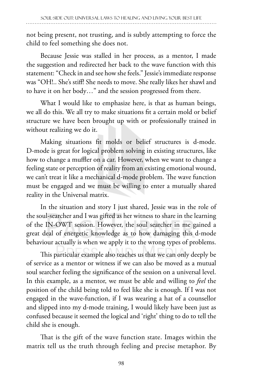not being present, not trusting, and is subtly attempting to force the child to feel something she does not.

Because Jessie was stalled in her process, as a mentor, I made the suggestion and redirected her back to the wave function with this statement: "Check in and see how she feels." Jessie's immediate response was "OH!.. She's stiff! She needs to move. She really likes her shawl and to have it on her body…" and the session progressed from there.

What I would like to emphasize here, is that as human beings, we all do this. We all try to make situations fit a certain mold or belief structure we have been brought up with or professionally trained in without realizing we do it.

Making situations fit molds or belief structures is d-mode. D-mode is great for logical problem solving in existing structures, like how to change a muffler on a car. However, when we want to change a feeling state or perception of reality from an existing emotional wound, we can't treat it like a mechanical d-mode problem. The wave function must be engaged and we must be willing to enter a mutually shared reality in the Universal matrix.

In the situation and story I just shared, Jessie was in the role of the soul-searcher and I was gifted as her witness to share in the learning of the IN-OWT session. However, the soul searcher in me gained a great deal of energetic knowledge as to how damaging this d-mode behaviour actually is when we apply it to the wrong types of problems.

This particular example also teaches us that we can only deeply be of service as a mentor or witness if we can also be moved as a mutual soul searcher feeling the significance of the session on a universal level. In this example, as a mentor, we must be able and willing to *feel* the position of the child being told to feel like she is enough. If I was not engaged in the wave-function, if I was wearing a hat of a counsellor and slipped into my d-mode training, I would likely have been just as confused because it seemed the logical and 'right' thing to do to tell the child she is enough.

That is the gift of the wave function state. Images within the matrix tell us the truth through feeling and precise metaphor. By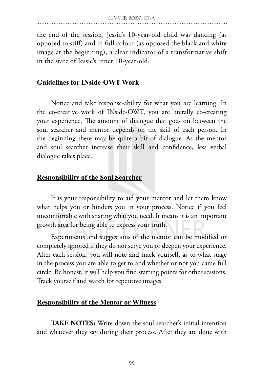the end of the session, Jessie's 10-year-old child was dancing (as opposed to stiff) and in full colour (as opposed the black and white image at the beginning), a clear indicator of a transformative shift in the state of Jessie's inner 10-year-old.

#### **Guidelines for INside-OWT Work**

Notice and take response-ability for what you are learning. In the co-creative work of INside-OWT, you are literally co-creating your experience. The amount of dialogue that goes on between the soul searcher and mentor depends on the skill of each person. In the beginning there may be quite a bit of dialogue. As the mentor and soul searcher increase their skill and confidence, less verbal dialogue takes place.

#### **Responsibility of the Soul Searcher**

It is your responsibility to aid your mentor and let them know what helps you or hinders you in your process. Notice if you feel uncomfortable with sharing what you need. It means it is an important growth area for being able to express your truth.

Experiments and suggestions of the mentor can be modified or completely ignored if they do not serve you or deepen your experience. After each session, you will note and track yourself, as to what stage in the process you are able to get to and whether or not you came full circle. Be honest, it will help you find starting points for other sessions. Track yourself and watch for repetitive images.

#### **Responsibility of the Mentor or Witness**

**TAKE NOTES:** Write down the soul searcher's initial intention and whatever they say during their process. After they are done with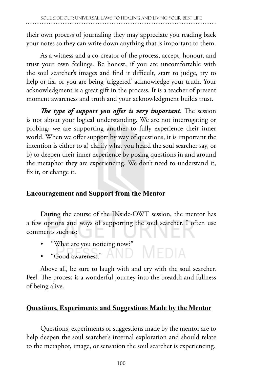their own process of journaling they may appreciate you reading back your notes so they can write down anything that is important to them.

As a witness and a co-creator of the process, accept, honour, and trust your own feelings. Be honest, if you are uncomfortable with the soul searcher's images and find it difficult, start to judge, try to help or fix, or you are being 'triggered' acknowledge your truth. Your acknowledgment is a great gift in the process. It is a teacher of present moment awareness and truth and your acknowledgment builds trust.

*The type of support you offer is very important*. The session is not about your logical understanding. We are not interrogating or probing; we are supporting another to fully experience their inner world. When we offer support by way of questions, it is important the intention is either to a) clarify what you heard the soul searcher say, or b) to deepen their inner experience by posing questions in and around the metaphor they are experiencing. We don't need to understand it, fix it, or change it.

# **Encouragement and Support from the Mentor**

During the course of the INside-OWT session, the mentor has a few options and ways of supporting the soul searcher. I often use comments such as:

- "What are you noticing now?"
- MEDIA • "Good awareness."

Above all, be sure to laugh with and cry with the soul searcher. Feel. The process is a wonderful journey into the breadth and fullness of being alive.

# **Questions, Experiments and Suggestions Made by the Mentor**

Questions, experiments or suggestions made by the mentor are to help deepen the soul searcher's internal exploration and should relate to the metaphor, image, or sensation the soul searcher is experiencing.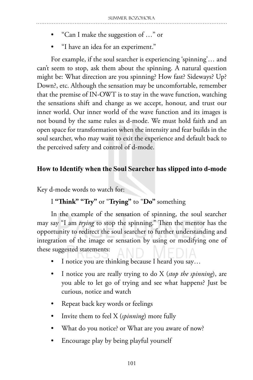- "Can I make the suggestion of …" or
- "I have an idea for an experiment."

For example, if the soul searcher is experiencing 'spinning'… and can't seem to stop, ask them about the spinning. A natural question might be: What direction are you spinning? How fast? Sideways? Up? Down?, etc. Although the sensation may be uncomfortable, remember that the premise of IN-OWT is to stay in the wave function, watching the sensations shift and change as we accept, honour, and trust our inner world. Our inner world of the wave function and its images is not bound by the same rules as d-mode. We must hold faith and an open space for transformation when the intensity and fear builds in the soul searcher, who may want to exit the experience and default back to the perceived safety and control of d-mode.

# **How to Identify when the Soul Searcher has slipped into d-mode**

Key d-mode words to watch for:

# I **"Think" "Try"** or "**Trying"** to "**Do"** something

In the example of the sensation of spinning, the soul searcher may say "I am *trying* to stop the spinning." Then the mentor has the opportunity to redirect the soul searcher to further understanding and integration of the image or sensation by using or modifying one of these suggested statements:

- I notice you are thinking because I heard you say...
- I notice you are really trying to do X (*stop the spinning*), are you able to let go of trying and see what happens? Just be curious, notice and watch
- Repeat back key words or feelings
- Invite them to feel X (*spinning*) more fully
- What do you notice? or What are you aware of now?
- Encourage play by being playful yourself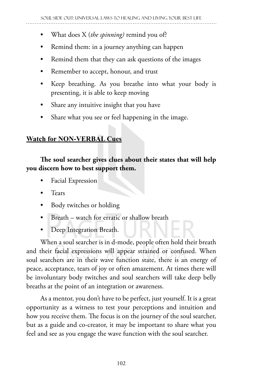- What does X (*the spinning)* remind you of?
- Remind them: in a journey anything can happen
- Remind them that they can ask questions of the images
- Remember to accept, honour, and trust
- Keep breathing. As you breathe into what your body is presenting, it is able to keep moving
- Share any intuitive insight that you have
- Share what you see or feel happening in the image.

# **Watch for NON-VERBAL Cues**

# **The soul searcher gives clues about their states that will help you discern how to best support them.**

- Facial Expression
- Tears
- Body twitches or holding
- Breath watch for erratic or shallow breath
- Deep Integration Breath.

When a soul searcher is in d-mode, people often hold their breath and their facial expressions will appear strained or confused. When soul searchers are in their wave function state, there is an energy of peace, acceptance, tears of joy or often amazement. At times there will be involuntary body twitches and soul searchers will take deep belly breaths at the point of an integration or awareness.

As a mentor, you don't have to be perfect, just yourself. It is a great opportunity as a witness to test your perceptions and intuition and how you receive them. The focus is on the journey of the soul searcher, but as a guide and co-creator, it may be important to share what you feel and see as you engage the wave function with the soul searcher.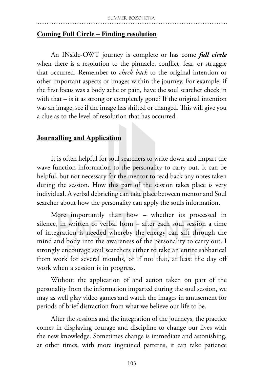#### **Coming Full Circle – Finding resolution**

An INside-OWT journey is complete or has come *full circle* when there is a resolution to the pinnacle, conflict, fear, or struggle that occurred. Remember to *check back* to the original intention or other important aspects or images within the journey. For example, if the first focus was a body ache or pain, have the soul searcher check in with that – is it as strong or completely gone? If the original intention was an image, see if the image has shifted or changed. This will give you a clue as to the level of resolution that has occurred.

#### **Journalling and Application**

It is often helpful for soul searchers to write down and impart the wave function information to the personality to carry out. It can be helpful, but not necessary for the mentor to read back any notes taken during the session. How this part of the session takes place is very individual. A verbal debriefing can take place between mentor and Soul searcher about how the personality can apply the souls information.

More importantly than how – whether its processed in silence, in written or verbal form – after each soul session a time of integration is needed whereby the energy can sift through the mind and body into the awareness of the personality to carry out. I strongly encourage soul searchers either to take an entire sabbatical from work for several months, or if not that, at least the day off work when a session is in progress.

Without the application of and action taken on part of the personality from the information imparted during the soul session, we may as well play video games and watch the images in amusement for periods of brief distraction from what we believe our life to be.

After the sessions and the integration of the journeys, the practice comes in displaying courage and discipline to change our lives with the new knowledge. Sometimes change is immediate and astonishing, at other times, with more ingrained patterns, it can take patience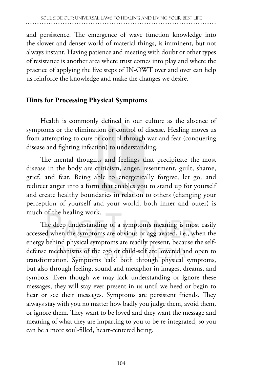and persistence. The emergence of wave function knowledge into the slower and denser world of material things, is imminent, but not always instant. Having patience and meeting with doubt or other types of resistance is another area where trust comes into play and where the practice of applying the five steps of IN-OWT over and over can help us reinforce the knowledge and make the changes we desire.

# **Hints for Processing Physical Symptoms**

Health is commonly defined in our culture as the absence of symptoms or the elimination or control of disease. Healing moves us from attempting to cure or control through war and fear (conquering disease and fighting infection) to understanding.

The mental thoughts and feelings that precipitate the most disease in the body are criticism, anger, resentment, guilt, shame, grief, and fear. Being able to energetically forgive, let go, and redirect anger into a form that enables you to stand up for yourself and create healthy boundaries in relation to others (changing your perception of yourself and your world, both inner and outer) is much of the healing work.

The deep understanding of a symptom's meaning is most easily accessed when the symptoms are obvious or aggravated, i.e., when the energy behind physical symptoms are readily present, because the selfdefense mechanisms of the ego or child-self are lowered and open to transformation. Symptoms 'talk' both through physical symptoms, but also through feeling, sound and metaphor in images, dreams, and symbols. Even though we may lack understanding or ignore these messages, they will stay ever present in us until we heed or begin to hear or see their messages. Symptoms are persistent friends. They always stay with you no matter how badly you judge them, avoid them, or ignore them. They want to be loved and they want the message and meaning of what they are imparting to you to be re-integrated, so you can be a more soul-filled, heart-centered being.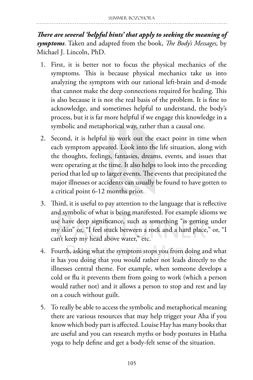*There are several 'helpful hints' that apply to seeking the meaning of symptoms*. Taken and adapted from the book, *The Body's Messages,* by Michael J. Lincoln, PhD.

- 1. First, it is better not to focus the physical mechanics of the symptoms. This is because physical mechanics take us into analyzing the symptom with our rational left-brain and d-mode that cannot make the deep connections required for healing. This is also because it is not the real basis of the problem. It is fine to acknowledge, and sometimes helpful to understand, the body's process, but it is far more helpful if we engage this knowledge in a symbolic and metaphorical way, rather than a causal one.
- 2. Second, it is helpful to work out the exact point in time when each symptom appeared. Look into the life situation, along with the thoughts, feelings, fantasies, dreams, events, and issues that were operating at the time. It also helps to look into the preceding period that led up to larger events. The events that precipitated the major illnesses or accidents can usually be found to have gotten to a critical point 6-12 months prior.
- 3. Third, it is useful to pay attention to the language that is reflective and symbolic of what is being manifested. For example idioms we use have deep significance, such as something "is getting under my skin" or, "I feel stuck between a rock and a hard place," or, "I can't keep my head above water," etc.
- 4. Fourth, asking what the symptom stops you from doing and what it has you doing that you would rather not leads directly to the illnesses central theme. For example, when someone develops a cold or flu it prevents them from going to work (which a person would rather not) and it allows a person to stop and rest and lay on a couch without guilt.
- 5. To really be able to access the symbolic and metaphorical meaning there are various resources that may help trigger your Aha if you know which body part is affected. Louise Hay has many books that are useful and you can research myths or body postures in Hatha yoga to help define and get a body-felt sense of the situation.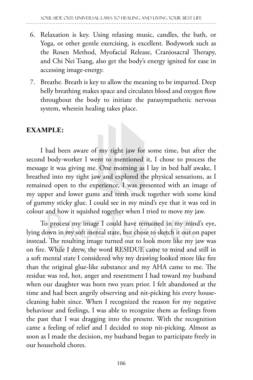- 6. Relaxation is key. Using relaxing music, candles, the bath, or Yoga, or other gentle exercising, is excellent. Bodywork such as the Rosen Method, Myofacial Release, Craniosacral Therapy, and Chi Nei Tsang, also get the body's energy ignited for ease in accessing image-energy.
- 7. Breathe. Breath is key to allow the meaning to be imparted. Deep belly breathing makes space and circulates blood and oxygen flow throughout the body to initiate the parasympathetic nervous system, wherein healing takes place.

# **EXAMPLE:**

I had been aware of my tight jaw for some time, but after the second body-worker I went to mentioned it, I chose to process the message it was giving me. One morning as I lay in bed half awake, I breathed into my tight jaw and explored the physical sensations, as I remained open to the experience, I was presented with an image of my upper and lower gums and teeth stuck together with some kind of gummy sticky glue. I could see in my mind's eye that it was red in colour and how it squished together when I tried to move my jaw.

To process my image I could have remained in my mind's eye, lying down in my soft mental state, but chose to sketch it out on paper instead. The resulting image turned out to look more like my jaw was on fire. While I drew, the word RESIDUE came to mind and still in a soft mental state I considered why my drawing looked more like fire than the original glue-like substance and my AHA came to me. The residue was red, hot, anger and resentment I had toward my husband when our daughter was born two years prior. I felt abandoned at the time and had been angrily observing and nit-picking his every housecleaning habit since. When I recognized the reason for my negative behaviour and feelings, I was able to recognize them as feelings from the past that I was dragging into the present. With the recognition came a feeling of relief and I decided to stop nit-picking. Almost as soon as I made the decision, my husband began to participate freely in our household chores.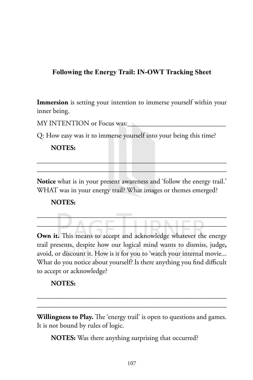# **Following the Energy Trail: IN-OWT Tracking Sheet**

**Immersion** is setting your intention to immerse yourself within your inner being.

MY INTENTION or Focus was:

Q: How easy was it to immerse yourself into your being this time?

#### **NOTES:**

**Notice** what is in your present awareness and 'follow the energy trail.' WHAT was in your energy trail? What images or themes emerged?

 $\overline{\phantom{a}}$  ,  $\overline{\phantom{a}}$  ,  $\overline{\phantom{a}}$  ,  $\overline{\phantom{a}}$  ,  $\overline{\phantom{a}}$  ,  $\overline{\phantom{a}}$  ,  $\overline{\phantom{a}}$  ,  $\overline{\phantom{a}}$  ,  $\overline{\phantom{a}}$  ,  $\overline{\phantom{a}}$  ,  $\overline{\phantom{a}}$  ,  $\overline{\phantom{a}}$  ,  $\overline{\phantom{a}}$  ,  $\overline{\phantom{a}}$  ,  $\overline{\phantom{a}}$  ,  $\overline{\phantom{a}}$  $\overline{\phantom{a}}$   $\overline{\phantom{a}}$   $\overline{\phantom{a}}$   $\overline{\phantom{a}}$   $\overline{\phantom{a}}$   $\overline{\phantom{a}}$   $\overline{\phantom{a}}$   $\overline{\phantom{a}}$   $\overline{\phantom{a}}$   $\overline{\phantom{a}}$   $\overline{\phantom{a}}$   $\overline{\phantom{a}}$   $\overline{\phantom{a}}$   $\overline{\phantom{a}}$   $\overline{\phantom{a}}$   $\overline{\phantom{a}}$   $\overline{\phantom{a}}$   $\overline{\phantom{a}}$   $\overline{\$ 

\_\_\_\_\_\_\_\_\_\_\_\_\_\_\_\_\_\_\_\_\_\_\_\_\_\_\_\_\_\_\_\_\_\_\_\_\_\_\_\_\_\_\_\_\_\_\_\_\_\_\_\_\_\_ \_\_\_\_\_\_\_\_\_\_\_\_\_\_\_\_\_\_\_\_\_\_\_\_\_\_\_\_\_\_\_\_\_\_\_\_\_\_\_\_\_\_\_\_\_\_\_\_\_\_\_\_\_\_

#### **NOTES:**

Own it. This means to accept and acknowledge whatever the energy trail presents, despite how our logical mind wants to dismiss, judge**,**  avoid, or discount it. How is it for you to 'watch your internal movie... What do you notice about yourself? Is there anything you find difficult to accept or acknowledge?

#### **NOTES:**

**Willingness to Play.** The 'energy trail' is open to questions and games. It is not bound by rules of logic.

\_\_\_\_\_\_\_\_\_\_\_\_\_\_\_\_\_\_\_\_\_\_\_\_\_\_\_\_\_\_\_\_\_\_\_\_\_\_\_\_\_\_\_\_\_\_\_\_\_\_\_\_\_\_ \_\_\_\_\_\_\_\_\_\_\_\_\_\_\_\_\_\_\_\_\_\_\_\_\_\_\_\_\_\_\_\_\_\_\_\_\_\_\_\_\_\_\_\_\_\_\_\_\_\_\_\_\_\_

**NOTES:** Was there anything surprising that occurred?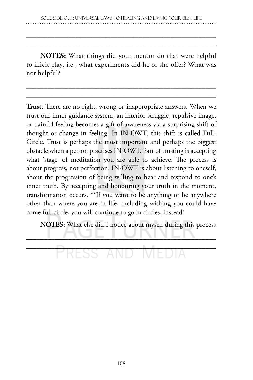\_\_\_\_\_\_\_\_\_\_\_\_\_\_\_\_\_\_\_\_\_\_\_\_\_\_\_\_\_\_\_\_\_\_\_\_\_\_\_\_\_\_\_\_\_\_\_\_\_\_\_\_\_\_ \_\_\_\_\_\_\_\_\_\_\_\_\_\_\_\_\_\_\_\_\_\_\_\_\_\_\_\_\_\_\_\_\_\_\_\_\_\_\_\_\_\_\_\_\_\_\_\_\_\_\_\_\_\_

**NOTES:** What things did your mentor do that were helpful to illicit play, i.e., what experiments did he or she offer? What was not helpful?

\_\_\_\_\_\_\_\_\_\_\_\_\_\_\_\_\_\_\_\_\_\_\_\_\_\_\_\_\_\_\_\_\_\_\_\_\_\_\_\_\_\_\_\_\_\_\_\_\_\_\_\_\_\_ \_\_\_\_\_\_\_\_\_\_\_\_\_\_\_\_\_\_\_\_\_\_\_\_\_\_\_\_\_\_\_\_\_\_\_\_\_\_\_\_\_\_\_\_\_\_\_\_\_\_\_\_\_\_

**Trust**. There are no right, wrong or inappropriate answers. When we trust our inner guidance system, an interior struggle, repulsive image, or painful feeling becomes a gift of awareness via a surprising shift of thought or change in feeling. In IN-OWT, this shift is called Full-Circle. Trust is perhaps the most important and perhaps the biggest obstacle when a person practises IN-OWT. Part of trusting is accepting what 'stage' of meditation you are able to achieve. The process is about progress, not perfection. IN-OWT is about listening to oneself, about the progression of being willing to hear and respond to one's inner truth. By accepting and honouring your truth in the moment, transformation occurs. \*\*If you want to be anything or be anywhere other than where you are in life, including wishing you could have come full circle, you will continue to go in circles, instead!

**NOTES**: What else did I notice about myself during this process

# \_\_\_\_\_\_\_\_\_\_\_\_\_\_\_\_\_\_\_\_\_\_\_\_\_\_\_\_\_\_\_\_\_\_\_\_\_\_\_\_\_\_\_\_\_\_\_\_\_\_\_\_\_\_

 $\blacksquare$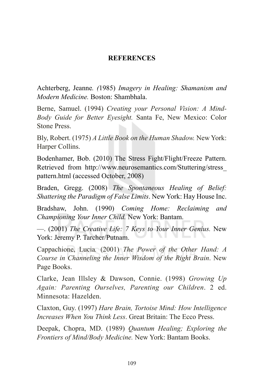#### **REFERENCES**

Achterberg, Jeanne*. (*1985) *Imagery in Healing: Shamanism and Modern Medicine.* Boston: Shambhala.

Berne, Samuel. (1994) *Creating your Personal Vision: A Mind-Body Guide for Better Eyesight.* Santa Fe, New Mexico: Color Stone Press.

Bly, Robert. (1975) *A Little Book on the Human Shadow.* New York: Harper Collins.

Bodenhamer, Bob. (2010) The Stress Fight/Flight/Freeze Pattern. Retrieved from http://www.neurosemantics.com/Stuttering/stress\_ pattern.html (accessed October, 2008)

Braden, Gregg. (2008) *The Spontaneous Healing of Belief: Shattering the Paradigm of False Limits*. New York: Hay House Inc.

Bradshaw, John. (1990) *Coming Home: Reclaiming and Championing Your Inner Child.* New York: Bantam.

—. (2001) *The Creative Life: 7 Keys to Your Inner Genius.* New York: Jeremy P. Tarcher/Putnam.

Cappachione, Lucia*.* (2001) *The Power of the Other Hand: A Course in Channeling the Inner Wisdom of the Right Brain*. New Page Books.

Clarke, Jean Illsley & Dawson, Connie. (1998) *Growing Up Again: Parenting Ourselves, Parenting our Children*. 2 ed. Minnesota: Hazelden.

Claxton, Guy. (1997) *Hare Brain, Tortoise Mind: How Intelligence Increases When You Think Less*. Great Britain: The Ecco Press.

Deepak, Chopra, MD. (1989) *Quantum Healing; Exploring the Frontiers of Mind/Body Medicine.* New York: Bantam Books.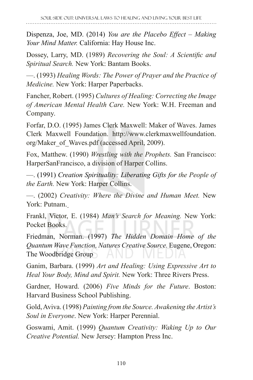Dispenza, Joe, MD. (2014) *You are the Placebo Effect – Making Your Mind Matter.* California: Hay House Inc.

Dossey, Larry, MD. (1989) *Recovering the Soul: A Scientific and Spiritual Search.* New York: Bantam Books.

—. (1993) *Healing Words: The Power of Prayer and the Practice of Medicine.* New York: Harper Paperbacks.

Fancher, Robert. (1995) *Cultures of Healing: Correcting the Image of American Mental Health Care.* New York: W.H. Freeman and Company.

Forfar, D.O. (1995) James Clerk Maxwell: Maker of Waves. James Clerk Maxwell Foundation. http://www.clerkmaxwellfoundation. org/Maker\_of\_Waves.pdf (accessed April, 2009).

Fox, Matthew. (1990) *Wrestling with the Prophets.* San Francisco: HarperSanFrancisco, a division of Harper Collins.

—. (1991) *Creation Spirituality: Liberating Gifts for the People of the Earth.* New York: Harper Collins.

—. (2002) *Creativity: Where the Divine and Human Meet.* New York: Putnam.

Frankl, Victor, E. (1984) *Man's Search for Meaning.* New York: Pocket Books.

Friedman, Norman. (1997) *The Hidden Domain Home of the Quantum Wave Function, Natures Creative Source.* Eugene, Oregon: The Woodbridge Group

Ganim, Barbara. (1999) *Art and Healing: Using Expressive Art to Heal Your Body, Mind and Spirit.* New York: Three Rivers Press.

Gardner, Howard. (2006) *Five Minds for the Future*. Boston: Harvard Business School Publishing.

Gold, Aviva. (1998) *Painting from the Source. Awakening the Artist's Soul in Everyone*. New York: Harper Perennial.

Goswami, Amit. (1999) *Quantum Creativity: Waking Up to Our Creative Potential.* New Jersey: Hampton Press Inc.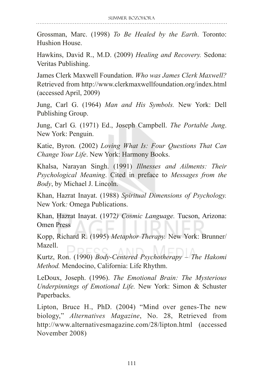Grossman, Marc. (1998) *To Be Healed by the Earth*. Toronto: Hushion House.

Hawkins, David R., M.D. (2009) *Healing and Recovery.* Sedona: Veritas Publishing.

James Clerk Maxwell Foundation. *Who was James Clerk Maxwell?* Retrieved from http://www.clerkmaxwellfoundation.org/index.html (accessed April, 2009)

Jung, Carl G. (1964) *Man and His Symbols.* New York: Dell Publishing Group.

Jung, Carl G*.* (1971) Ed., Joseph Campbell. *The Portable Jung*. New York: Penguin.

Katie, Byron*.* (2002) *Loving What Is: Four Questions That Can Change Your Life*. New York: Harmony Books.

Khalsa, Narayan Singh. (1991) *Illnesses and Ailments: Their Psychological Meaning*. Cited in preface to *Messages from the Body*, by Michael J. Lincoln.

Khan, Hazrat Inayat. (1988) *Spiritual Dimensions of Psychology.*  New York*:* Omega Publications.

Khan, Hazrat Inayat. (1972*) Cosmic Language.* Tucson, Arizona: Omen Press

Kopp, Richard R. (1995) *Metaphor Therapy.* New York: Brunner/ Mazell.

Kurtz, Ron. (1990) *Body-Centered Psychotherapy – The Hakomi Method.* Mendocino, California: Life Rhythm.

LeDoux, Joseph. (1996). *The Emotional Brain: The Mysterious Underpinnings of Emotional Life.* New York: Simon & Schuster Paperbacks.

Lipton, Bruce H., PhD. (2004) "Mind over genes-The new biology," *Alternatives Magazine*, No. 28, Retrieved from http://www.alternativesmagazine.com/28/lipton.html (accessed November 2008)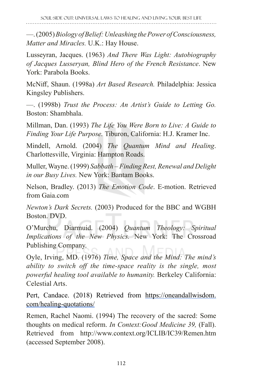—. (2005) *Biology of Belief: Unleashing the Power of Consciousness, Matter and Miracles.* U.K.: Hay House.

Lusseyran, Jacques. (1963) *And There Was Light: Autobiography of Jacques Lusseryan, Blind Hero of the French Resistance*. New York: Parabola Books.

McNiff, Shaun. (1998a) *Art Based Research.* Philadelphia: Jessica Kingsley Publishers.

—. (1998b) *Trust the Process: An Artist's Guide to Letting Go.* Boston: Shambhala.

Millman, Dan. (1993) *The Life You Were Born to Live: A Guide to Finding Your Life Purpose.* Tiburon, California: H.J. Kramer Inc.

Mindell, Arnold. (2004) *The Quantum Mind and Healing*. Charlottesville, Virginia: Hampton Roads.

Muller, Wayne. (1999) *Sabbath – Finding Rest, Renewal and Delight in our Busy Lives.* New York: Bantam Books.

Nelson, Bradley. (2013) *The Emotion Code*. E-motion. Retrieved from Gaia.com

*Newton's Dark Secrets.* (2003) Produced for the BBC and WGBH Boston. DVD.

O'Murchu, Diarmuid. (2004) *Quantum Theology: Spiritual Implications of the New Physics.* New York: The Crossroad Publishing Company.

Oyle, Irving, MD. (1976) *Time, Space and the Mind: The mind's ability to switch off the time-space reality is the single, most powerful healing tool available to humanity.* Berkeley California: Celestial Arts.

Pert, Candace. (2018) Retrieved from https://oneandallwisdom. com/healing-quotations/

Remen, Rachel Naomi. (1994) The recovery of the sacred: Some thoughts on medical reform. *In Context:Good Medicine 39,* (Fall). Retrieved from http://www.context.org/ICLIB/IC39/Remen.htm (accessed September 2008).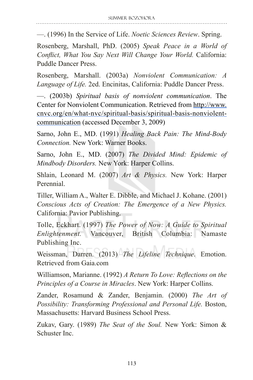—. (1996) In the Service of Life. *Noetic Sciences Review*. Spring.

Rosenberg, Marshall, PhD. (2005) *Speak Peace in a World of Conflict, What You Say Next Will Change Your World.* California: Puddle Dancer Press.

Rosenberg, Marshall. (2003a) *Nonviolent Communication: A Language of Life.* 2ed. Encinitas, California: Puddle Dancer Press.

—. (2003b) *Spiritual basis of nonviolent communication*. The Center for Nonviolent Communication. Retrieved from http://www. cnvc.org/en/what-nvc/spiritual-basis/spiritual-basis-nonviolentcommunication (accessed December 3, 2009)

Sarno, John E., MD. (1991) *Healing Back Pain: The Mind-Body Connection.* New York: Warner Books.

Sarno, John E., MD. (2007) *The Divided Mind: Epidemic of Mindbody Disorders.* New York: Harper Collins.

Shlain, Leonard M. (2007) *Art & Physics.* New York: Harper Perennial.

Tiller, William A., Walter E. Dibble, and Michael J. Kohane. (2001) *Conscious Acts of Creation: The Emergence of a New Physics.*  California: Pavior Publishing.

Tolle, Eckhart. (1997) *The Power of Now: A Guide to Spiritual Enlightenment.* Vancouver, British Columbia: Namaste Publishing Inc.

Weissman, Darren. (2013) *The Lifeline Technique*. Emotion. Retrieved from Gaia.com

Williamson, Marianne. (1992) *A Return To Love: Reflections on the Principles of a Course in Miracles*. New York: Harper Collins.

Zander, Rosamund & Zander, Benjamin. (2000) *The Art of Possibility: Transforming Professional and Personal Life.* Boston, Massachusetts: Harvard Business School Press.

Zukav, Gary. (1989) *The Seat of the Soul.* New York: Simon & Schuster Inc.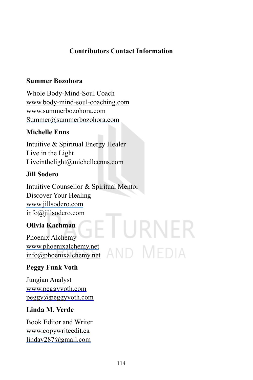# **Contributors Contact Information**

#### **Summer Bozohora**

Whole Body-Mind-Soul Coach www.body-mind-soul-coaching.com www.summerbozohora.com Summer@summerbozohora.com

# **Michelle Enns**

Intuitive & Spiritual Energy Healer Live in the Light Liveinthelight@michelleenns.com

# **Jill Sodero**

Intuitive Counsellor & Spiritual Mentor Discover Your Healing www.jillsodero.com info@jillsodero.com

# **Olivia Kachman**

Phoenix Alchemy www.phoenixalchemy.net info@phoenixalchemy.net

# **Peggy Funk Voth**

Jungian Analyst www.peggyvoth.com peggy@peggyvoth.com

# **Linda M. Verde**

Book Editor and Writer www.copywriteedit.ca lindav287@gmail.com

URNER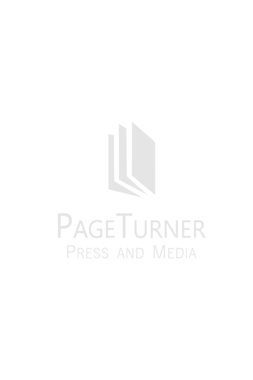

# PAGETURNER PRESS AND MEDIA